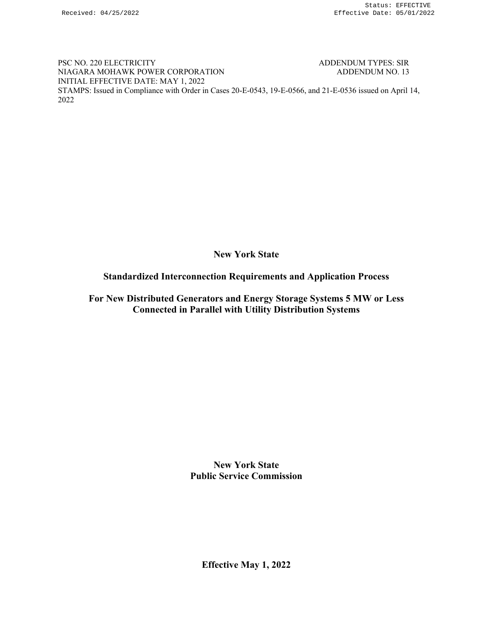PSC NO. 220 ELECTRICITY ADDENDUM TYPES: SIR NIAGARA MOHAWK POWER CORPORATION ADDENDUM NO. 13 INITIAL EFFECTIVE DATE: MAY 1, 2022 STAMPS: Issued in Compliance with Order in Cases 20-E-0543, 19-E-0566, and 21-E-0536 issued on April 14, 2022

**New York State** 

## **Standardized Interconnection Requirements and Application Process**

**For New Distributed Generators and Energy Storage Systems 5 MW or Less Connected in Parallel with Utility Distribution Systems** 

> **New York State Public Service Commission**

**Effective May 1, 2022**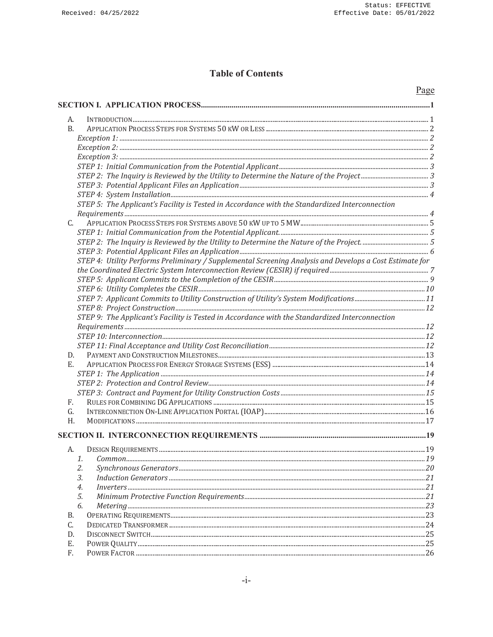## **Table of Contents**

| А.<br><b>B.</b><br>STEP 5: The Applicant's Facility is Tested in Accordance with the Standardized Interconnection<br>$C_{\cdot}$<br>STEP 4: Utility Performs Preliminary / Supplemental Screening Analysis and Develops a Cost Estimate for<br>STEP 9: The Applicant's Facility is Tested in Accordance with the Standardized Interconnection<br>D.<br>Е.<br>F.<br>G.<br>H.<br>А.<br>1.<br>2.<br>3.<br>4.<br>5.<br>6.<br>В.<br>C.<br>D.<br>Е.<br>F. | Page |
|-----------------------------------------------------------------------------------------------------------------------------------------------------------------------------------------------------------------------------------------------------------------------------------------------------------------------------------------------------------------------------------------------------------------------------------------------------|------|
|                                                                                                                                                                                                                                                                                                                                                                                                                                                     |      |
|                                                                                                                                                                                                                                                                                                                                                                                                                                                     |      |
|                                                                                                                                                                                                                                                                                                                                                                                                                                                     |      |
|                                                                                                                                                                                                                                                                                                                                                                                                                                                     |      |
|                                                                                                                                                                                                                                                                                                                                                                                                                                                     |      |
|                                                                                                                                                                                                                                                                                                                                                                                                                                                     |      |
|                                                                                                                                                                                                                                                                                                                                                                                                                                                     |      |
|                                                                                                                                                                                                                                                                                                                                                                                                                                                     |      |
|                                                                                                                                                                                                                                                                                                                                                                                                                                                     |      |
|                                                                                                                                                                                                                                                                                                                                                                                                                                                     |      |
|                                                                                                                                                                                                                                                                                                                                                                                                                                                     |      |
|                                                                                                                                                                                                                                                                                                                                                                                                                                                     |      |
|                                                                                                                                                                                                                                                                                                                                                                                                                                                     |      |
|                                                                                                                                                                                                                                                                                                                                                                                                                                                     |      |
|                                                                                                                                                                                                                                                                                                                                                                                                                                                     |      |
|                                                                                                                                                                                                                                                                                                                                                                                                                                                     |      |
|                                                                                                                                                                                                                                                                                                                                                                                                                                                     |      |
|                                                                                                                                                                                                                                                                                                                                                                                                                                                     |      |
|                                                                                                                                                                                                                                                                                                                                                                                                                                                     |      |
|                                                                                                                                                                                                                                                                                                                                                                                                                                                     |      |
|                                                                                                                                                                                                                                                                                                                                                                                                                                                     |      |
|                                                                                                                                                                                                                                                                                                                                                                                                                                                     |      |
|                                                                                                                                                                                                                                                                                                                                                                                                                                                     |      |
|                                                                                                                                                                                                                                                                                                                                                                                                                                                     |      |
|                                                                                                                                                                                                                                                                                                                                                                                                                                                     |      |
|                                                                                                                                                                                                                                                                                                                                                                                                                                                     |      |
|                                                                                                                                                                                                                                                                                                                                                                                                                                                     |      |
|                                                                                                                                                                                                                                                                                                                                                                                                                                                     |      |
|                                                                                                                                                                                                                                                                                                                                                                                                                                                     |      |
|                                                                                                                                                                                                                                                                                                                                                                                                                                                     |      |
|                                                                                                                                                                                                                                                                                                                                                                                                                                                     |      |
|                                                                                                                                                                                                                                                                                                                                                                                                                                                     |      |
|                                                                                                                                                                                                                                                                                                                                                                                                                                                     |      |
|                                                                                                                                                                                                                                                                                                                                                                                                                                                     |      |
|                                                                                                                                                                                                                                                                                                                                                                                                                                                     |      |
|                                                                                                                                                                                                                                                                                                                                                                                                                                                     |      |
|                                                                                                                                                                                                                                                                                                                                                                                                                                                     |      |
|                                                                                                                                                                                                                                                                                                                                                                                                                                                     |      |
|                                                                                                                                                                                                                                                                                                                                                                                                                                                     |      |
|                                                                                                                                                                                                                                                                                                                                                                                                                                                     |      |
|                                                                                                                                                                                                                                                                                                                                                                                                                                                     |      |
|                                                                                                                                                                                                                                                                                                                                                                                                                                                     |      |
|                                                                                                                                                                                                                                                                                                                                                                                                                                                     |      |
|                                                                                                                                                                                                                                                                                                                                                                                                                                                     |      |
|                                                                                                                                                                                                                                                                                                                                                                                                                                                     |      |
|                                                                                                                                                                                                                                                                                                                                                                                                                                                     |      |
|                                                                                                                                                                                                                                                                                                                                                                                                                                                     |      |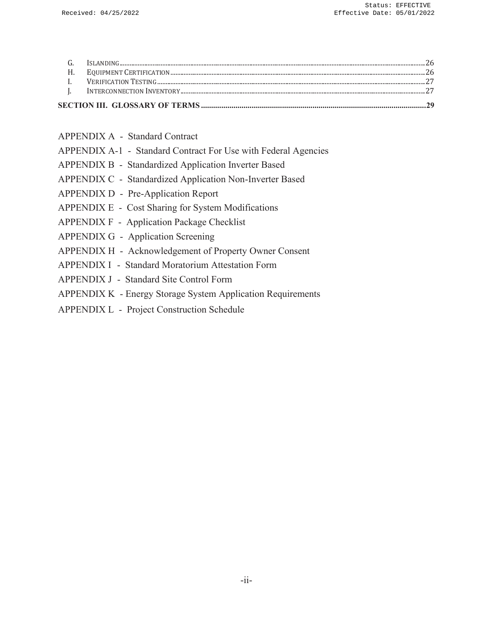| <b>APPENDIX A - Standard Contract</b> |  |  |  |
|---------------------------------------|--|--|--|
|---------------------------------------|--|--|--|

- APPENDIX A-1 Standard Contract For Use with Federal Agencies
- APPENDIX B Standardized Application Inverter Based
- APPENDIX C Standardized Application Non-Inverter Based
- APPENDIX D Pre-Application Report
- APPENDIX E Cost Sharing for System Modifications
- APPENDIX F Application Package Checklist
- APPENDIX G Application Screening
- APPENDIX H Acknowledgement of Property Owner Consent
- APPENDIX I Standard Moratorium Attestation Form
- APPENDIX J Standard Site Control Form
- APPENDIX K Energy Storage System Application Requirements
- APPENDIX L Project Construction Schedule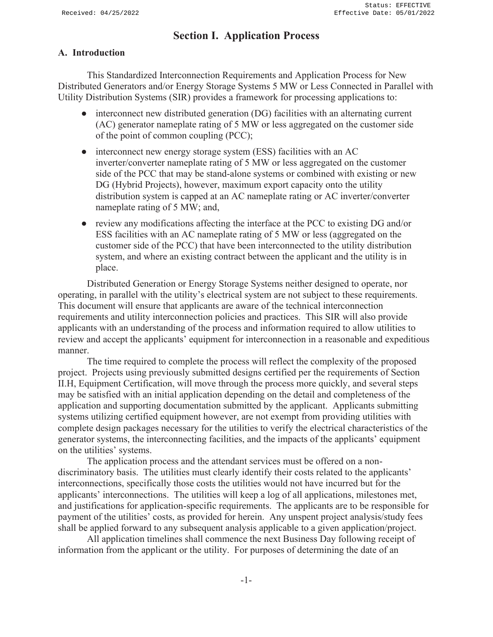Received: 04/25/2022

# **Section I. Application Process**

## **A. Introduction**

This Standardized Interconnection Requirements and Application Process for New Distributed Generators and/or Energy Storage Systems 5 MW or Less Connected in Parallel with Utility Distribution Systems (SIR) provides a framework for processing applications to:

- interconnect new distributed generation (DG) facilities with an alternating current (AC) generator nameplate rating of 5 MW or less aggregated on the customer side of the point of common coupling (PCC);
- interconnect new energy storage system (ESS) facilities with an AC inverter/converter nameplate rating of 5 MW or less aggregated on the customer side of the PCC that may be stand-alone systems or combined with existing or new DG (Hybrid Projects), however, maximum export capacity onto the utility distribution system is capped at an AC nameplate rating or AC inverter/converter nameplate rating of 5 MW; and,
- review any modifications affecting the interface at the PCC to existing DG and/or ESS facilities with an AC nameplate rating of 5 MW or less (aggregated on the customer side of the PCC) that have been interconnected to the utility distribution system, and where an existing contract between the applicant and the utility is in place.

Distributed Generation or Energy Storage Systems neither designed to operate, nor operating, in parallel with the utility's electrical system are not subject to these requirements. This document will ensure that applicants are aware of the technical interconnection requirements and utility interconnection policies and practices. This SIR will also provide applicants with an understanding of the process and information required to allow utilities to review and accept the applicants' equipment for interconnection in a reasonable and expeditious manner.

The time required to complete the process will reflect the complexity of the proposed project. Projects using previously submitted designs certified per the requirements of Section II.H, Equipment Certification, will move through the process more quickly, and several steps may be satisfied with an initial application depending on the detail and completeness of the application and supporting documentation submitted by the applicant. Applicants submitting systems utilizing certified equipment however, are not exempt from providing utilities with complete design packages necessary for the utilities to verify the electrical characteristics of the generator systems, the interconnecting facilities, and the impacts of the applicants' equipment on the utilities' systems.

The application process and the attendant services must be offered on a nondiscriminatory basis. The utilities must clearly identify their costs related to the applicants' interconnections, specifically those costs the utilities would not have incurred but for the applicants' interconnections. The utilities will keep a log of all applications, milestones met, and justifications for application-specific requirements. The applicants are to be responsible for payment of the utilities' costs, as provided for herein. Any unspent project analysis/study fees shall be applied forward to any subsequent analysis applicable to a given application/project.

All application timelines shall commence the next Business Day following receipt of information from the applicant or the utility. For purposes of determining the date of an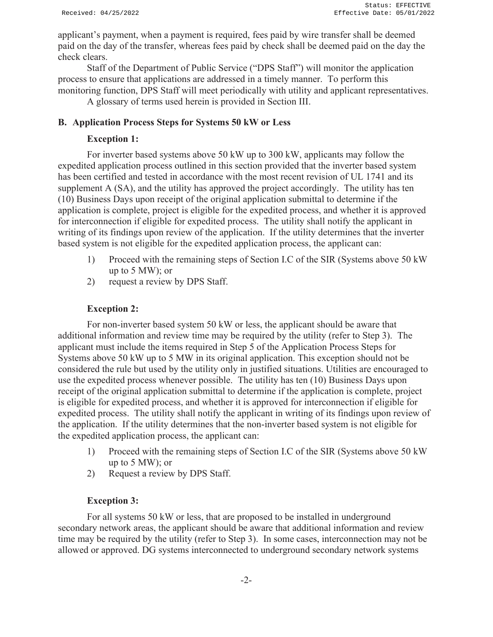applicant's payment, when a payment is required, fees paid by wire transfer shall be deemed paid on the day of the transfer, whereas fees paid by check shall be deemed paid on the day the check clears.

Staff of the Department of Public Service ("DPS Staff") will monitor the application process to ensure that applications are addressed in a timely manner. To perform this monitoring function, DPS Staff will meet periodically with utility and applicant representatives.

A glossary of terms used herein is provided in Section III.

#### **B. Application Process Steps for Systems 50 kW or Less**

#### **Exception 1:**

For inverter based systems above 50 kW up to 300 kW, applicants may follow the expedited application process outlined in this section provided that the inverter based system has been certified and tested in accordance with the most recent revision of UL 1741 and its supplement A (SA), and the utility has approved the project accordingly. The utility has ten (10) Business Days upon receipt of the original application submittal to determine if the application is complete, project is eligible for the expedited process, and whether it is approved for interconnection if eligible for expedited process. The utility shall notify the applicant in writing of its findings upon review of the application. If the utility determines that the inverter based system is not eligible for the expedited application process, the applicant can:

- 1) Proceed with the remaining steps of Section I.C of the SIR (Systems above 50 kW up to 5 MW); or
- 2) request a review by DPS Staff.

#### **Exception 2:**

For non-inverter based system 50 kW or less, the applicant should be aware that additional information and review time may be required by the utility (refer to Step 3). The applicant must include the items required in Step 5 of the Application Process Steps for Systems above 50 kW up to 5 MW in its original application. This exception should not be considered the rule but used by the utility only in justified situations. Utilities are encouraged to use the expedited process whenever possible. The utility has ten (10) Business Days upon receipt of the original application submittal to determine if the application is complete, project is eligible for expedited process, and whether it is approved for interconnection if eligible for expedited process. The utility shall notify the applicant in writing of its findings upon review of the application. If the utility determines that the non-inverter based system is not eligible for the expedited application process, the applicant can:

- 1) Proceed with the remaining steps of Section I.C of the SIR (Systems above 50 kW up to 5 MW); or
- 2) Request a review by DPS Staff.

#### **Exception 3:**

For all systems 50 kW or less, that are proposed to be installed in underground secondary network areas, the applicant should be aware that additional information and review time may be required by the utility (refer to Step 3). In some cases, interconnection may not be allowed or approved. DG systems interconnected to underground secondary network systems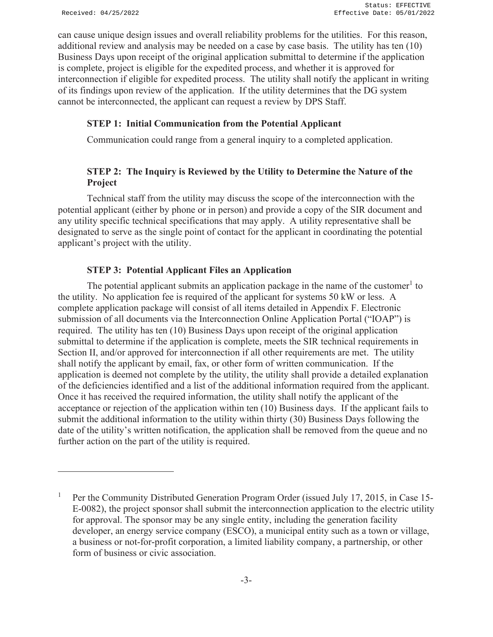can cause unique design issues and overall reliability problems for the utilities. For this reason, additional review and analysis may be needed on a case by case basis. The utility has ten (10) Business Days upon receipt of the original application submittal to determine if the application is complete, project is eligible for the expedited process, and whether it is approved for interconnection if eligible for expedited process. The utility shall notify the applicant in writing of its findings upon review of the application. If the utility determines that the DG system cannot be interconnected, the applicant can request a review by DPS Staff.

#### **STEP 1: Initial Communication from the Potential Applicant**

Communication could range from a general inquiry to a completed application.

## **STEP 2: The Inquiry is Reviewed by the Utility to Determine the Nature of the Project**

Technical staff from the utility may discuss the scope of the interconnection with the potential applicant (either by phone or in person) and provide a copy of the SIR document and any utility specific technical specifications that may apply. A utility representative shall be designated to serve as the single point of contact for the applicant in coordinating the potential applicant's project with the utility.

#### **STEP 3: Potential Applicant Files an Application**

The potential applicant submits an application package in the name of the customer<sup>1</sup> to the utility. No application fee is required of the applicant for systems 50 kW or less. A complete application package will consist of all items detailed in Appendix F. Electronic submission of all documents via the Interconnection Online Application Portal ("IOAP") is required. The utility has ten (10) Business Days upon receipt of the original application submittal to determine if the application is complete, meets the SIR technical requirements in Section II, and/or approved for interconnection if all other requirements are met. The utility shall notify the applicant by email, fax, or other form of written communication. If the application is deemed not complete by the utility, the utility shall provide a detailed explanation of the deficiencies identified and a list of the additional information required from the applicant. Once it has received the required information, the utility shall notify the applicant of the acceptance or rejection of the application within ten (10) Business days. If the applicant fails to submit the additional information to the utility within thirty (30) Business Days following the date of the utility's written notification, the application shall be removed from the queue and no further action on the part of the utility is required.

<sup>1</sup> Per the Community Distributed Generation Program Order (issued July 17, 2015, in Case 15- E-0082), the project sponsor shall submit the interconnection application to the electric utility for approval. The sponsor may be any single entity, including the generation facility developer, an energy service company (ESCO), a municipal entity such as a town or village, a business or not-for-profit corporation, a limited liability company, a partnership, or other form of business or civic association.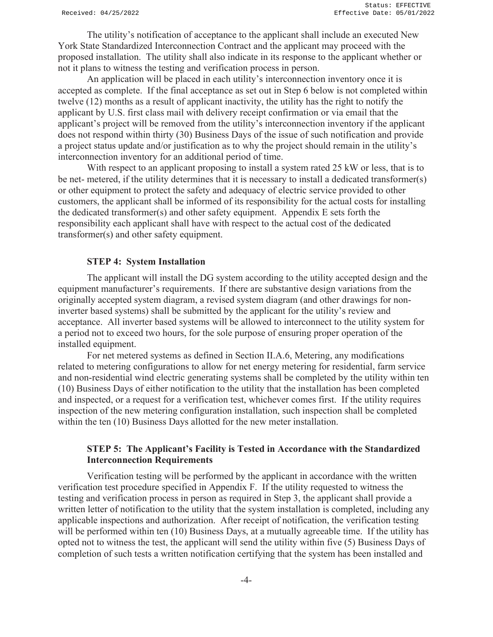The utility's notification of acceptance to the applicant shall include an executed New York State Standardized Interconnection Contract and the applicant may proceed with the proposed installation. The utility shall also indicate in its response to the applicant whether or not it plans to witness the testing and verification process in person.

An application will be placed in each utility's interconnection inventory once it is accepted as complete. If the final acceptance as set out in Step 6 below is not completed within twelve (12) months as a result of applicant inactivity, the utility has the right to notify the applicant by U.S. first class mail with delivery receipt confirmation or via email that the applicant's project will be removed from the utility's interconnection inventory if the applicant does not respond within thirty (30) Business Days of the issue of such notification and provide a project status update and/or justification as to why the project should remain in the utility's interconnection inventory for an additional period of time.

With respect to an applicant proposing to install a system rated 25 kW or less, that is to be net- metered, if the utility determines that it is necessary to install a dedicated transformer(s) or other equipment to protect the safety and adequacy of electric service provided to other customers, the applicant shall be informed of its responsibility for the actual costs for installing the dedicated transformer(s) and other safety equipment. Appendix E sets forth the responsibility each applicant shall have with respect to the actual cost of the dedicated transformer(s) and other safety equipment.

#### **STEP 4: System Installation**

The applicant will install the DG system according to the utility accepted design and the equipment manufacturer's requirements. If there are substantive design variations from the originally accepted system diagram, a revised system diagram (and other drawings for noninverter based systems) shall be submitted by the applicant for the utility's review and acceptance. All inverter based systems will be allowed to interconnect to the utility system for a period not to exceed two hours, for the sole purpose of ensuring proper operation of the installed equipment.

For net metered systems as defined in Section II.A.6, Metering, any modifications related to metering configurations to allow for net energy metering for residential, farm service and non-residential wind electric generating systems shall be completed by the utility within ten (10) Business Days of either notification to the utility that the installation has been completed and inspected, or a request for a verification test, whichever comes first. If the utility requires inspection of the new metering configuration installation, such inspection shall be completed within the ten (10) Business Days allotted for the new meter installation.

### **STEP 5: The Applicant's Facility is Tested in Accordance with the Standardized Interconnection Requirements**

Verification testing will be performed by the applicant in accordance with the written verification test procedure specified in Appendix F. If the utility requested to witness the testing and verification process in person as required in Step 3, the applicant shall provide a written letter of notification to the utility that the system installation is completed, including any applicable inspections and authorization. After receipt of notification, the verification testing will be performed within ten (10) Business Days, at a mutually agreeable time. If the utility has opted not to witness the test, the applicant will send the utility within five (5) Business Days of completion of such tests a written notification certifying that the system has been installed and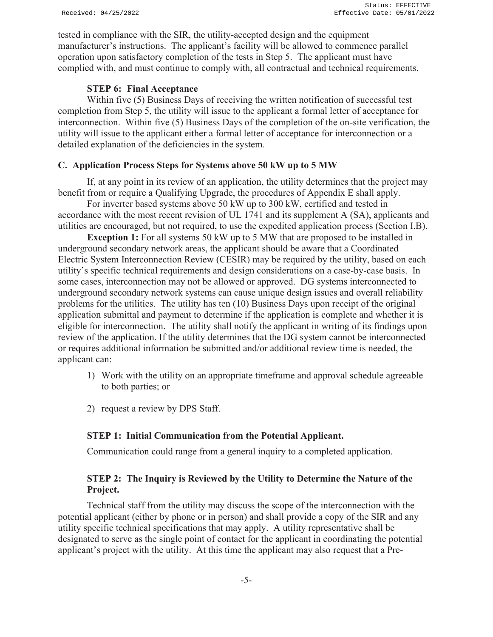tested in compliance with the SIR, the utility-accepted design and the equipment manufacturer's instructions. The applicant's facility will be allowed to commence parallel operation upon satisfactory completion of the tests in Step 5. The applicant must have complied with, and must continue to comply with, all contractual and technical requirements.

## **STEP 6: Final Acceptance**

Within five (5) Business Days of receiving the written notification of successful test completion from Step 5, the utility will issue to the applicant a formal letter of acceptance for interconnection. Within five (5) Business Days of the completion of the on-site verification, the utility will issue to the applicant either a formal letter of acceptance for interconnection or a detailed explanation of the deficiencies in the system.

## **C. Application Process Steps for Systems above 50 kW up to 5 MW**

If, at any point in its review of an application, the utility determines that the project may benefit from or require a Qualifying Upgrade, the procedures of Appendix E shall apply.

For inverter based systems above 50 kW up to 300 kW, certified and tested in accordance with the most recent revision of UL 1741 and its supplement A (SA), applicants and utilities are encouraged, but not required, to use the expedited application process (Section I.B).

**Exception 1:** For all systems 50 kW up to 5 MW that are proposed to be installed in underground secondary network areas, the applicant should be aware that a Coordinated Electric System Interconnection Review (CESIR) may be required by the utility, based on each utility's specific technical requirements and design considerations on a case-by-case basis. In some cases, interconnection may not be allowed or approved. DG systems interconnected to underground secondary network systems can cause unique design issues and overall reliability problems for the utilities. The utility has ten (10) Business Days upon receipt of the original application submittal and payment to determine if the application is complete and whether it is eligible for interconnection. The utility shall notify the applicant in writing of its findings upon review of the application. If the utility determines that the DG system cannot be interconnected or requires additional information be submitted and/or additional review time is needed, the applicant can:

- 1) Work with the utility on an appropriate timeframe and approval schedule agreeable to both parties; or
- 2) request a review by DPS Staff.

## **STEP 1: Initial Communication from the Potential Applicant.**

Communication could range from a general inquiry to a completed application.

## **STEP 2: The Inquiry is Reviewed by the Utility to Determine the Nature of the Project.**

 Technical staff from the utility may discuss the scope of the interconnection with the potential applicant (either by phone or in person) and shall provide a copy of the SIR and any utility specific technical specifications that may apply. A utility representative shall be designated to serve as the single point of contact for the applicant in coordinating the potential applicant's project with the utility. At this time the applicant may also request that a Pre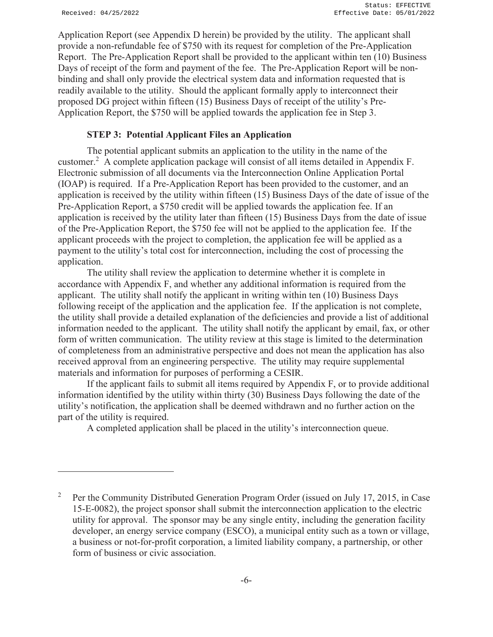Application Report (see Appendix D herein) be provided by the utility. The applicant shall provide a non-refundable fee of \$750 with its request for completion of the Pre-Application Report. The Pre-Application Report shall be provided to the applicant within ten (10) Business Days of receipt of the form and payment of the fee. The Pre-Application Report will be nonbinding and shall only provide the electrical system data and information requested that is readily available to the utility. Should the applicant formally apply to interconnect their proposed DG project within fifteen (15) Business Days of receipt of the utility's Pre-Application Report, the \$750 will be applied towards the application fee in Step 3.

#### **STEP 3: Potential Applicant Files an Application**

 The potential applicant submits an application to the utility in the name of the customer.<sup>2</sup> A complete application package will consist of all items detailed in Appendix F. Electronic submission of all documents via the Interconnection Online Application Portal (IOAP) is required. If a Pre-Application Report has been provided to the customer, and an application is received by the utility within fifteen (15) Business Days of the date of issue of the Pre-Application Report, a \$750 credit will be applied towards the application fee. If an application is received by the utility later than fifteen (15) Business Days from the date of issue of the Pre-Application Report, the \$750 fee will not be applied to the application fee. If the applicant proceeds with the project to completion, the application fee will be applied as a payment to the utility's total cost for interconnection, including the cost of processing the application.

 The utility shall review the application to determine whether it is complete in accordance with Appendix F, and whether any additional information is required from the applicant. The utility shall notify the applicant in writing within ten (10) Business Days following receipt of the application and the application fee. If the application is not complete, the utility shall provide a detailed explanation of the deficiencies and provide a list of additional information needed to the applicant. The utility shall notify the applicant by email, fax, or other form of written communication. The utility review at this stage is limited to the determination of completeness from an administrative perspective and does not mean the application has also received approval from an engineering perspective. The utility may require supplemental materials and information for purposes of performing a CESIR.

 If the applicant fails to submit all items required by Appendix F, or to provide additional information identified by the utility within thirty (30) Business Days following the date of the utility's notification, the application shall be deemed withdrawn and no further action on the part of the utility is required.

A completed application shall be placed in the utility's interconnection queue.

<sup>2</sup> Per the Community Distributed Generation Program Order (issued on July 17, 2015, in Case 15-E-0082), the project sponsor shall submit the interconnection application to the electric utility for approval. The sponsor may be any single entity, including the generation facility developer, an energy service company (ESCO), a municipal entity such as a town or village, a business or not-for-profit corporation, a limited liability company, a partnership, or other form of business or civic association.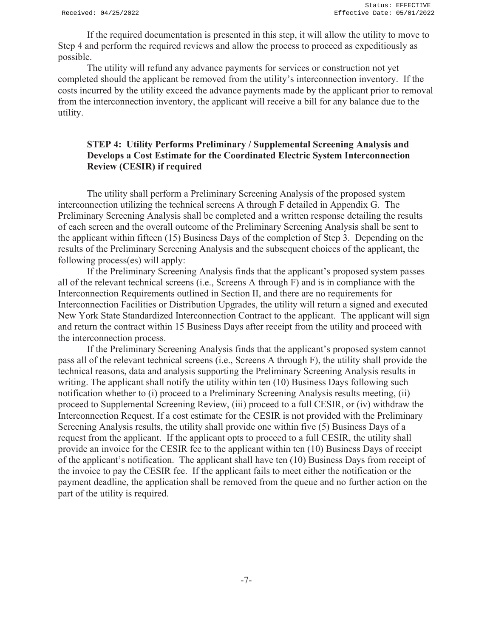If the required documentation is presented in this step, it will allow the utility to move to Step 4 and perform the required reviews and allow the process to proceed as expeditiously as possible.

 The utility will refund any advance payments for services or construction not yet completed should the applicant be removed from the utility's interconnection inventory. If the costs incurred by the utility exceed the advance payments made by the applicant prior to removal from the interconnection inventory, the applicant will receive a bill for any balance due to the utility.

#### **STEP 4: Utility Performs Preliminary / Supplemental Screening Analysis and Develops a Cost Estimate for the Coordinated Electric System Interconnection Review (CESIR) if required**

 The utility shall perform a Preliminary Screening Analysis of the proposed system interconnection utilizing the technical screens A through F detailed in Appendix G. The Preliminary Screening Analysis shall be completed and a written response detailing the results of each screen and the overall outcome of the Preliminary Screening Analysis shall be sent to the applicant within fifteen (15) Business Days of the completion of Step 3. Depending on the results of the Preliminary Screening Analysis and the subsequent choices of the applicant, the following process(es) will apply:

If the Preliminary Screening Analysis finds that the applicant's proposed system passes all of the relevant technical screens (i.e., Screens A through F) and is in compliance with the Interconnection Requirements outlined in Section II, and there are no requirements for Interconnection Facilities or Distribution Upgrades, the utility will return a signed and executed New York State Standardized Interconnection Contract to the applicant. The applicant will sign and return the contract within 15 Business Days after receipt from the utility and proceed with the interconnection process.

If the Preliminary Screening Analysis finds that the applicant's proposed system cannot pass all of the relevant technical screens (i.e., Screens A through F), the utility shall provide the technical reasons, data and analysis supporting the Preliminary Screening Analysis results in writing. The applicant shall notify the utility within ten (10) Business Days following such notification whether to (i) proceed to a Preliminary Screening Analysis results meeting, (ii) proceed to Supplemental Screening Review, (iii) proceed to a full CESIR, or (iv) withdraw the Interconnection Request. If a cost estimate for the CESIR is not provided with the Preliminary Screening Analysis results, the utility shall provide one within five (5) Business Days of a request from the applicant. If the applicant opts to proceed to a full CESIR, the utility shall provide an invoice for the CESIR fee to the applicant within ten (10) Business Days of receipt of the applicant's notification. The applicant shall have ten (10) Business Days from receipt of the invoice to pay the CESIR fee. If the applicant fails to meet either the notification or the payment deadline, the application shall be removed from the queue and no further action on the part of the utility is required.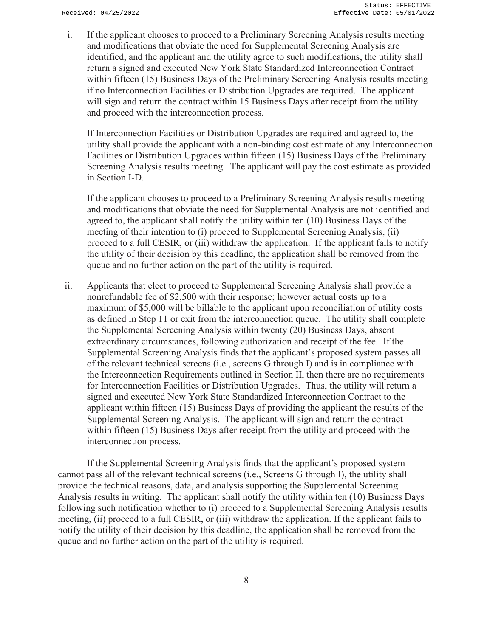i. If the applicant chooses to proceed to a Preliminary Screening Analysis results meeting and modifications that obviate the need for Supplemental Screening Analysis are identified, and the applicant and the utility agree to such modifications, the utility shall return a signed and executed New York State Standardized Interconnection Contract within fifteen (15) Business Days of the Preliminary Screening Analysis results meeting if no Interconnection Facilities or Distribution Upgrades are required. The applicant will sign and return the contract within 15 Business Days after receipt from the utility and proceed with the interconnection process.

If Interconnection Facilities or Distribution Upgrades are required and agreed to, the utility shall provide the applicant with a non-binding cost estimate of any Interconnection Facilities or Distribution Upgrades within fifteen (15) Business Days of the Preliminary Screening Analysis results meeting. The applicant will pay the cost estimate as provided in Section I-D.

If the applicant chooses to proceed to a Preliminary Screening Analysis results meeting and modifications that obviate the need for Supplemental Analysis are not identified and agreed to, the applicant shall notify the utility within ten (10) Business Days of the meeting of their intention to (i) proceed to Supplemental Screening Analysis, (ii) proceed to a full CESIR, or (iii) withdraw the application. If the applicant fails to notify the utility of their decision by this deadline, the application shall be removed from the queue and no further action on the part of the utility is required.

ii. Applicants that elect to proceed to Supplemental Screening Analysis shall provide a nonrefundable fee of \$2,500 with their response; however actual costs up to a maximum of \$5,000 will be billable to the applicant upon reconciliation of utility costs as defined in Step 11 or exit from the interconnection queue. The utility shall complete the Supplemental Screening Analysis within twenty (20) Business Days, absent extraordinary circumstances, following authorization and receipt of the fee. If the Supplemental Screening Analysis finds that the applicant's proposed system passes all of the relevant technical screens (i.e., screens G through I) and is in compliance with the Interconnection Requirements outlined in Section II, then there are no requirements for Interconnection Facilities or Distribution Upgrades. Thus, the utility will return a signed and executed New York State Standardized Interconnection Contract to the applicant within fifteen (15) Business Days of providing the applicant the results of the Supplemental Screening Analysis. The applicant will sign and return the contract within fifteen (15) Business Days after receipt from the utility and proceed with the interconnection process.

If the Supplemental Screening Analysis finds that the applicant's proposed system cannot pass all of the relevant technical screens (i.e., Screens G through I), the utility shall provide the technical reasons, data, and analysis supporting the Supplemental Screening Analysis results in writing. The applicant shall notify the utility within ten (10) Business Days following such notification whether to (i) proceed to a Supplemental Screening Analysis results meeting, (ii) proceed to a full CESIR, or (iii) withdraw the application. If the applicant fails to notify the utility of their decision by this deadline, the application shall be removed from the queue and no further action on the part of the utility is required.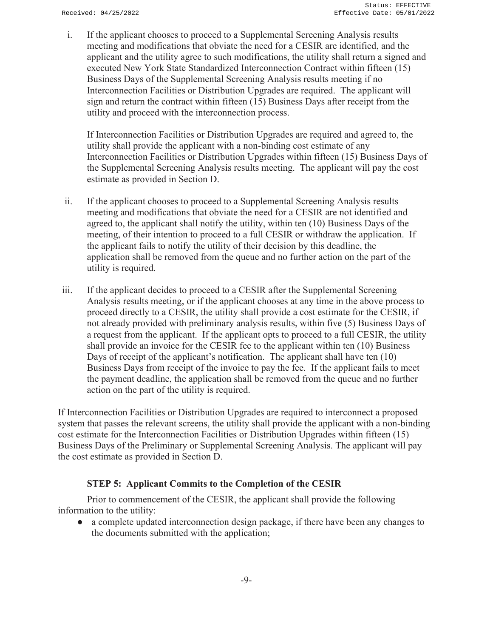i. If the applicant chooses to proceed to a Supplemental Screening Analysis results meeting and modifications that obviate the need for a CESIR are identified, and the applicant and the utility agree to such modifications, the utility shall return a signed and executed New York State Standardized Interconnection Contract within fifteen (15) Business Days of the Supplemental Screening Analysis results meeting if no Interconnection Facilities or Distribution Upgrades are required. The applicant will sign and return the contract within fifteen (15) Business Days after receipt from the utility and proceed with the interconnection process.

If Interconnection Facilities or Distribution Upgrades are required and agreed to, the utility shall provide the applicant with a non-binding cost estimate of any Interconnection Facilities or Distribution Upgrades within fifteen (15) Business Days of the Supplemental Screening Analysis results meeting. The applicant will pay the cost estimate as provided in Section D.

- ii. If the applicant chooses to proceed to a Supplemental Screening Analysis results meeting and modifications that obviate the need for a CESIR are not identified and agreed to, the applicant shall notify the utility, within ten (10) Business Days of the meeting, of their intention to proceed to a full CESIR or withdraw the application. If the applicant fails to notify the utility of their decision by this deadline, the application shall be removed from the queue and no further action on the part of the utility is required.
- iii. If the applicant decides to proceed to a CESIR after the Supplemental Screening Analysis results meeting, or if the applicant chooses at any time in the above process to proceed directly to a CESIR, the utility shall provide a cost estimate for the CESIR, if not already provided with preliminary analysis results, within five (5) Business Days of a request from the applicant. If the applicant opts to proceed to a full CESIR, the utility shall provide an invoice for the CESIR fee to the applicant within ten (10) Business Days of receipt of the applicant's notification. The applicant shall have ten (10) Business Days from receipt of the invoice to pay the fee. If the applicant fails to meet the payment deadline, the application shall be removed from the queue and no further action on the part of the utility is required.

If Interconnection Facilities or Distribution Upgrades are required to interconnect a proposed system that passes the relevant screens, the utility shall provide the applicant with a non-binding cost estimate for the Interconnection Facilities or Distribution Upgrades within fifteen (15) Business Days of the Preliminary or Supplemental Screening Analysis. The applicant will pay the cost estimate as provided in Section D.

#### **STEP 5: Applicant Commits to the Completion of the CESIR**

 Prior to commencement of the CESIR, the applicant shall provide the following information to the utility:

• a complete updated interconnection design package, if there have been any changes to the documents submitted with the application;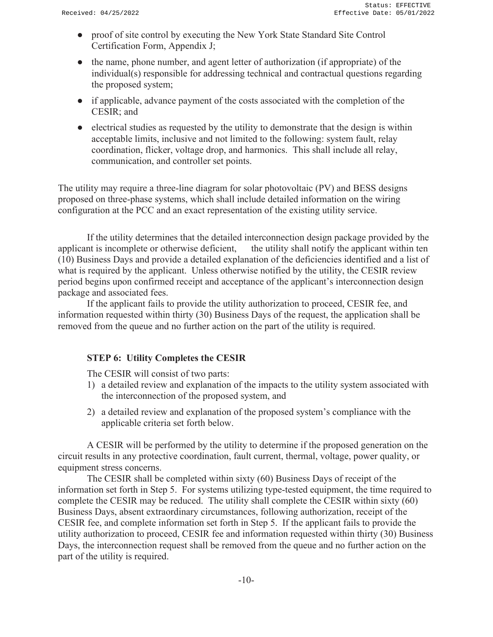- proof of site control by executing the New York State Standard Site Control Certification Form, Appendix J;
- the name, phone number, and agent letter of authorization (if appropriate) of the individual(s) responsible for addressing technical and contractual questions regarding the proposed system;
- if applicable, advance payment of the costs associated with the completion of the CESIR; and
- electrical studies as requested by the utility to demonstrate that the design is within acceptable limits, inclusive and not limited to the following: system fault, relay coordination, flicker, voltage drop, and harmonics. This shall include all relay, communication, and controller set points.

The utility may require a three-line diagram for solar photovoltaic (PV) and BESS designs proposed on three-phase systems, which shall include detailed information on the wiring configuration at the PCC and an exact representation of the existing utility service.

If the utility determines that the detailed interconnection design package provided by the applicant is incomplete or otherwise deficient, the utility shall notify the applicant within ten (10) Business Days and provide a detailed explanation of the deficiencies identified and a list of what is required by the applicant. Unless otherwise notified by the utility, the CESIR review period begins upon confirmed receipt and acceptance of the applicant's interconnection design package and associated fees.

If the applicant fails to provide the utility authorization to proceed, CESIR fee, and information requested within thirty (30) Business Days of the request, the application shall be removed from the queue and no further action on the part of the utility is required.

## **STEP 6: Utility Completes the CESIR**

The CESIR will consist of two parts:

- 1) a detailed review and explanation of the impacts to the utility system associated with the interconnection of the proposed system, and
- 2) a detailed review and explanation of the proposed system's compliance with the applicable criteria set forth below.

A CESIR will be performed by the utility to determine if the proposed generation on the circuit results in any protective coordination, fault current, thermal, voltage, power quality, or equipment stress concerns.

The CESIR shall be completed within sixty (60) Business Days of receipt of the information set forth in Step 5. For systems utilizing type-tested equipment, the time required to complete the CESIR may be reduced. The utility shall complete the CESIR within sixty (60) Business Days, absent extraordinary circumstances, following authorization, receipt of the CESIR fee, and complete information set forth in Step 5. If the applicant fails to provide the utility authorization to proceed, CESIR fee and information requested within thirty (30) Business Days, the interconnection request shall be removed from the queue and no further action on the part of the utility is required.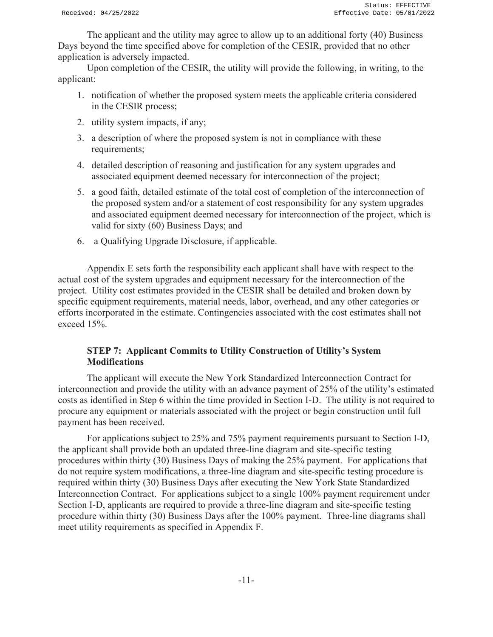The applicant and the utility may agree to allow up to an additional forty (40) Business Days beyond the time specified above for completion of the CESIR, provided that no other application is adversely impacted.

Upon completion of the CESIR, the utility will provide the following, in writing, to the applicant:

- 1. notification of whether the proposed system meets the applicable criteria considered in the CESIR process;
- 2. utility system impacts, if any;
- 3. a description of where the proposed system is not in compliance with these requirements;
- 4. detailed description of reasoning and justification for any system upgrades and associated equipment deemed necessary for interconnection of the project;
- 5. a good faith, detailed estimate of the total cost of completion of the interconnection of the proposed system and/or a statement of cost responsibility for any system upgrades and associated equipment deemed necessary for interconnection of the project, which is valid for sixty (60) Business Days; and
- 6. a Qualifying Upgrade Disclosure, if applicable.

Appendix E sets forth the responsibility each applicant shall have with respect to the actual cost of the system upgrades and equipment necessary for the interconnection of the project. Utility cost estimates provided in the CESIR shall be detailed and broken down by specific equipment requirements, material needs, labor, overhead, and any other categories or efforts incorporated in the estimate. Contingencies associated with the cost estimates shall not exceed 15%.

## **STEP 7: Applicant Commits to Utility Construction of Utility's System Modifications**

The applicant will execute the New York Standardized Interconnection Contract for interconnection and provide the utility with an advance payment of 25% of the utility's estimated costs as identified in Step 6 within the time provided in Section I-D. The utility is not required to procure any equipment or materials associated with the project or begin construction until full payment has been received.

For applications subject to 25% and 75% payment requirements pursuant to Section I-D, the applicant shall provide both an updated three-line diagram and site-specific testing procedures within thirty (30) Business Days of making the 25% payment. For applications that do not require system modifications, a three-line diagram and site-specific testing procedure is required within thirty (30) Business Days after executing the New York State Standardized Interconnection Contract. For applications subject to a single 100% payment requirement under Section I-D, applicants are required to provide a three-line diagram and site-specific testing procedure within thirty (30) Business Days after the 100% payment. Three-line diagrams shall meet utility requirements as specified in Appendix F.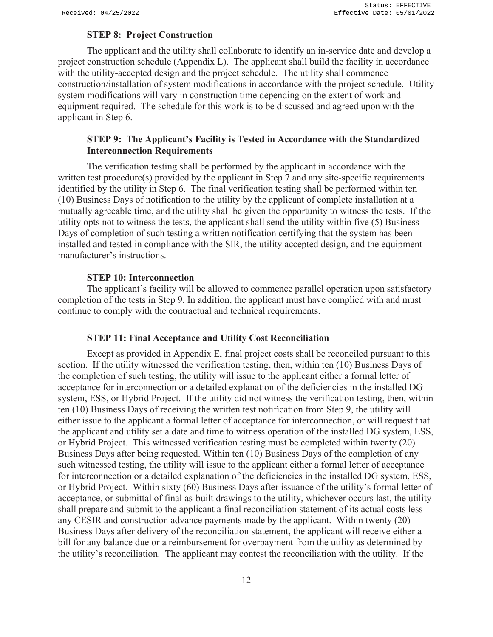#### **STEP 8: Project Construction**

The applicant and the utility shall collaborate to identify an in-service date and develop a project construction schedule (Appendix L). The applicant shall build the facility in accordance with the utility-accepted design and the project schedule. The utility shall commence construction/installation of system modifications in accordance with the project schedule. Utility system modifications will vary in construction time depending on the extent of work and equipment required. The schedule for this work is to be discussed and agreed upon with the applicant in Step 6.

## **STEP 9: The Applicant's Facility is Tested in Accordance with the Standardized Interconnection Requirements**

The verification testing shall be performed by the applicant in accordance with the written test procedure(s) provided by the applicant in Step 7 and any site-specific requirements identified by the utility in Step 6. The final verification testing shall be performed within ten (10) Business Days of notification to the utility by the applicant of complete installation at a mutually agreeable time, and the utility shall be given the opportunity to witness the tests. If the utility opts not to witness the tests, the applicant shall send the utility within five (5) Business Days of completion of such testing a written notification certifying that the system has been installed and tested in compliance with the SIR, the utility accepted design, and the equipment manufacturer's instructions.

#### **STEP 10: Interconnection**

The applicant's facility will be allowed to commence parallel operation upon satisfactory completion of the tests in Step 9. In addition, the applicant must have complied with and must continue to comply with the contractual and technical requirements.

#### **STEP 11: Final Acceptance and Utility Cost Reconciliation**

Except as provided in Appendix E, final project costs shall be reconciled pursuant to this section. If the utility witnessed the verification testing, then, within ten (10) Business Days of the completion of such testing, the utility will issue to the applicant either a formal letter of acceptance for interconnection or a detailed explanation of the deficiencies in the installed DG system, ESS, or Hybrid Project. If the utility did not witness the verification testing, then, within ten (10) Business Days of receiving the written test notification from Step 9, the utility will either issue to the applicant a formal letter of acceptance for interconnection, or will request that the applicant and utility set a date and time to witness operation of the installed DG system, ESS, or Hybrid Project. This witnessed verification testing must be completed within twenty (20) Business Days after being requested. Within ten (10) Business Days of the completion of any such witnessed testing, the utility will issue to the applicant either a formal letter of acceptance for interconnection or a detailed explanation of the deficiencies in the installed DG system, ESS, or Hybrid Project. Within sixty (60) Business Days after issuance of the utility's formal letter of acceptance, or submittal of final as-built drawings to the utility, whichever occurs last, the utility shall prepare and submit to the applicant a final reconciliation statement of its actual costs less any CESIR and construction advance payments made by the applicant. Within twenty (20) Business Days after delivery of the reconciliation statement, the applicant will receive either a bill for any balance due or a reimbursement for overpayment from the utility as determined by the utility's reconciliation. The applicant may contest the reconciliation with the utility. If the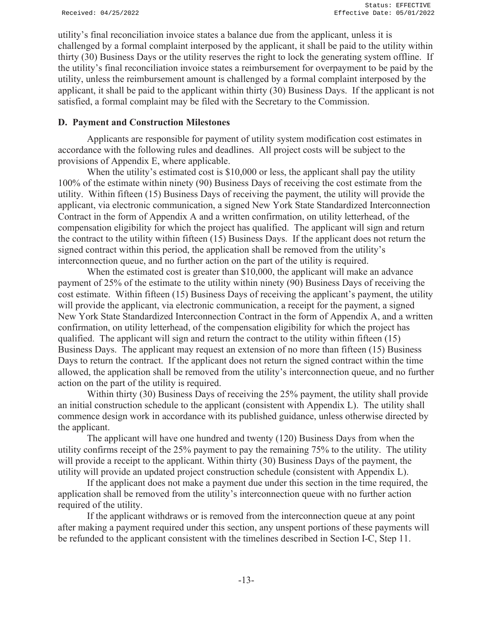utility's final reconciliation invoice states a balance due from the applicant, unless it is challenged by a formal complaint interposed by the applicant, it shall be paid to the utility within thirty (30) Business Days or the utility reserves the right to lock the generating system offline. If the utility's final reconciliation invoice states a reimbursement for overpayment to be paid by the utility, unless the reimbursement amount is challenged by a formal complaint interposed by the applicant, it shall be paid to the applicant within thirty (30) Business Days. If the applicant is not satisfied, a formal complaint may be filed with the Secretary to the Commission.

#### **D. Payment and Construction Milestones**

Applicants are responsible for payment of utility system modification cost estimates in accordance with the following rules and deadlines. All project costs will be subject to the provisions of Appendix E, where applicable.

When the utility's estimated cost is \$10,000 or less, the applicant shall pay the utility 100% of the estimate within ninety (90) Business Days of receiving the cost estimate from the utility. Within fifteen (15) Business Days of receiving the payment, the utility will provide the applicant, via electronic communication, a signed New York State Standardized Interconnection Contract in the form of Appendix A and a written confirmation, on utility letterhead, of the compensation eligibility for which the project has qualified. The applicant will sign and return the contract to the utility within fifteen (15) Business Days. If the applicant does not return the signed contract within this period, the application shall be removed from the utility's interconnection queue, and no further action on the part of the utility is required.

When the estimated cost is greater than \$10,000, the applicant will make an advance payment of 25% of the estimate to the utility within ninety (90) Business Days of receiving the cost estimate. Within fifteen (15) Business Days of receiving the applicant's payment, the utility will provide the applicant, via electronic communication, a receipt for the payment, a signed New York State Standardized Interconnection Contract in the form of Appendix A, and a written confirmation, on utility letterhead, of the compensation eligibility for which the project has qualified. The applicant will sign and return the contract to the utility within fifteen (15) Business Days. The applicant may request an extension of no more than fifteen (15) Business Days to return the contract. If the applicant does not return the signed contract within the time allowed, the application shall be removed from the utility's interconnection queue, and no further action on the part of the utility is required.

Within thirty (30) Business Days of receiving the 25% payment, the utility shall provide an initial construction schedule to the applicant (consistent with Appendix L). The utility shall commence design work in accordance with its published guidance, unless otherwise directed by the applicant.

The applicant will have one hundred and twenty (120) Business Days from when the utility confirms receipt of the 25% payment to pay the remaining 75% to the utility. The utility will provide a receipt to the applicant. Within thirty (30) Business Days of the payment, the utility will provide an updated project construction schedule (consistent with Appendix L).

If the applicant does not make a payment due under this section in the time required, the application shall be removed from the utility's interconnection queue with no further action required of the utility.

If the applicant withdraws or is removed from the interconnection queue at any point after making a payment required under this section, any unspent portions of these payments will be refunded to the applicant consistent with the timelines described in Section I-C, Step 11.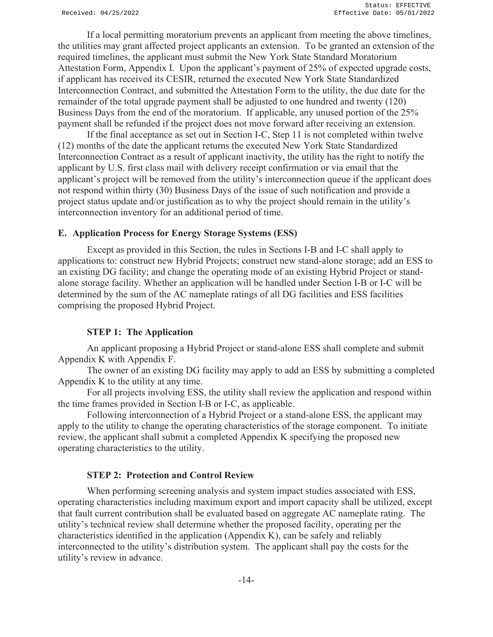If a local permitting moratorium prevents an applicant from meeting the above timelines, the utilities may grant affected project applicants an extension. To be granted an extension of the required timelines, the applicant must submit the New York State Standard Moratorium Attestation Form, Appendix I. Upon the applicant's payment of 25% of expected upgrade costs, if applicant has received its CESIR, returned the executed New York State Standardized Interconnection Contract, and submitted the Attestation Form to the utility, the due date for the remainder of the total upgrade payment shall be adjusted to one hundred and twenty (120) Business Days from the end of the moratorium. If applicable, any unused portion of the 25% payment shall be refunded if the project does not move forward after receiving an extension.

If the final acceptance as set out in Section I-C, Step 11 is not completed within twelve (12) months of the date the applicant returns the executed New York State Standardized Interconnection Contract as a result of applicant inactivity, the utility has the right to notify the applicant by U.S. first class mail with delivery receipt confirmation or via email that the applicant's project will be removed from the utility's interconnection queue if the applicant does not respond within thirty (30) Business Days of the issue of such notification and provide a project status update and/or justification as to why the project should remain in the utility's interconnection inventory for an additional period of time.

#### **E. Application Process for Energy Storage Systems (ESS)**

Except as provided in this Section, the rules in Sections I-B and I-C shall apply to applications to: construct new Hybrid Projects; construct new stand-alone storage; add an ESS to an existing DG facility; and change the operating mode of an existing Hybrid Project or standalone storage facility. Whether an application will be handled under Section I-B or I-C will be determined by the sum of the AC nameplate ratings of all DG facilities and ESS facilities comprising the proposed Hybrid Project.

#### **STEP 1: The Application**

An applicant proposing a Hybrid Project or stand-alone ESS shall complete and submit Appendix K with Appendix F.

The owner of an existing DG facility may apply to add an ESS by submitting a completed Appendix K to the utility at any time.

For all projects involving ESS, the utility shall review the application and respond within the time frames provided in Section I-B or I-C, as applicable.

Following interconnection of a Hybrid Project or a stand-alone ESS, the applicant may apply to the utility to change the operating characteristics of the storage component. To initiate review, the applicant shall submit a completed Appendix K specifying the proposed new operating characteristics to the utility.

#### **STEP 2: Protection and Control Review**

When performing screening analysis and system impact studies associated with ESS, operating characteristics including maximum export and import capacity shall be utilized, except that fault current contribution shall be evaluated based on aggregate AC nameplate rating. The utility's technical review shall determine whether the proposed facility, operating per the characteristics identified in the application (Appendix K), can be safely and reliably interconnected to the utility's distribution system. The applicant shall pay the costs for the utility's review in advance.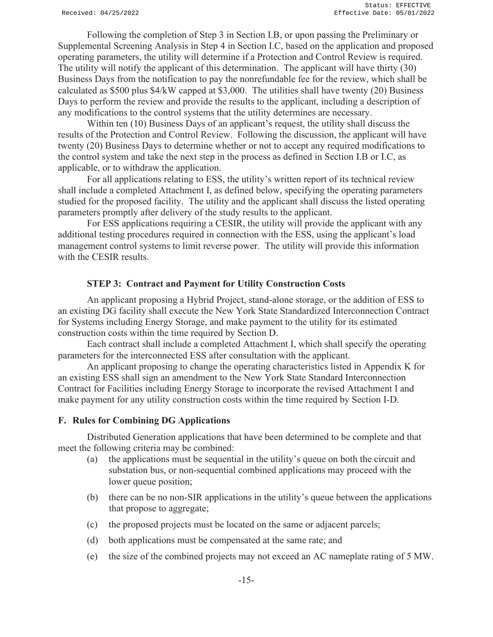Following the completion of Step 3 in Section I.B, or upon passing the Preliminary or Supplemental Screening Analysis in Step 4 in Section I.C, based on the application and proposed operating parameters, the utility will determine if a Protection and Control Review is required. The utility will notify the applicant of this determination. The applicant will have thirty (30) Business Days from the notification to pay the nonrefundable fee for the review, which shall be calculated as \$500 plus \$4/kW capped at \$3,000. The utilities shall have twenty (20) Business Days to perform the review and provide the results to the applicant, including a description of any modifications to the control systems that the utility determines are necessary.

Within ten (10) Business Days of an applicant's request, the utility shall discuss the results of the Protection and Control Review. Following the discussion, the applicant will have twenty (20) Business Days to determine whether or not to accept any required modifications to the control system and take the next step in the process as defined in Section I.B or I.C, as applicable, or to withdraw the application.

For all applications relating to ESS, the utility's written report of its technical review shall include a completed Attachment I, as defined below, specifying the operating parameters studied for the proposed facility. The utility and the applicant shall discuss the listed operating parameters promptly after delivery of the study results to the applicant.

For ESS applications requiring a CESIR, the utility will provide the applicant with any additional testing procedures required in connection with the ESS, using the applicant's load management control systems to limit reverse power. The utility will provide this information with the CESIR results.

#### **STEP 3: Contract and Payment for Utility Construction Costs**

An applicant proposing a Hybrid Project, stand-alone storage, or the addition of ESS to an existing DG facility shall execute the New York State Standardized Interconnection Contract for Systems including Energy Storage, and make payment to the utility for its estimated construction costs within the time required by Section D.

Each contract shall include a completed Attachment I, which shall specify the operating parameters for the interconnected ESS after consultation with the applicant.

An applicant proposing to change the operating characteristics listed in Appendix K for an existing ESS shall sign an amendment to the New York State Standard Interconnection Contract for Facilities including Energy Storage to incorporate the revised Attachment I and make payment for any utility construction costs within the time required by Section I-D.

#### **F. Rules for Combining DG Applications**

Distributed Generation applications that have been determined to be complete and that meet the following criteria may be combined:

- (a) the applications must be sequential in the utility's queue on both the circuit and substation bus, or non-sequential combined applications may proceed with the lower queue position;
- (b) there can be no non-SIR applications in the utility's queue between the applications that propose to aggregate;
- (c) the proposed projects must be located on the same or adjacent parcels;
- (d) both applications must be compensated at the same rate; and
- (e) the size of the combined projects may not exceed an AC nameplate rating of 5 MW.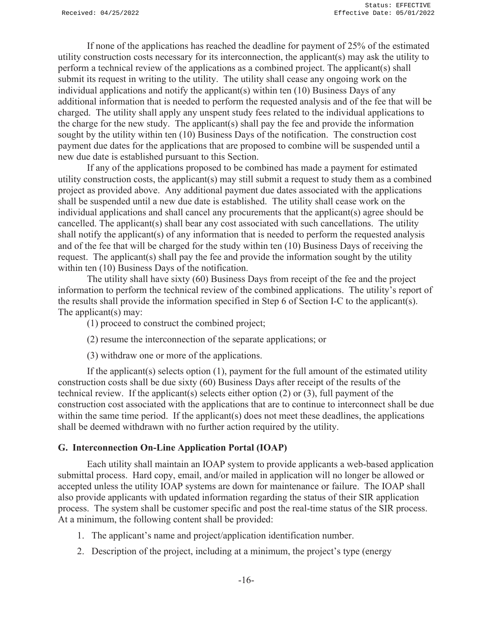If none of the applications has reached the deadline for payment of 25% of the estimated utility construction costs necessary for its interconnection, the applicant(s) may ask the utility to perform a technical review of the applications as a combined project. The applicant(s) shall submit its request in writing to the utility. The utility shall cease any ongoing work on the individual applications and notify the applicant(s) within ten (10) Business Days of any additional information that is needed to perform the requested analysis and of the fee that will be charged. The utility shall apply any unspent study fees related to the individual applications to the charge for the new study. The applicant(s) shall pay the fee and provide the information sought by the utility within ten (10) Business Days of the notification. The construction cost payment due dates for the applications that are proposed to combine will be suspended until a new due date is established pursuant to this Section.

If any of the applications proposed to be combined has made a payment for estimated utility construction costs, the applicant(s) may still submit a request to study them as a combined project as provided above. Any additional payment due dates associated with the applications shall be suspended until a new due date is established. The utility shall cease work on the individual applications and shall cancel any procurements that the applicant(s) agree should be cancelled. The applicant(s) shall bear any cost associated with such cancellations. The utility shall notify the applicant(s) of any information that is needed to perform the requested analysis and of the fee that will be charged for the study within ten (10) Business Days of receiving the request. The applicant(s) shall pay the fee and provide the information sought by the utility within ten (10) Business Days of the notification.

The utility shall have sixty (60) Business Days from receipt of the fee and the project information to perform the technical review of the combined applications. The utility's report of the results shall provide the information specified in Step 6 of Section I-C to the applicant(s). The applicant(s) may:

(1) proceed to construct the combined project;

- (2) resume the interconnection of the separate applications; or
- (3) withdraw one or more of the applications.

If the applicant(s) selects option (1), payment for the full amount of the estimated utility construction costs shall be due sixty (60) Business Days after receipt of the results of the technical review. If the applicant(s) selects either option  $(2)$  or  $(3)$ , full payment of the construction cost associated with the applications that are to continue to interconnect shall be due within the same time period. If the applicant(s) does not meet these deadlines, the applications shall be deemed withdrawn with no further action required by the utility.

#### **G. Interconnection On-Line Application Portal (IOAP)**

Each utility shall maintain an IOAP system to provide applicants a web-based application submittal process. Hard copy, email, and/or mailed in application will no longer be allowed or accepted unless the utility IOAP systems are down for maintenance or failure. The IOAP shall also provide applicants with updated information regarding the status of their SIR application process. The system shall be customer specific and post the real-time status of the SIR process. At a minimum, the following content shall be provided:

- 1. The applicant's name and project/application identification number.
- 2. Description of the project, including at a minimum, the project's type (energy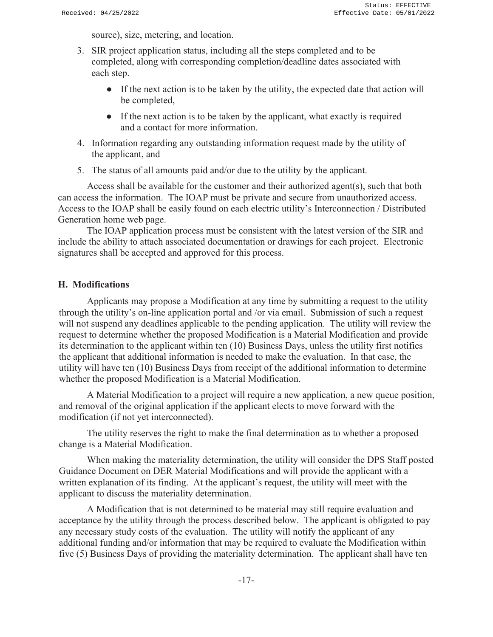source), size, metering, and location.

- 3. SIR project application status, including all the steps completed and to be completed, along with corresponding completion/deadline dates associated with each step.
	- If the next action is to be taken by the utility, the expected date that action will be completed,
	- If the next action is to be taken by the applicant, what exactly is required and a contact for more information.
- 4. Information regarding any outstanding information request made by the utility of the applicant, and
- 5. The status of all amounts paid and/or due to the utility by the applicant.

Access shall be available for the customer and their authorized agent(s), such that both can access the information. The IOAP must be private and secure from unauthorized access. Access to the IOAP shall be easily found on each electric utility's Interconnection / Distributed Generation home web page.

The IOAP application process must be consistent with the latest version of the SIR and include the ability to attach associated documentation or drawings for each project. Electronic signatures shall be accepted and approved for this process.

#### **H. Modifications**

Applicants may propose a Modification at any time by submitting a request to the utility through the utility's on-line application portal and /or via email. Submission of such a request will not suspend any deadlines applicable to the pending application. The utility will review the request to determine whether the proposed Modification is a Material Modification and provide its determination to the applicant within ten (10) Business Days, unless the utility first notifies the applicant that additional information is needed to make the evaluation. In that case, the utility will have ten (10) Business Days from receipt of the additional information to determine whether the proposed Modification is a Material Modification.

A Material Modification to a project will require a new application, a new queue position, and removal of the original application if the applicant elects to move forward with the modification (if not yet interconnected).

The utility reserves the right to make the final determination as to whether a proposed change is a Material Modification.

When making the materiality determination, the utility will consider the DPS Staff posted Guidance Document on DER Material Modifications and will provide the applicant with a written explanation of its finding. At the applicant's request, the utility will meet with the applicant to discuss the materiality determination.

A Modification that is not determined to be material may still require evaluation and acceptance by the utility through the process described below. The applicant is obligated to pay any necessary study costs of the evaluation. The utility will notify the applicant of any additional funding and/or information that may be required to evaluate the Modification within five (5) Business Days of providing the materiality determination. The applicant shall have ten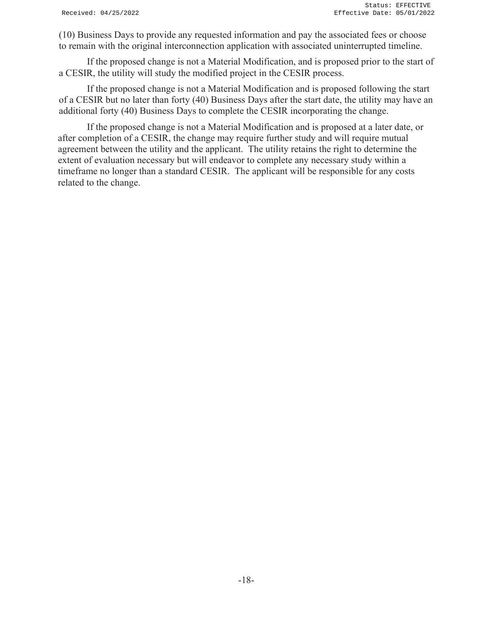(10) Business Days to provide any requested information and pay the associated fees or choose to remain with the original interconnection application with associated uninterrupted timeline.

If the proposed change is not a Material Modification, and is proposed prior to the start of a CESIR, the utility will study the modified project in the CESIR process.

If the proposed change is not a Material Modification and is proposed following the start of a CESIR but no later than forty (40) Business Days after the start date, the utility may have an additional forty (40) Business Days to complete the CESIR incorporating the change.

 If the proposed change is not a Material Modification and is proposed at a later date, or after completion of a CESIR, the change may require further study and will require mutual agreement between the utility and the applicant. The utility retains the right to determine the extent of evaluation necessary but will endeavor to complete any necessary study within a timeframe no longer than a standard CESIR. The applicant will be responsible for any costs related to the change.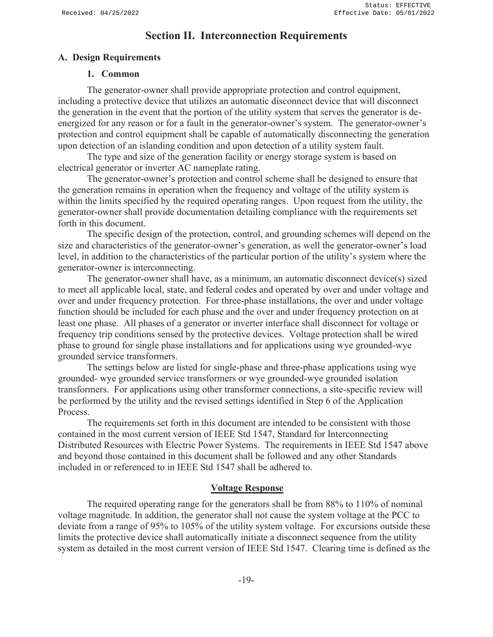## **Section II. Interconnection Requirements**

## **A. Design Requirements**

### **1. Common**

 The generator-owner shall provide appropriate protection and control equipment, including a protective device that utilizes an automatic disconnect device that will disconnect the generation in the event that the portion of the utility system that serves the generator is deenergized for any reason or for a fault in the generator-owner's system. The generator-owner's protection and control equipment shall be capable of automatically disconnecting the generation upon detection of an islanding condition and upon detection of a utility system fault.

 The type and size of the generation facility or energy storage system is based on electrical generator or inverter AC nameplate rating.

 The generator-owner's protection and control scheme shall be designed to ensure that the generation remains in operation when the frequency and voltage of the utility system is within the limits specified by the required operating ranges. Upon request from the utility, the generator-owner shall provide documentation detailing compliance with the requirements set forth in this document.

 The specific design of the protection, control, and grounding schemes will depend on the size and characteristics of the generator-owner's generation, as well the generator-owner's load level, in addition to the characteristics of the particular portion of the utility's system where the generator-owner is interconnecting.

 The generator-owner shall have, as a minimum, an automatic disconnect device(s) sized to meet all applicable local, state, and federal codes and operated by over and under voltage and over and under frequency protection. For three-phase installations, the over and under voltage function should be included for each phase and the over and under frequency protection on at least one phase. All phases of a generator or inverter interface shall disconnect for voltage or frequency trip conditions sensed by the protective devices. Voltage protection shall be wired phase to ground for single phase installations and for applications using wye grounded-wye grounded service transformers.

 The settings below are listed for single-phase and three-phase applications using wye grounded- wye grounded service transformers or wye grounded-wye grounded isolation transformers. For applications using other transformer connections, a site-specific review will be performed by the utility and the revised settings identified in Step 6 of the Application Process.

 The requirements set forth in this document are intended to be consistent with those contained in the most current version of IEEE Std 1547, Standard for Interconnecting Distributed Resources with Electric Power Systems. The requirements in IEEE Std 1547 above and beyond those contained in this document shall be followed and any other Standards included in or referenced to in IEEE Std 1547 shall be adhered to.

#### **Voltage Response**

 The required operating range for the generators shall be from 88% to 110% of nominal voltage magnitude. In addition, the generator shall not cause the system voltage at the PCC to deviate from a range of 95% to 105% of the utility system voltage. For excursions outside these limits the protective device shall automatically initiate a disconnect sequence from the utility system as detailed in the most current version of IEEE Std 1547. Clearing time is defined as the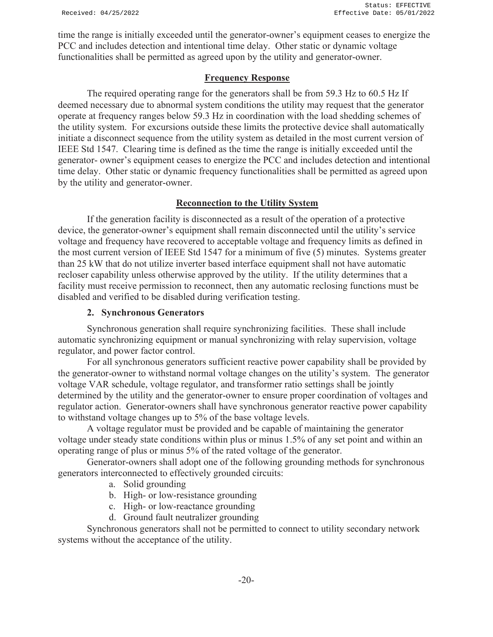time the range is initially exceeded until the generator-owner's equipment ceases to energize the PCC and includes detection and intentional time delay. Other static or dynamic voltage functionalities shall be permitted as agreed upon by the utility and generator-owner.

### **Frequency Response**

 The required operating range for the generators shall be from 59.3 Hz to 60.5 Hz If deemed necessary due to abnormal system conditions the utility may request that the generator operate at frequency ranges below 59.3 Hz in coordination with the load shedding schemes of the utility system. For excursions outside these limits the protective device shall automatically initiate a disconnect sequence from the utility system as detailed in the most current version of IEEE Std 1547. Clearing time is defined as the time the range is initially exceeded until the generator- owner's equipment ceases to energize the PCC and includes detection and intentional time delay. Other static or dynamic frequency functionalities shall be permitted as agreed upon by the utility and generator-owner.

## **Reconnection to the Utility System**

 If the generation facility is disconnected as a result of the operation of a protective device, the generator-owner's equipment shall remain disconnected until the utility's service voltage and frequency have recovered to acceptable voltage and frequency limits as defined in the most current version of IEEE Std 1547 for a minimum of five (5) minutes. Systems greater than 25 kW that do not utilize inverter based interface equipment shall not have automatic recloser capability unless otherwise approved by the utility. If the utility determines that a facility must receive permission to reconnect, then any automatic reclosing functions must be disabled and verified to be disabled during verification testing.

## **2. Synchronous Generators**

 Synchronous generation shall require synchronizing facilities. These shall include automatic synchronizing equipment or manual synchronizing with relay supervision, voltage regulator, and power factor control.

 For all synchronous generators sufficient reactive power capability shall be provided by the generator-owner to withstand normal voltage changes on the utility's system. The generator voltage VAR schedule, voltage regulator, and transformer ratio settings shall be jointly determined by the utility and the generator-owner to ensure proper coordination of voltages and regulator action. Generator-owners shall have synchronous generator reactive power capability to withstand voltage changes up to 5% of the base voltage levels.

 A voltage regulator must be provided and be capable of maintaining the generator voltage under steady state conditions within plus or minus 1.5% of any set point and within an operating range of plus or minus 5% of the rated voltage of the generator.

 Generator-owners shall adopt one of the following grounding methods for synchronous generators interconnected to effectively grounded circuits:

- a. Solid grounding
- b. High- or low-resistance grounding
- c. High- or low-reactance grounding
- d. Ground fault neutralizer grounding

 Synchronous generators shall not be permitted to connect to utility secondary network systems without the acceptance of the utility.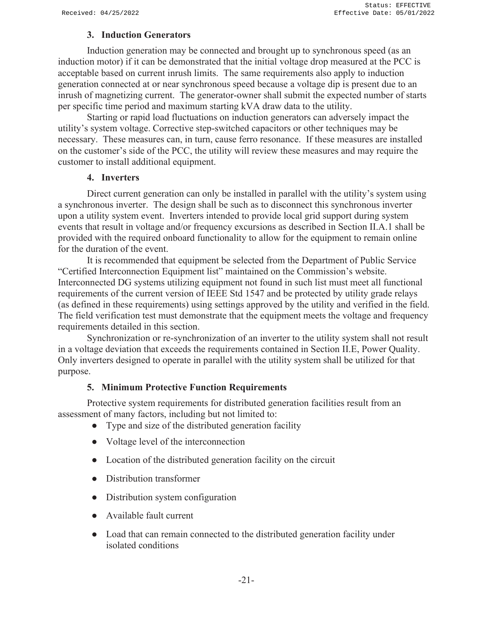## **3. Induction Generators**

 Induction generation may be connected and brought up to synchronous speed (as an induction motor) if it can be demonstrated that the initial voltage drop measured at the PCC is acceptable based on current inrush limits. The same requirements also apply to induction generation connected at or near synchronous speed because a voltage dip is present due to an inrush of magnetizing current. The generator-owner shall submit the expected number of starts per specific time period and maximum starting kVA draw data to the utility.

 Starting or rapid load fluctuations on induction generators can adversely impact the utility's system voltage. Corrective step-switched capacitors or other techniques may be necessary. These measures can, in turn, cause ferro resonance. If these measures are installed on the customer's side of the PCC, the utility will review these measures and may require the customer to install additional equipment.

#### **4. Inverters**

Direct current generation can only be installed in parallel with the utility's system using a synchronous inverter. The design shall be such as to disconnect this synchronous inverter upon a utility system event. Inverters intended to provide local grid support during system events that result in voltage and/or frequency excursions as described in Section II.A.1 shall be provided with the required onboard functionality to allow for the equipment to remain online for the duration of the event.

 It is recommended that equipment be selected from the Department of Public Service "Certified Interconnection Equipment list" maintained on the Commission's website. Interconnected DG systems utilizing equipment not found in such list must meet all functional requirements of the current version of IEEE Std 1547 and be protected by utility grade relays (as defined in these requirements) using settings approved by the utility and verified in the field. The field verification test must demonstrate that the equipment meets the voltage and frequency requirements detailed in this section.

 Synchronization or re-synchronization of an inverter to the utility system shall not result in a voltage deviation that exceeds the requirements contained in Section II.E, Power Quality. Only inverters designed to operate in parallel with the utility system shall be utilized for that purpose.

#### **5. Minimum Protective Function Requirements**

 Protective system requirements for distributed generation facilities result from an assessment of many factors, including but not limited to:

- Type and size of the distributed generation facility
- Voltage level of the interconnection
- Location of the distributed generation facility on the circuit
- Distribution transformer
- Distribution system configuration
- Available fault current
- Load that can remain connected to the distributed generation facility under isolated conditions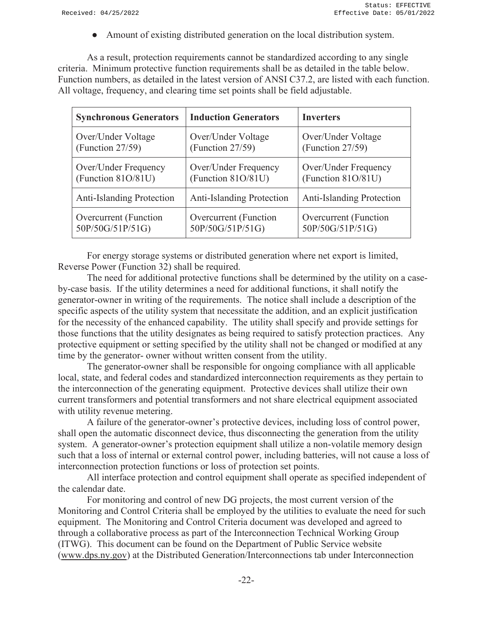● Amount of existing distributed generation on the local distribution system.

 As a result, protection requirements cannot be standardized according to any single criteria. Minimum protective function requirements shall be as detailed in the table below. Function numbers, as detailed in the latest version of ANSI C37.2, are listed with each function. All voltage, frequency, and clearing time set points shall be field adjustable.

| <b>Synchronous Generators</b>    | <b>Induction Generators</b> | <b>Inverters</b>                 |
|----------------------------------|-----------------------------|----------------------------------|
| Over/Under Voltage               | Over/Under Voltage          | Over/Under Voltage               |
| (Function $27/59$ )              | (Function 27/59)            | (Function 27/59)                 |
| Over/Under Frequency             | Over/Under Frequency        | Over/Under Frequency             |
| (Function 81O/81U)               | (Function 81O/81U)          | (Function 81O/81U)               |
| <b>Anti-Islanding Protection</b> | Anti-Islanding Protection   | <b>Anti-Islanding Protection</b> |
| Overcurrent (Function            | Overcurrent (Function       | Overcurrent (Function            |
| 50P/50G/51P/51G)                 | 50P/50G/51P/51G)            | 50P/50G/51P/51G)                 |

 For energy storage systems or distributed generation where net export is limited, Reverse Power (Function 32) shall be required.

 The need for additional protective functions shall be determined by the utility on a caseby-case basis. If the utility determines a need for additional functions, it shall notify the generator-owner in writing of the requirements. The notice shall include a description of the specific aspects of the utility system that necessitate the addition, and an explicit justification for the necessity of the enhanced capability. The utility shall specify and provide settings for those functions that the utility designates as being required to satisfy protection practices. Any protective equipment or setting specified by the utility shall not be changed or modified at any time by the generator- owner without written consent from the utility.

 The generator-owner shall be responsible for ongoing compliance with all applicable local, state, and federal codes and standardized interconnection requirements as they pertain to the interconnection of the generating equipment. Protective devices shall utilize their own current transformers and potential transformers and not share electrical equipment associated with utility revenue metering.

 A failure of the generator-owner's protective devices, including loss of control power, shall open the automatic disconnect device, thus disconnecting the generation from the utility system. A generator-owner's protection equipment shall utilize a non-volatile memory design such that a loss of internal or external control power, including batteries, will not cause a loss of interconnection protection functions or loss of protection set points.

 All interface protection and control equipment shall operate as specified independent of the calendar date.

 For monitoring and control of new DG projects, the most current version of the Monitoring and Control Criteria shall be employed by the utilities to evaluate the need for such equipment. The Monitoring and Control Criteria document was developed and agreed to through a collaborative process as part of the Interconnection Technical Working Group (ITWG). This document can be found on the Department of Public Service website (www.dps.ny.gov) at the Distributed Generation/Interconnections tab under Interconnection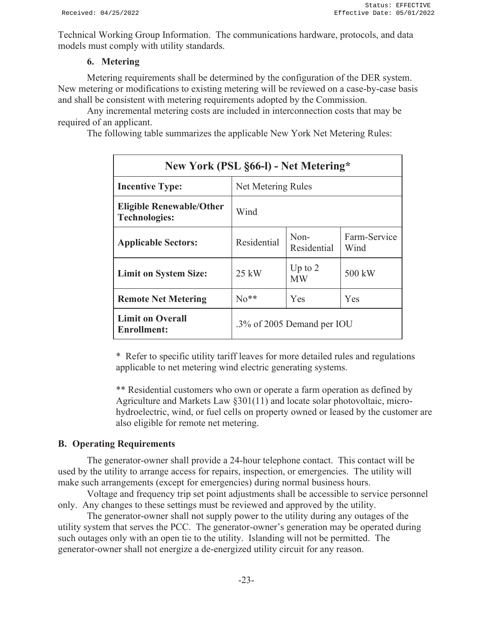Technical Working Group Information. The communications hardware, protocols, and data models must comply with utility standards.

## **6. Metering**

 Metering requirements shall be determined by the configuration of the DER system. New metering or modifications to existing metering will be reviewed on a case-by-case basis and shall be consistent with metering requirements adopted by the Commission.

 Any incremental metering costs are included in interconnection costs that may be required of an applicant.

The following table summarizes the applicable New York Net Metering Rules:

| New York (PSL §66-l) - Net Metering*                    |                    |                            |                      |
|---------------------------------------------------------|--------------------|----------------------------|----------------------|
| <b>Incentive Type:</b>                                  | Net Metering Rules |                            |                      |
| <b>Eligible Renewable/Other</b><br><b>Technologies:</b> | Wind               |                            |                      |
| <b>Applicable Sectors:</b>                              | Residential        | $Non-$<br>Residential      | Farm-Service<br>Wind |
| <b>Limit on System Size:</b>                            | $25$ kW            | Up to $2$<br><b>MW</b>     | 500 kW               |
| <b>Remote Net Metering</b>                              | $No**$             | Yes                        | Yes                  |
| <b>Limit on Overall</b><br>Enrollment:                  |                    | .3% of 2005 Demand per IOU |                      |

\* Refer to specific utility tariff leaves for more detailed rules and regulations applicable to net metering wind electric generating systems.

\*\* Residential customers who own or operate a farm operation as defined by Agriculture and Markets Law §301(11) and locate solar photovoltaic, microhydroelectric, wind, or fuel cells on property owned or leased by the customer are also eligible for remote net metering.

## **B. Operating Requirements**

 The generator-owner shall provide a 24-hour telephone contact. This contact will be used by the utility to arrange access for repairs, inspection, or emergencies. The utility will make such arrangements (except for emergencies) during normal business hours.

 Voltage and frequency trip set point adjustments shall be accessible to service personnel only. Any changes to these settings must be reviewed and approved by the utility.

 The generator-owner shall not supply power to the utility during any outages of the utility system that serves the PCC. The generator-owner's generation may be operated during such outages only with an open tie to the utility. Islanding will not be permitted. The generator-owner shall not energize a de-energized utility circuit for any reason.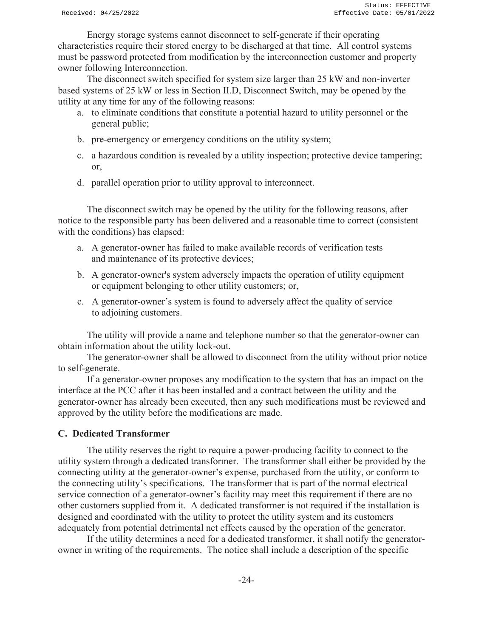Energy storage systems cannot disconnect to self-generate if their operating characteristics require their stored energy to be discharged at that time. All control systems must be password protected from modification by the interconnection customer and property owner following Interconnection.

 The disconnect switch specified for system size larger than 25 kW and non-inverter based systems of 25 kW or less in Section II.D, Disconnect Switch, may be opened by the utility at any time for any of the following reasons:

- a. to eliminate conditions that constitute a potential hazard to utility personnel or the general public;
- b. pre-emergency or emergency conditions on the utility system;
- c. a hazardous condition is revealed by a utility inspection; protective device tampering; or,
- d. parallel operation prior to utility approval to interconnect.

 The disconnect switch may be opened by the utility for the following reasons, after notice to the responsible party has been delivered and a reasonable time to correct (consistent with the conditions) has elapsed:

- a. A generator-owner has failed to make available records of verification tests and maintenance of its protective devices;
- b. A generator-owner's system adversely impacts the operation of utility equipment or equipment belonging to other utility customers; or,
- c. A generator-owner's system is found to adversely affect the quality of service to adjoining customers.

 The utility will provide a name and telephone number so that the generator-owner can obtain information about the utility lock-out.

 The generator-owner shall be allowed to disconnect from the utility without prior notice to self-generate.

 If a generator-owner proposes any modification to the system that has an impact on the interface at the PCC after it has been installed and a contract between the utility and the generator-owner has already been executed, then any such modifications must be reviewed and approved by the utility before the modifications are made.

#### **C. Dedicated Transformer**

 The utility reserves the right to require a power-producing facility to connect to the utility system through a dedicated transformer. The transformer shall either be provided by the connecting utility at the generator-owner's expense, purchased from the utility, or conform to the connecting utility's specifications. The transformer that is part of the normal electrical service connection of a generator-owner's facility may meet this requirement if there are no other customers supplied from it. A dedicated transformer is not required if the installation is designed and coordinated with the utility to protect the utility system and its customers adequately from potential detrimental net effects caused by the operation of the generator.

 If the utility determines a need for a dedicated transformer, it shall notify the generatorowner in writing of the requirements. The notice shall include a description of the specific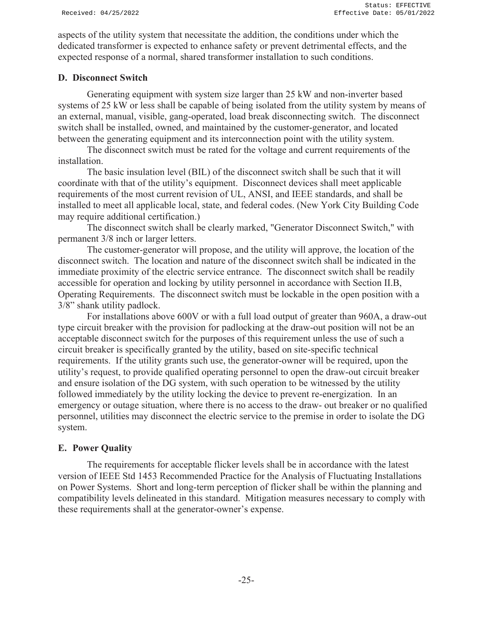aspects of the utility system that necessitate the addition, the conditions under which the dedicated transformer is expected to enhance safety or prevent detrimental effects, and the expected response of a normal, shared transformer installation to such conditions.

## **D. Disconnect Switch**

 Generating equipment with system size larger than 25 kW and non-inverter based systems of 25 kW or less shall be capable of being isolated from the utility system by means of an external, manual, visible, gang-operated, load break disconnecting switch. The disconnect switch shall be installed, owned, and maintained by the customer-generator, and located between the generating equipment and its interconnection point with the utility system.

 The disconnect switch must be rated for the voltage and current requirements of the installation.

 The basic insulation level (BIL) of the disconnect switch shall be such that it will coordinate with that of the utility's equipment. Disconnect devices shall meet applicable requirements of the most current revision of UL, ANSI, and IEEE standards, and shall be installed to meet all applicable local, state, and federal codes. (New York City Building Code may require additional certification.)

 The disconnect switch shall be clearly marked, "Generator Disconnect Switch," with permanent 3/8 inch or larger letters.

 The customer-generator will propose, and the utility will approve, the location of the disconnect switch. The location and nature of the disconnect switch shall be indicated in the immediate proximity of the electric service entrance. The disconnect switch shall be readily accessible for operation and locking by utility personnel in accordance with Section II.B, Operating Requirements. The disconnect switch must be lockable in the open position with a 3/8" shank utility padlock.

 For installations above 600V or with a full load output of greater than 960A, a draw-out type circuit breaker with the provision for padlocking at the draw-out position will not be an acceptable disconnect switch for the purposes of this requirement unless the use of such a circuit breaker is specifically granted by the utility, based on site-specific technical requirements. If the utility grants such use, the generator-owner will be required, upon the utility's request, to provide qualified operating personnel to open the draw-out circuit breaker and ensure isolation of the DG system, with such operation to be witnessed by the utility followed immediately by the utility locking the device to prevent re-energization. In an emergency or outage situation, where there is no access to the draw- out breaker or no qualified personnel, utilities may disconnect the electric service to the premise in order to isolate the DG system.

## **E. Power Quality**

 The requirements for acceptable flicker levels shall be in accordance with the latest version of IEEE Std 1453 Recommended Practice for the Analysis of Fluctuating Installations on Power Systems. Short and long-term perception of flicker shall be within the planning and compatibility levels delineated in this standard. Mitigation measures necessary to comply with these requirements shall at the generator-owner's expense.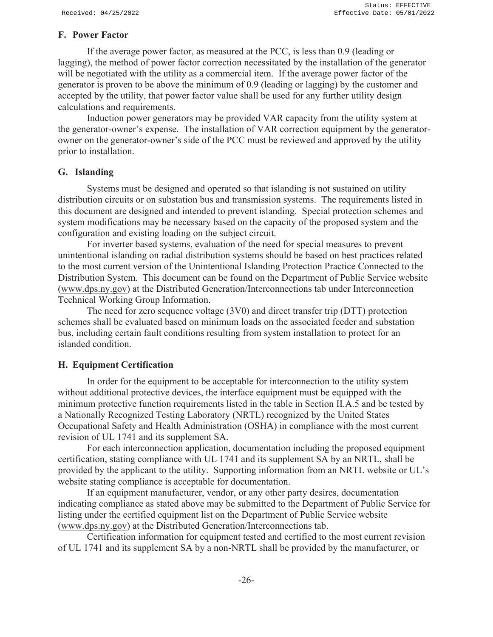#### **F. Power Factor**

 If the average power factor, as measured at the PCC, is less than 0.9 (leading or lagging), the method of power factor correction necessitated by the installation of the generator will be negotiated with the utility as a commercial item. If the average power factor of the generator is proven to be above the minimum of 0.9 (leading or lagging) by the customer and accepted by the utility, that power factor value shall be used for any further utility design calculations and requirements.

 Induction power generators may be provided VAR capacity from the utility system at the generator-owner's expense. The installation of VAR correction equipment by the generatorowner on the generator-owner's side of the PCC must be reviewed and approved by the utility prior to installation.

#### **G. Islanding**

 Systems must be designed and operated so that islanding is not sustained on utility distribution circuits or on substation bus and transmission systems. The requirements listed in this document are designed and intended to prevent islanding. Special protection schemes and system modifications may be necessary based on the capacity of the proposed system and the configuration and existing loading on the subject circuit.

 For inverter based systems, evaluation of the need for special measures to prevent unintentional islanding on radial distribution systems should be based on best practices related to the most current version of the Unintentional Islanding Protection Practice Connected to the Distribution System. This document can be found on the Department of Public Service website (www.dps.ny.gov) at the Distributed Generation/Interconnections tab under Interconnection Technical Working Group Information.

 The need for zero sequence voltage (3V0) and direct transfer trip (DTT) protection schemes shall be evaluated based on minimum loads on the associated feeder and substation bus, including certain fault conditions resulting from system installation to protect for an islanded condition.

#### **H. Equipment Certification**

 In order for the equipment to be acceptable for interconnection to the utility system without additional protective devices, the interface equipment must be equipped with the minimum protective function requirements listed in the table in Section II.A.5 and be tested by a Nationally Recognized Testing Laboratory (NRTL) recognized by the United States Occupational Safety and Health Administration (OSHA) in compliance with the most current revision of UL 1741 and its supplement SA.

 For each interconnection application, documentation including the proposed equipment certification, stating compliance with UL 1741 and its supplement SA by an NRTL, shall be provided by the applicant to the utility. Supporting information from an NRTL website or UL's website stating compliance is acceptable for documentation.

 If an equipment manufacturer, vendor, or any other party desires, documentation indicating compliance as stated above may be submitted to the Department of Public Service for listing under the certified equipment list on the Department of Public Service website (www.dps.ny.gov) at the Distributed Generation/Interconnections tab.

 Certification information for equipment tested and certified to the most current revision of UL 1741 and its supplement SA by a non-NRTL shall be provided by the manufacturer, or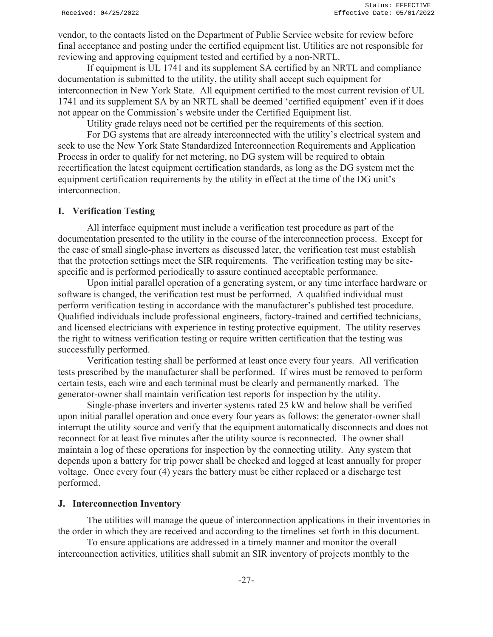vendor, to the contacts listed on the Department of Public Service website for review before final acceptance and posting under the certified equipment list. Utilities are not responsible for reviewing and approving equipment tested and certified by a non-NRTL.

 If equipment is UL 1741 and its supplement SA certified by an NRTL and compliance documentation is submitted to the utility, the utility shall accept such equipment for interconnection in New York State. All equipment certified to the most current revision of UL 1741 and its supplement SA by an NRTL shall be deemed 'certified equipment' even if it does not appear on the Commission's website under the Certified Equipment list.

Utility grade relays need not be certified per the requirements of this section.

For DG systems that are already interconnected with the utility's electrical system and seek to use the New York State Standardized Interconnection Requirements and Application Process in order to qualify for net metering, no DG system will be required to obtain recertification the latest equipment certification standards, as long as the DG system met the equipment certification requirements by the utility in effect at the time of the DG unit's interconnection.

#### **I. Verification Testing**

 All interface equipment must include a verification test procedure as part of the documentation presented to the utility in the course of the interconnection process. Except for the case of small single-phase inverters as discussed later, the verification test must establish that the protection settings meet the SIR requirements. The verification testing may be sitespecific and is performed periodically to assure continued acceptable performance.

 Upon initial parallel operation of a generating system, or any time interface hardware or software is changed, the verification test must be performed. A qualified individual must perform verification testing in accordance with the manufacturer's published test procedure. Qualified individuals include professional engineers, factory-trained and certified technicians, and licensed electricians with experience in testing protective equipment. The utility reserves the right to witness verification testing or require written certification that the testing was successfully performed.

 Verification testing shall be performed at least once every four years. All verification tests prescribed by the manufacturer shall be performed. If wires must be removed to perform certain tests, each wire and each terminal must be clearly and permanently marked. The generator-owner shall maintain verification test reports for inspection by the utility.

 Single-phase inverters and inverter systems rated 25 kW and below shall be verified upon initial parallel operation and once every four years as follows: the generator-owner shall interrupt the utility source and verify that the equipment automatically disconnects and does not reconnect for at least five minutes after the utility source is reconnected. The owner shall maintain a log of these operations for inspection by the connecting utility. Any system that depends upon a battery for trip power shall be checked and logged at least annually for proper voltage. Once every four (4) years the battery must be either replaced or a discharge test performed.

#### **J. Interconnection Inventory**

 The utilities will manage the queue of interconnection applications in their inventories in the order in which they are received and according to the timelines set forth in this document.

 To ensure applications are addressed in a timely manner and monitor the overall interconnection activities, utilities shall submit an SIR inventory of projects monthly to the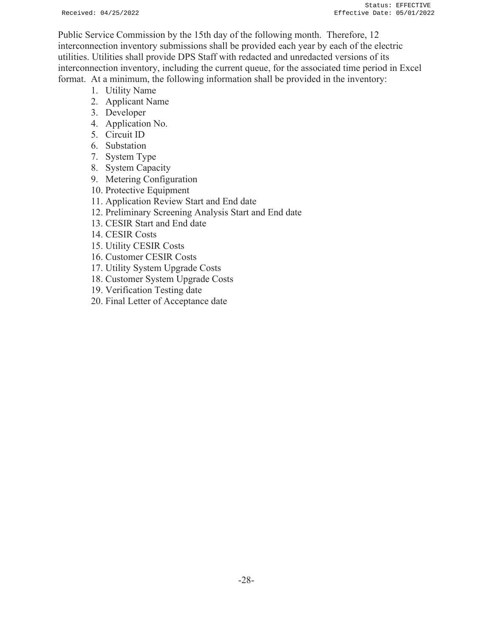Public Service Commission by the 15th day of the following month. Therefore, 12 interconnection inventory submissions shall be provided each year by each of the electric utilities. Utilities shall provide DPS Staff with redacted and unredacted versions of its interconnection inventory, including the current queue, for the associated time period in Excel format. At a minimum, the following information shall be provided in the inventory:

- 1. Utility Name
- 2. Applicant Name
- 3. Developer
- 4. Application No.
- 5. Circuit ID
- 6. Substation
- 7. System Type
- 8. System Capacity
- 9. Metering Configuration
- 10. Protective Equipment
- 11. Application Review Start and End date
- 12. Preliminary Screening Analysis Start and End date
- 13. CESIR Start and End date
- 14. CESIR Costs
- 15. Utility CESIR Costs
- 16. Customer CESIR Costs
- 17. Utility System Upgrade Costs
- 18. Customer System Upgrade Costs
- 19. Verification Testing date
- 20. Final Letter of Acceptance date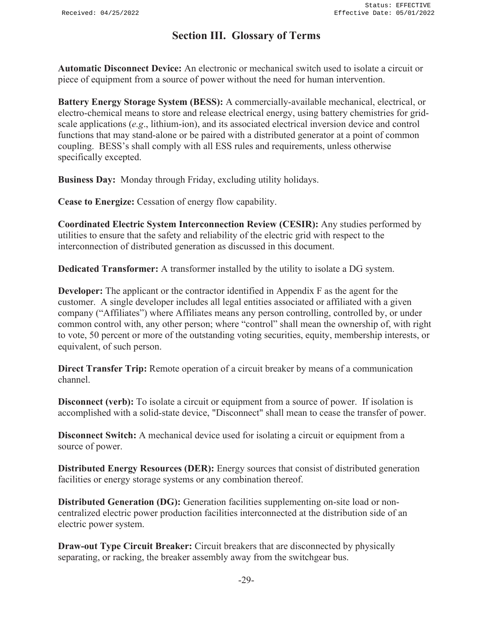# **Section III. Glossary of Terms**

**Automatic Disconnect Device:** An electronic or mechanical switch used to isolate a circuit or piece of equipment from a source of power without the need for human intervention.

**Battery Energy Storage System (BESS):** A commercially-available mechanical, electrical, or electro-chemical means to store and release electrical energy, using battery chemistries for gridscale applications (*e.g*., lithium-ion), and its associated electrical inversion device and control functions that may stand-alone or be paired with a distributed generator at a point of common coupling. BESS's shall comply with all ESS rules and requirements, unless otherwise specifically excepted.

**Business Day:** Monday through Friday, excluding utility holidays.

**Cease to Energize:** Cessation of energy flow capability.

**Coordinated Electric System Interconnection Review (CESIR):** Any studies performed by utilities to ensure that the safety and reliability of the electric grid with respect to the interconnection of distributed generation as discussed in this document.

**Dedicated Transformer:** A transformer installed by the utility to isolate a DG system.

**Developer:** The applicant or the contractor identified in Appendix F as the agent for the customer. A single developer includes all legal entities associated or affiliated with a given company ("Affiliates") where Affiliates means any person controlling, controlled by, or under common control with, any other person; where "control" shall mean the ownership of, with right to vote, 50 percent or more of the outstanding voting securities, equity, membership interests, or equivalent, of such person.

**Direct Transfer Trip:** Remote operation of a circuit breaker by means of a communication channel.

**Disconnect (verb):** To isolate a circuit or equipment from a source of power. If isolation is accomplished with a solid-state device, "Disconnect" shall mean to cease the transfer of power.

**Disconnect Switch:** A mechanical device used for isolating a circuit or equipment from a source of power.

**Distributed Energy Resources (DER):** Energy sources that consist of distributed generation facilities or energy storage systems or any combination thereof.

**Distributed Generation (DG):** Generation facilities supplementing on-site load or noncentralized electric power production facilities interconnected at the distribution side of an electric power system.

**Draw-out Type Circuit Breaker:** Circuit breakers that are disconnected by physically separating, or racking, the breaker assembly away from the switchgear bus.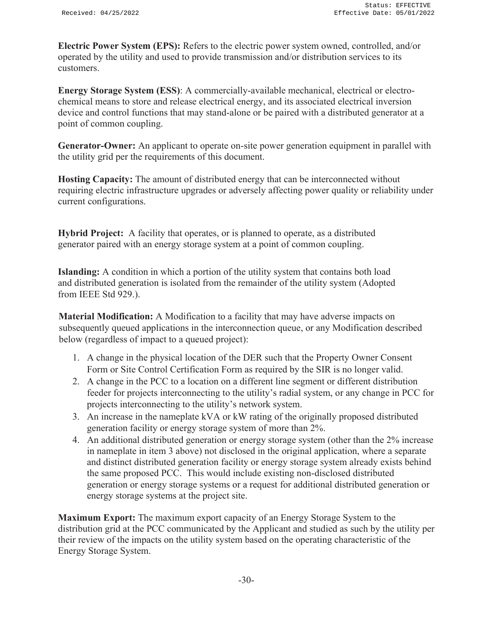**Electric Power System (EPS):** Refers to the electric power system owned, controlled, and/or operated by the utility and used to provide transmission and/or distribution services to its customers.

**Energy Storage System (ESS)**: A commercially-available mechanical, electrical or electrochemical means to store and release electrical energy, and its associated electrical inversion device and control functions that may stand-alone or be paired with a distributed generator at a point of common coupling.

**Generator-Owner:** An applicant to operate on-site power generation equipment in parallel with the utility grid per the requirements of this document.

**Hosting Capacity:** The amount of distributed energy that can be interconnected without requiring electric infrastructure upgrades or adversely affecting power quality or reliability under current configurations.

**Hybrid Project:** A facility that operates, or is planned to operate, as a distributed generator paired with an energy storage system at a point of common coupling.

**Islanding:** A condition in which a portion of the utility system that contains both load and distributed generation is isolated from the remainder of the utility system (Adopted from IEEE Std 929.).

**Material Modification:** A Modification to a facility that may have adverse impacts on subsequently queued applications in the interconnection queue, or any Modification described below (regardless of impact to a queued project):

- 1. A change in the physical location of the DER such that the Property Owner Consent Form or Site Control Certification Form as required by the SIR is no longer valid.
- 2. A change in the PCC to a location on a different line segment or different distribution feeder for projects interconnecting to the utility's radial system, or any change in PCC for projects interconnecting to the utility's network system.
- 3. An increase in the nameplate kVA or kW rating of the originally proposed distributed generation facility or energy storage system of more than 2%.
- 4. An additional distributed generation or energy storage system (other than the 2% increase in nameplate in item 3 above) not disclosed in the original application, where a separate and distinct distributed generation facility or energy storage system already exists behind the same proposed PCC. This would include existing non-disclosed distributed generation or energy storage systems or a request for additional distributed generation or energy storage systems at the project site.

**Maximum Export:** The maximum export capacity of an Energy Storage System to the distribution grid at the PCC communicated by the Applicant and studied as such by the utility per their review of the impacts on the utility system based on the operating characteristic of the Energy Storage System.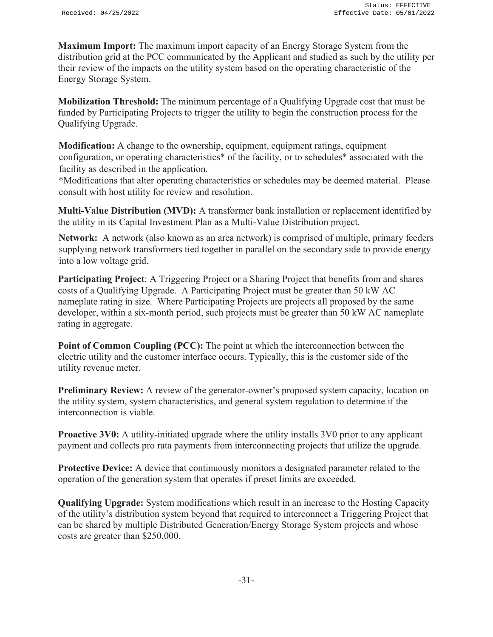**Maximum Import:** The maximum import capacity of an Energy Storage System from the distribution grid at the PCC communicated by the Applicant and studied as such by the utility per their review of the impacts on the utility system based on the operating characteristic of the Energy Storage System.

**Mobilization Threshold:** The minimum percentage of a Qualifying Upgrade cost that must be funded by Participating Projects to trigger the utility to begin the construction process for the Qualifying Upgrade.

**Modification:** A change to the ownership, equipment, equipment ratings, equipment configuration, or operating characteristics\* of the facility, or to schedules\* associated with the facility as described in the application.

\*Modifications that alter operating characteristics or schedules may be deemed material. Please consult with host utility for review and resolution.

**Multi-Value Distribution (MVD):** A transformer bank installation or replacement identified by the utility in its Capital Investment Plan as a Multi-Value Distribution project.

**Network:** A network (also known as an area network) is comprised of multiple, primary feeders supplying network transformers tied together in parallel on the secondary side to provide energy into a low voltage grid.

**Participating Project**: A Triggering Project or a Sharing Project that benefits from and shares costs of a Qualifying Upgrade. A Participating Project must be greater than 50 kW AC nameplate rating in size. Where Participating Projects are projects all proposed by the same developer, within a six-month period, such projects must be greater than 50 kW AC nameplate rating in aggregate.

**Point of Common Coupling (PCC):** The point at which the interconnection between the electric utility and the customer interface occurs. Typically, this is the customer side of the utility revenue meter.

**Preliminary Review:** A review of the generator-owner's proposed system capacity, location on the utility system, system characteristics, and general system regulation to determine if the interconnection is viable.

**Proactive 3V0:** A utility-initiated upgrade where the utility installs 3V0 prior to any applicant payment and collects pro rata payments from interconnecting projects that utilize the upgrade.

**Protective Device:** A device that continuously monitors a designated parameter related to the operation of the generation system that operates if preset limits are exceeded.

**Qualifying Upgrade:** System modifications which result in an increase to the Hosting Capacity of the utility's distribution system beyond that required to interconnect a Triggering Project that can be shared by multiple Distributed Generation/Energy Storage System projects and whose costs are greater than \$250,000.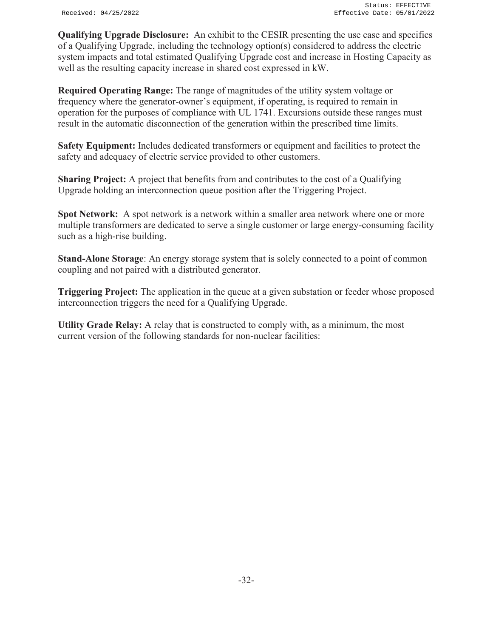**Qualifying Upgrade Disclosure:** An exhibit to the CESIR presenting the use case and specifics of a Qualifying Upgrade, including the technology option(s) considered to address the electric system impacts and total estimated Qualifying Upgrade cost and increase in Hosting Capacity as well as the resulting capacity increase in shared cost expressed in kW.

**Required Operating Range:** The range of magnitudes of the utility system voltage or frequency where the generator-owner's equipment, if operating, is required to remain in operation for the purposes of compliance with UL 1741. Excursions outside these ranges must result in the automatic disconnection of the generation within the prescribed time limits.

**Safety Equipment:** Includes dedicated transformers or equipment and facilities to protect the safety and adequacy of electric service provided to other customers.

**Sharing Project:** A project that benefits from and contributes to the cost of a Qualifying Upgrade holding an interconnection queue position after the Triggering Project.

**Spot Network:** A spot network is a network within a smaller area network where one or more multiple transformers are dedicated to serve a single customer or large energy-consuming facility such as a high-rise building.

**Stand-Alone Storage**: An energy storage system that is solely connected to a point of common coupling and not paired with a distributed generator.

**Triggering Project:** The application in the queue at a given substation or feeder whose proposed interconnection triggers the need for a Qualifying Upgrade.

**Utility Grade Relay:** A relay that is constructed to comply with, as a minimum, the most current version of the following standards for non-nuclear facilities: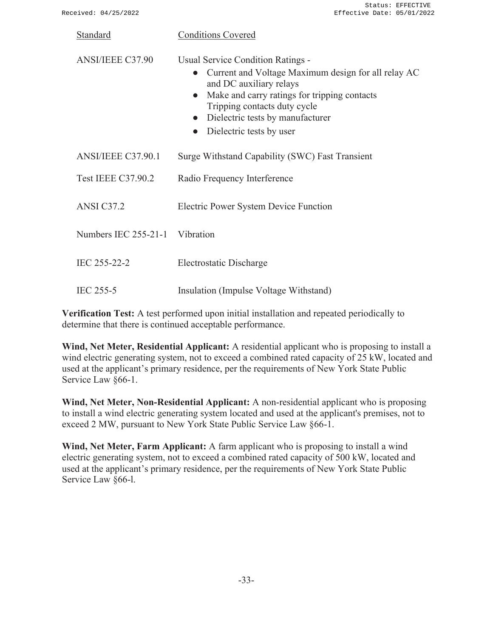| Standard                       | <b>Conditions Covered</b>                                                                                                                                                                                                                                                        |
|--------------------------------|----------------------------------------------------------------------------------------------------------------------------------------------------------------------------------------------------------------------------------------------------------------------------------|
| <b>ANSI/IEEE C37.90</b>        | Usual Service Condition Ratings -<br>Current and Voltage Maximum design for all relay AC<br>and DC auxiliary relays<br>Make and carry ratings for tripping contacts<br>Tripping contacts duty cycle<br>Dielectric tests by manufacturer<br>Dielectric tests by user<br>$\bullet$ |
| ANSI/IEEE C37.90.1             | Surge Withstand Capability (SWC) Fast Transient                                                                                                                                                                                                                                  |
| <b>Test IEEE C37.90.2</b>      | Radio Frequency Interference                                                                                                                                                                                                                                                     |
| ANSI C37.2                     | Electric Power System Device Function                                                                                                                                                                                                                                            |
| Numbers IEC 255-21-1 Vibration |                                                                                                                                                                                                                                                                                  |
| IEC 255-22-2                   | Electrostatic Discharge                                                                                                                                                                                                                                                          |
| IEC 255-5                      | Insulation (Impulse Voltage Withstand)                                                                                                                                                                                                                                           |

**Verification Test:** A test performed upon initial installation and repeated periodically to determine that there is continued acceptable performance.

**Wind, Net Meter, Residential Applicant:** A residential applicant who is proposing to install a wind electric generating system, not to exceed a combined rated capacity of 25 kW, located and used at the applicant's primary residence, per the requirements of New York State Public Service Law §66-1.

**Wind, Net Meter, Non-Residential Applicant:** A non-residential applicant who is proposing to install a wind electric generating system located and used at the applicant's premises, not to exceed 2 MW, pursuant to New York State Public Service Law §66-1.

**Wind, Net Meter, Farm Applicant:** A farm applicant who is proposing to install a wind electric generating system, not to exceed a combined rated capacity of 500 kW, located and used at the applicant's primary residence, per the requirements of New York State Public Service Law §66-l.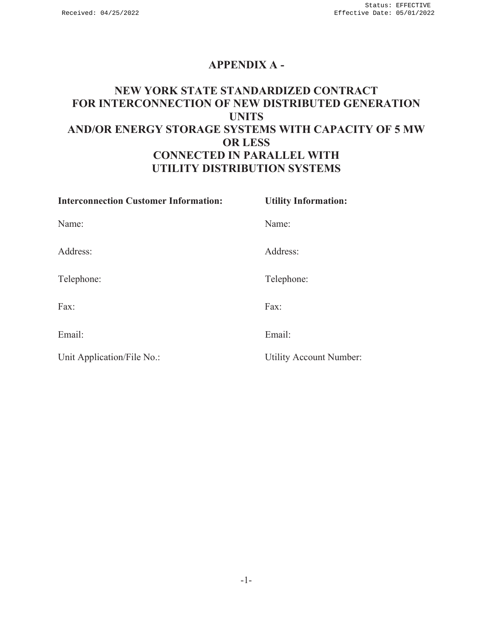# **APPENDIX A -**

# **NEW YORK STATE STANDARDIZED CONTRACT FOR INTERCONNECTION OF NEW DISTRIBUTED GENERATION UNITS AND/OR ENERGY STORAGE SYSTEMS WITH CAPACITY OF 5 MW OR LESS CONNECTED IN PARALLEL WITH UTILITY DISTRIBUTION SYSTEMS**

| <b>Interconnection Customer Information:</b> | <b>Utility Information:</b>    |
|----------------------------------------------|--------------------------------|
| Name:                                        | Name:                          |
| Address:                                     | Address:                       |
| Telephone:                                   | Telephone:                     |
| Fax:                                         | Fax:                           |
| Email:                                       | Email:                         |
| Unit Application/File No.:                   | <b>Utility Account Number:</b> |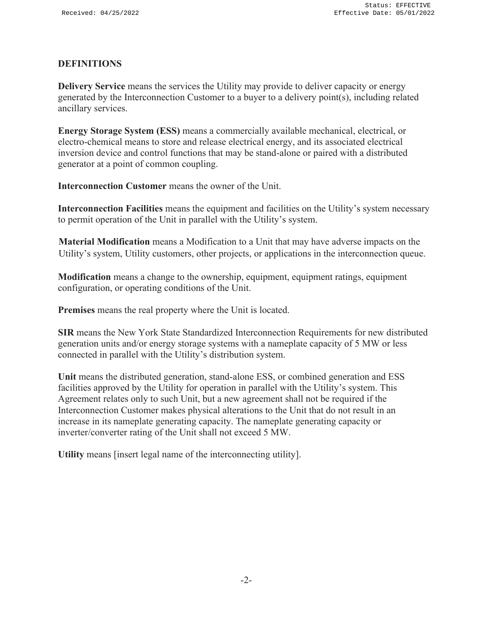#### **DEFINITIONS**

**Delivery Service** means the services the Utility may provide to deliver capacity or energy generated by the Interconnection Customer to a buyer to a delivery point(s), including related ancillary services.

**Energy Storage System (ESS)** means a commercially available mechanical, electrical, or electro-chemical means to store and release electrical energy, and its associated electrical inversion device and control functions that may be stand-alone or paired with a distributed generator at a point of common coupling.

**Interconnection Customer** means the owner of the Unit.

**Interconnection Facilities** means the equipment and facilities on the Utility's system necessary to permit operation of the Unit in parallel with the Utility's system.

**Material Modification** means a Modification to a Unit that may have adverse impacts on the Utility's system, Utility customers, other projects, or applications in the interconnection queue.

**Modification** means a change to the ownership, equipment, equipment ratings, equipment configuration, or operating conditions of the Unit.

**Premises** means the real property where the Unit is located.

**SIR** means the New York State Standardized Interconnection Requirements for new distributed generation units and/or energy storage systems with a nameplate capacity of 5 MW or less connected in parallel with the Utility's distribution system.

**Unit** means the distributed generation, stand-alone ESS, or combined generation and ESS facilities approved by the Utility for operation in parallel with the Utility's system. This Agreement relates only to such Unit, but a new agreement shall not be required if the Interconnection Customer makes physical alterations to the Unit that do not result in an increase in its nameplate generating capacity. The nameplate generating capacity or inverter/converter rating of the Unit shall not exceed 5 MW.

**Utility** means [insert legal name of the interconnecting utility].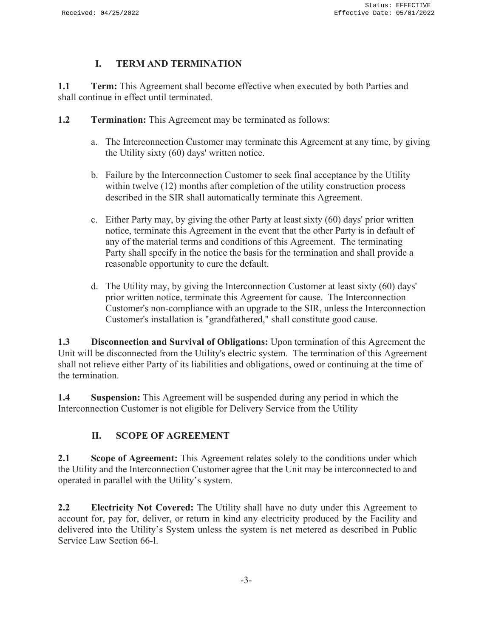### **I. TERM AND TERMINATION**

**1.1 Term:** This Agreement shall become effective when executed by both Parties and shall continue in effect until terminated.

- **1.2 Termination:** This Agreement may be terminated as follows:
	- a. The Interconnection Customer may terminate this Agreement at any time, by giving the Utility sixty (60) days' written notice.
	- b. Failure by the Interconnection Customer to seek final acceptance by the Utility within twelve (12) months after completion of the utility construction process described in the SIR shall automatically terminate this Agreement.
	- c. Either Party may, by giving the other Party at least sixty (60) days' prior written notice, terminate this Agreement in the event that the other Party is in default of any of the material terms and conditions of this Agreement. The terminating Party shall specify in the notice the basis for the termination and shall provide a reasonable opportunity to cure the default.
	- d. The Utility may, by giving the Interconnection Customer at least sixty (60) days' prior written notice, terminate this Agreement for cause. The Interconnection Customer's non-compliance with an upgrade to the SIR, unless the Interconnection Customer's installation is "grandfathered," shall constitute good cause.

**1.3 Disconnection and Survival of Obligations:** Upon termination of this Agreement the Unit will be disconnected from the Utility's electric system. The termination of this Agreement shall not relieve either Party of its liabilities and obligations, owed or continuing at the time of the termination.

**1.4 Suspension:** This Agreement will be suspended during any period in which the Interconnection Customer is not eligible for Delivery Service from the Utility

## **II. SCOPE OF AGREEMENT**

**2.1 Scope of Agreement:** This Agreement relates solely to the conditions under which the Utility and the Interconnection Customer agree that the Unit may be interconnected to and operated in parallel with the Utility's system.

**2.2 Electricity Not Covered:** The Utility shall have no duty under this Agreement to account for, pay for, deliver, or return in kind any electricity produced by the Facility and delivered into the Utility's System unless the system is net metered as described in Public Service Law Section 66-l.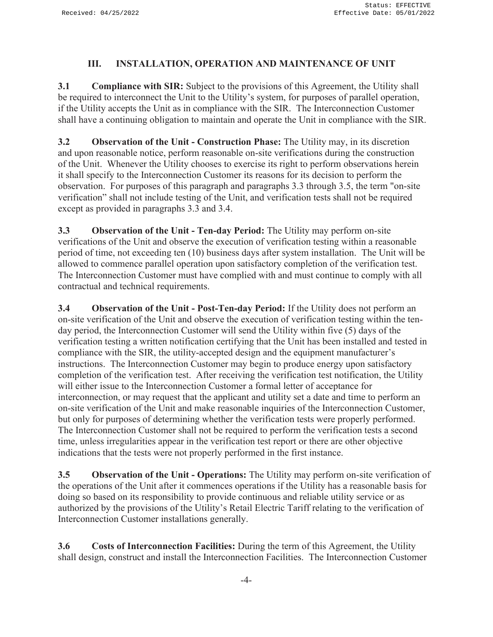### **III. INSTALLATION, OPERATION AND MAINTENANCE OF UNIT**

**3.1 Compliance with SIR:** Subject to the provisions of this Agreement, the Utility shall be required to interconnect the Unit to the Utility's system, for purposes of parallel operation, if the Utility accepts the Unit as in compliance with the SIR. The Interconnection Customer shall have a continuing obligation to maintain and operate the Unit in compliance with the SIR.

**3.2 Observation of the Unit - Construction Phase:** The Utility may, in its discretion and upon reasonable notice, perform reasonable on-site verifications during the construction of the Unit. Whenever the Utility chooses to exercise its right to perform observations herein it shall specify to the Interconnection Customer its reasons for its decision to perform the observation. For purposes of this paragraph and paragraphs 3.3 through 3.5, the term "on-site verification" shall not include testing of the Unit, and verification tests shall not be required except as provided in paragraphs 3.3 and 3.4.

**3.3 Observation of the Unit - Ten-day Period:** The Utility may perform on-site verifications of the Unit and observe the execution of verification testing within a reasonable period of time, not exceeding ten (10) business days after system installation. The Unit will be allowed to commence parallel operation upon satisfactory completion of the verification test. The Interconnection Customer must have complied with and must continue to comply with all contractual and technical requirements.

**3.4 Observation of the Unit - Post-Ten-day Period:** If the Utility does not perform an on-site verification of the Unit and observe the execution of verification testing within the tenday period, the Interconnection Customer will send the Utility within five (5) days of the verification testing a written notification certifying that the Unit has been installed and tested in compliance with the SIR, the utility-accepted design and the equipment manufacturer's instructions. The Interconnection Customer may begin to produce energy upon satisfactory completion of the verification test. After receiving the verification test notification, the Utility will either issue to the Interconnection Customer a formal letter of acceptance for interconnection, or may request that the applicant and utility set a date and time to perform an on-site verification of the Unit and make reasonable inquiries of the Interconnection Customer, but only for purposes of determining whether the verification tests were properly performed. The Interconnection Customer shall not be required to perform the verification tests a second time, unless irregularities appear in the verification test report or there are other objective indications that the tests were not properly performed in the first instance.

**3.5 Observation of the Unit - Operations:** The Utility may perform on-site verification of the operations of the Unit after it commences operations if the Utility has a reasonable basis for doing so based on its responsibility to provide continuous and reliable utility service or as authorized by the provisions of the Utility's Retail Electric Tariff relating to the verification of Interconnection Customer installations generally.

**3.6 Costs of Interconnection Facilities:** During the term of this Agreement, the Utility shall design, construct and install the Interconnection Facilities. The Interconnection Customer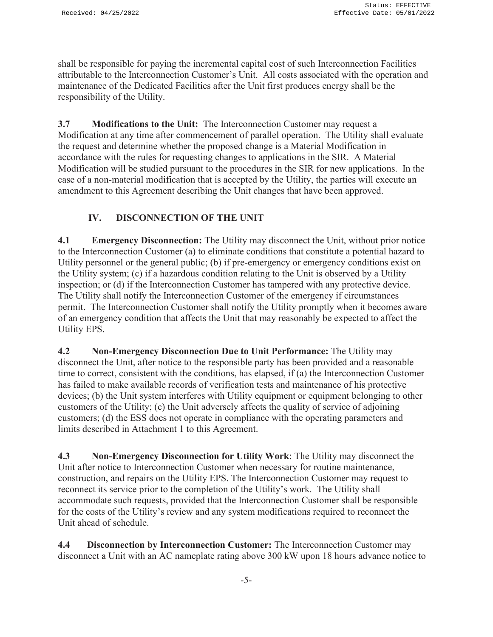shall be responsible for paying the incremental capital cost of such Interconnection Facilities attributable to the Interconnection Customer's Unit. All costs associated with the operation and maintenance of the Dedicated Facilities after the Unit first produces energy shall be the responsibility of the Utility.

**3.7 Modifications to the Unit:** The Interconnection Customer may request a Modification at any time after commencement of parallel operation. The Utility shall evaluate the request and determine whether the proposed change is a Material Modification in accordance with the rules for requesting changes to applications in the SIR. A Material Modification will be studied pursuant to the procedures in the SIR for new applications. In the case of a non-material modification that is accepted by the Utility, the parties will execute an amendment to this Agreement describing the Unit changes that have been approved.

## **IV. DISCONNECTION OF THE UNIT**

**4.1 Emergency Disconnection:** The Utility may disconnect the Unit, without prior notice to the Interconnection Customer (a) to eliminate conditions that constitute a potential hazard to Utility personnel or the general public; (b) if pre-emergency or emergency conditions exist on the Utility system; (c) if a hazardous condition relating to the Unit is observed by a Utility inspection; or (d) if the Interconnection Customer has tampered with any protective device. The Utility shall notify the Interconnection Customer of the emergency if circumstances permit. The Interconnection Customer shall notify the Utility promptly when it becomes aware of an emergency condition that affects the Unit that may reasonably be expected to affect the Utility EPS.

**4.2 Non-Emergency Disconnection Due to Unit Performance:** The Utility may disconnect the Unit, after notice to the responsible party has been provided and a reasonable time to correct, consistent with the conditions, has elapsed, if (a) the Interconnection Customer has failed to make available records of verification tests and maintenance of his protective devices; (b) the Unit system interferes with Utility equipment or equipment belonging to other customers of the Utility; (c) the Unit adversely affects the quality of service of adjoining customers; (d) the ESS does not operate in compliance with the operating parameters and limits described in Attachment 1 to this Agreement.

**4.3 Non-Emergency Disconnection for Utility Work**: The Utility may disconnect the Unit after notice to Interconnection Customer when necessary for routine maintenance, construction, and repairs on the Utility EPS. The Interconnection Customer may request to reconnect its service prior to the completion of the Utility's work. The Utility shall accommodate such requests, provided that the Interconnection Customer shall be responsible for the costs of the Utility's review and any system modifications required to reconnect the Unit ahead of schedule.

**4.4 Disconnection by Interconnection Customer:** The Interconnection Customer may disconnect a Unit with an AC nameplate rating above 300 kW upon 18 hours advance notice to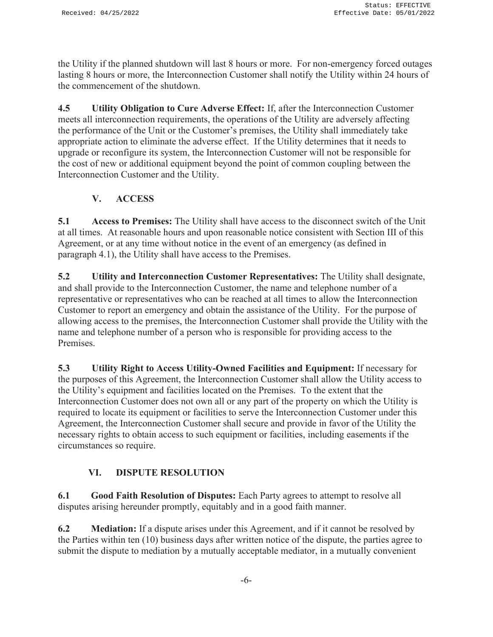the Utility if the planned shutdown will last 8 hours or more. For non-emergency forced outages lasting 8 hours or more, the Interconnection Customer shall notify the Utility within 24 hours of the commencement of the shutdown.

**4.5 Utility Obligation to Cure Adverse Effect:** If, after the Interconnection Customer meets all interconnection requirements, the operations of the Utility are adversely affecting the performance of the Unit or the Customer's premises, the Utility shall immediately take appropriate action to eliminate the adverse effect. If the Utility determines that it needs to upgrade or reconfigure its system, the Interconnection Customer will not be responsible for the cost of new or additional equipment beyond the point of common coupling between the Interconnection Customer and the Utility.

# **V. ACCESS**

**5.1 Access to Premises:** The Utility shall have access to the disconnect switch of the Unit at all times. At reasonable hours and upon reasonable notice consistent with Section III of this Agreement, or at any time without notice in the event of an emergency (as defined in paragraph 4.1), the Utility shall have access to the Premises.

**5.2 Utility and Interconnection Customer Representatives:** The Utility shall designate, and shall provide to the Interconnection Customer, the name and telephone number of a representative or representatives who can be reached at all times to allow the Interconnection Customer to report an emergency and obtain the assistance of the Utility. For the purpose of allowing access to the premises, the Interconnection Customer shall provide the Utility with the name and telephone number of a person who is responsible for providing access to the Premises.

**5.3 Utility Right to Access Utility-Owned Facilities and Equipment:** If necessary for the purposes of this Agreement, the Interconnection Customer shall allow the Utility access to the Utility's equipment and facilities located on the Premises. To the extent that the Interconnection Customer does not own all or any part of the property on which the Utility is required to locate its equipment or facilities to serve the Interconnection Customer under this Agreement, the Interconnection Customer shall secure and provide in favor of the Utility the necessary rights to obtain access to such equipment or facilities, including easements if the circumstances so require.

## **VI. DISPUTE RESOLUTION**

**6.1 Good Faith Resolution of Disputes:** Each Party agrees to attempt to resolve all disputes arising hereunder promptly, equitably and in a good faith manner.

**6.2 Mediation:** If a dispute arises under this Agreement, and if it cannot be resolved by the Parties within ten (10) business days after written notice of the dispute, the parties agree to submit the dispute to mediation by a mutually acceptable mediator, in a mutually convenient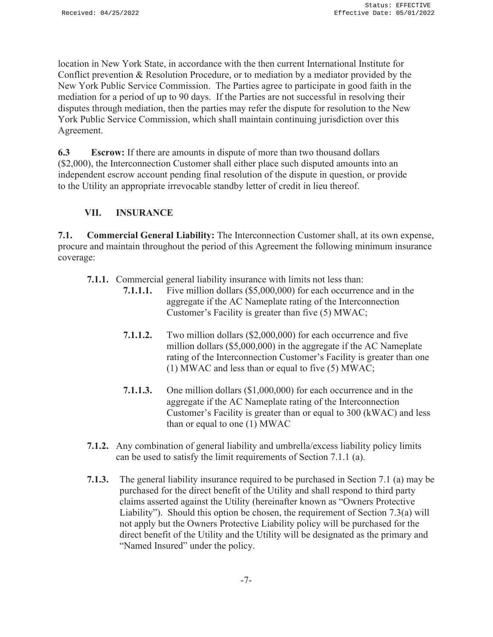location in New York State, in accordance with the then current International Institute for Conflict prevention & Resolution Procedure, or to mediation by a mediator provided by the New York Public Service Commission. The Parties agree to participate in good faith in the mediation for a period of up to 90 days. If the Parties are not successful in resolving their disputes through mediation, then the parties may refer the dispute for resolution to the New York Public Service Commission, which shall maintain continuing jurisdiction over this Agreement.

**6.3 Escrow:** If there are amounts in dispute of more than two thousand dollars (\$2,000), the Interconnection Customer shall either place such disputed amounts into an independent escrow account pending final resolution of the dispute in question, or provide to the Utility an appropriate irrevocable standby letter of credit in lieu thereof.

### **VII. INSURANCE**

**7.1. Commercial General Liability:** The Interconnection Customer shall, at its own expense, procure and maintain throughout the period of this Agreement the following minimum insurance coverage:

- **7.1.1.** Commercial general liability insurance with limits not less than:
	- **7.1.1.1.** Five million dollars (\$5,000,000) for each occurrence and in the aggregate if the AC Nameplate rating of the Interconnection Customer's Facility is greater than five (5) MWAC;
	- **7.1.1.2.** Two million dollars (\$2,000,000) for each occurrence and five million dollars (\$5,000,000) in the aggregate if the AC Nameplate rating of the Interconnection Customer's Facility is greater than one (1) MWAC and less than or equal to five (5) MWAC;
	- **7.1.1.3.** One million dollars (\$1,000,000) for each occurrence and in the aggregate if the AC Nameplate rating of the Interconnection Customer's Facility is greater than or equal to 300 (kWAC) and less than or equal to one (1) MWAC
- **7.1.2.** Any combination of general liability and umbrella/excess liability policy limits can be used to satisfy the limit requirements of Section 7.1.1 (a).
- **7.1.3.** The general liability insurance required to be purchased in Section 7.1 (a) may be purchased for the direct benefit of the Utility and shall respond to third party claims asserted against the Utility (hereinafter known as "Owners Protective Liability"). Should this option be chosen, the requirement of Section 7.3(a) will not apply but the Owners Protective Liability policy will be purchased for the direct benefit of the Utility and the Utility will be designated as the primary and "Named Insured" under the policy.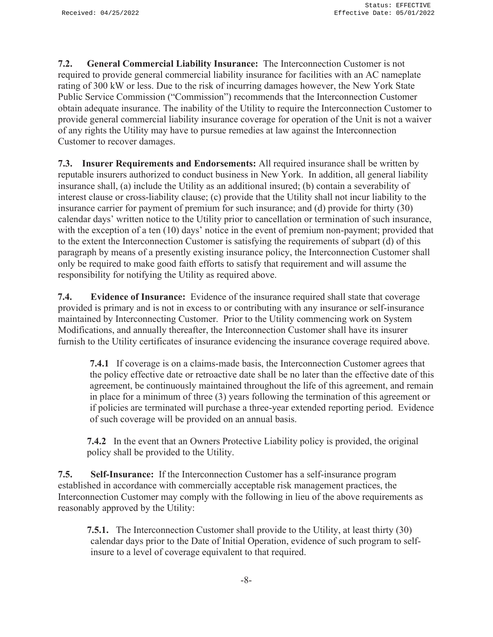**7.2. General Commercial Liability Insurance:** The Interconnection Customer is not required to provide general commercial liability insurance for facilities with an AC nameplate rating of 300 kW or less. Due to the risk of incurring damages however, the New York State Public Service Commission ("Commission") recommends that the Interconnection Customer obtain adequate insurance. The inability of the Utility to require the Interconnection Customer to provide general commercial liability insurance coverage for operation of the Unit is not a waiver of any rights the Utility may have to pursue remedies at law against the Interconnection Customer to recover damages.

**7.3. Insurer Requirements and Endorsements:** All required insurance shall be written by reputable insurers authorized to conduct business in New York. In addition, all general liability insurance shall, (a) include the Utility as an additional insured; (b) contain a severability of interest clause or cross-liability clause; (c) provide that the Utility shall not incur liability to the insurance carrier for payment of premium for such insurance; and (d) provide for thirty (30) calendar days' written notice to the Utility prior to cancellation or termination of such insurance, with the exception of a ten (10) days' notice in the event of premium non-payment; provided that to the extent the Interconnection Customer is satisfying the requirements of subpart (d) of this paragraph by means of a presently existing insurance policy, the Interconnection Customer shall only be required to make good faith efforts to satisfy that requirement and will assume the responsibility for notifying the Utility as required above.

**7.4. Evidence of Insurance:** Evidence of the insurance required shall state that coverage provided is primary and is not in excess to or contributing with any insurance or self-insurance maintained by Interconnecting Customer. Prior to the Utility commencing work on System Modifications, and annually thereafter, the Interconnection Customer shall have its insurer furnish to the Utility certificates of insurance evidencing the insurance coverage required above.

**7.4.1** If coverage is on a claims-made basis, the Interconnection Customer agrees that the policy effective date or retroactive date shall be no later than the effective date of this agreement, be continuously maintained throughout the life of this agreement, and remain in place for a minimum of three (3) years following the termination of this agreement or if policies are terminated will purchase a three-year extended reporting period. Evidence of such coverage will be provided on an annual basis.

**7.4.2** In the event that an Owners Protective Liability policy is provided, the original policy shall be provided to the Utility.

**7.5. Self-Insurance:** If the Interconnection Customer has a self-insurance program established in accordance with commercially acceptable risk management practices, the Interconnection Customer may comply with the following in lieu of the above requirements as reasonably approved by the Utility:

**7.5.1.** The Interconnection Customer shall provide to the Utility, at least thirty (30) calendar days prior to the Date of Initial Operation, evidence of such program to selfinsure to a level of coverage equivalent to that required.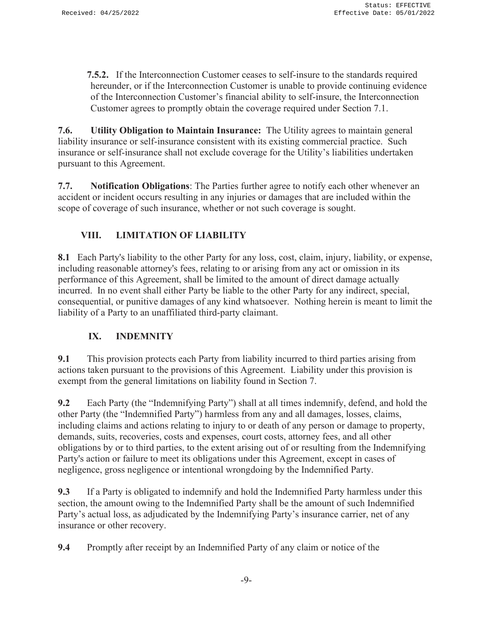**7.5.2.** If the Interconnection Customer ceases to self-insure to the standards required hereunder, or if the Interconnection Customer is unable to provide continuing evidence of the Interconnection Customer's financial ability to self-insure, the Interconnection Customer agrees to promptly obtain the coverage required under Section 7.1.

**7.6. Utility Obligation to Maintain Insurance:** The Utility agrees to maintain general liability insurance or self-insurance consistent with its existing commercial practice. Such insurance or self-insurance shall not exclude coverage for the Utility's liabilities undertaken pursuant to this Agreement.

**7.7. Notification Obligations**: The Parties further agree to notify each other whenever an accident or incident occurs resulting in any injuries or damages that are included within the scope of coverage of such insurance, whether or not such coverage is sought.

# **VIII. LIMITATION OF LIABILITY**

**8.1** Each Party's liability to the other Party for any loss, cost, claim, injury, liability, or expense, including reasonable attorney's fees, relating to or arising from any act or omission in its performance of this Agreement, shall be limited to the amount of direct damage actually incurred. In no event shall either Party be liable to the other Party for any indirect, special, consequential, or punitive damages of any kind whatsoever. Nothing herein is meant to limit the liability of a Party to an unaffiliated third-party claimant.

## **IX. INDEMNITY**

**9.1** This provision protects each Party from liability incurred to third parties arising from actions taken pursuant to the provisions of this Agreement. Liability under this provision is exempt from the general limitations on liability found in Section 7.

**9.2** Each Party (the "Indemnifying Party") shall at all times indemnify, defend, and hold the other Party (the "Indemnified Party") harmless from any and all damages, losses, claims, including claims and actions relating to injury to or death of any person or damage to property, demands, suits, recoveries, costs and expenses, court costs, attorney fees, and all other obligations by or to third parties, to the extent arising out of or resulting from the Indemnifying Party's action or failure to meet its obligations under this Agreement, except in cases of negligence, gross negligence or intentional wrongdoing by the Indemnified Party.

**9.3** If a Party is obligated to indemnify and hold the Indemnified Party harmless under this section, the amount owing to the Indemnified Party shall be the amount of such Indemnified Party's actual loss, as adjudicated by the Indemnifying Party's insurance carrier, net of any insurance or other recovery.

**9.4** Promptly after receipt by an Indemnified Party of any claim or notice of the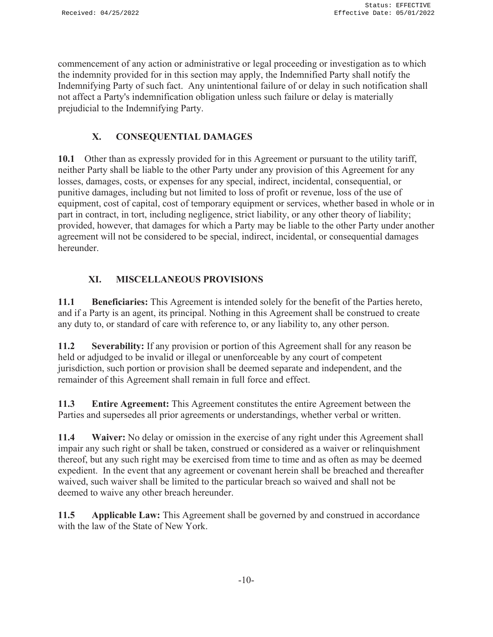commencement of any action or administrative or legal proceeding or investigation as to which the indemnity provided for in this section may apply, the Indemnified Party shall notify the Indemnifying Party of such fact. Any unintentional failure of or delay in such notification shall not affect a Party's indemnification obligation unless such failure or delay is materially prejudicial to the Indemnifying Party.

# **X. CONSEQUENTIAL DAMAGES**

**10.1** Other than as expressly provided for in this Agreement or pursuant to the utility tariff, neither Party shall be liable to the other Party under any provision of this Agreement for any losses, damages, costs, or expenses for any special, indirect, incidental, consequential, or punitive damages, including but not limited to loss of profit or revenue, loss of the use of equipment, cost of capital, cost of temporary equipment or services, whether based in whole or in part in contract, in tort, including negligence, strict liability, or any other theory of liability; provided, however, that damages for which a Party may be liable to the other Party under another agreement will not be considered to be special, indirect, incidental, or consequential damages hereunder.

# **XI. MISCELLANEOUS PROVISIONS**

**11.1 Beneficiaries:** This Agreement is intended solely for the benefit of the Parties hereto, and if a Party is an agent, its principal. Nothing in this Agreement shall be construed to create any duty to, or standard of care with reference to, or any liability to, any other person.

**11.2 Severability:** If any provision or portion of this Agreement shall for any reason be held or adjudged to be invalid or illegal or unenforceable by any court of competent jurisdiction, such portion or provision shall be deemed separate and independent, and the remainder of this Agreement shall remain in full force and effect.

**11.3 Entire Agreement:** This Agreement constitutes the entire Agreement between the Parties and supersedes all prior agreements or understandings, whether verbal or written.

**11.4 Waiver:** No delay or omission in the exercise of any right under this Agreement shall impair any such right or shall be taken, construed or considered as a waiver or relinquishment thereof, but any such right may be exercised from time to time and as often as may be deemed expedient. In the event that any agreement or covenant herein shall be breached and thereafter waived, such waiver shall be limited to the particular breach so waived and shall not be deemed to waive any other breach hereunder.

**11.5 Applicable Law:** This Agreement shall be governed by and construed in accordance with the law of the State of New York.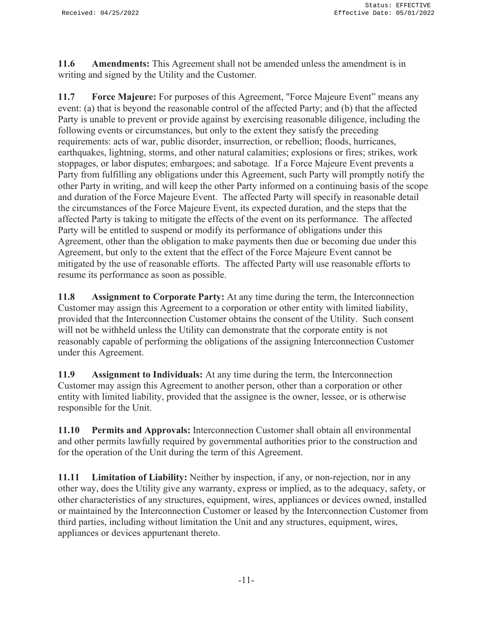**11.6 Amendments:** This Agreement shall not be amended unless the amendment is in writing and signed by the Utility and the Customer.

**11.7 Force Majeure:** For purposes of this Agreement, "Force Majeure Event" means any event: (a) that is beyond the reasonable control of the affected Party; and (b) that the affected Party is unable to prevent or provide against by exercising reasonable diligence, including the following events or circumstances, but only to the extent they satisfy the preceding requirements: acts of war, public disorder, insurrection, or rebellion; floods, hurricanes, earthquakes, lightning, storms, and other natural calamities; explosions or fires; strikes, work stoppages, or labor disputes; embargoes; and sabotage. If a Force Majeure Event prevents a Party from fulfilling any obligations under this Agreement, such Party will promptly notify the other Party in writing, and will keep the other Party informed on a continuing basis of the scope and duration of the Force Majeure Event. The affected Party will specify in reasonable detail the circumstances of the Force Majeure Event, its expected duration, and the steps that the affected Party is taking to mitigate the effects of the event on its performance. The affected Party will be entitled to suspend or modify its performance of obligations under this Agreement, other than the obligation to make payments then due or becoming due under this Agreement, but only to the extent that the effect of the Force Majeure Event cannot be mitigated by the use of reasonable efforts. The affected Party will use reasonable efforts to resume its performance as soon as possible.

**11.8 Assignment to Corporate Party:** At any time during the term, the Interconnection Customer may assign this Agreement to a corporation or other entity with limited liability, provided that the Interconnection Customer obtains the consent of the Utility. Such consent will not be withheld unless the Utility can demonstrate that the corporate entity is not reasonably capable of performing the obligations of the assigning Interconnection Customer under this Agreement.

**11.9 Assignment to Individuals:** At any time during the term, the Interconnection Customer may assign this Agreement to another person, other than a corporation or other entity with limited liability, provided that the assignee is the owner, lessee, or is otherwise responsible for the Unit.

**11.10 Permits and Approvals:** Interconnection Customer shall obtain all environmental and other permits lawfully required by governmental authorities prior to the construction and for the operation of the Unit during the term of this Agreement.

**11.11 Limitation of Liability:** Neither by inspection, if any, or non-rejection, nor in any other way, does the Utility give any warranty, express or implied, as to the adequacy, safety, or other characteristics of any structures, equipment, wires, appliances or devices owned, installed or maintained by the Interconnection Customer or leased by the Interconnection Customer from third parties, including without limitation the Unit and any structures, equipment, wires, appliances or devices appurtenant thereto.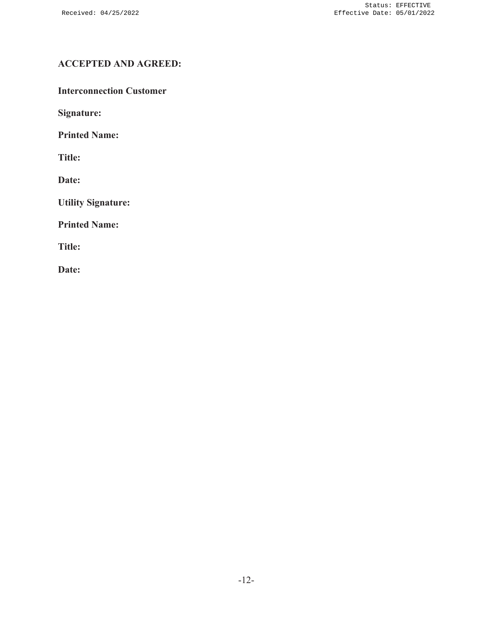# **ACCEPTED AND AGREED:**

**Interconnection Customer** 

**Signature:** 

**Printed Name:** 

**Title:** 

**Date:** 

**Utility Signature:** 

**Printed Name:** 

**Title:** 

**Date:**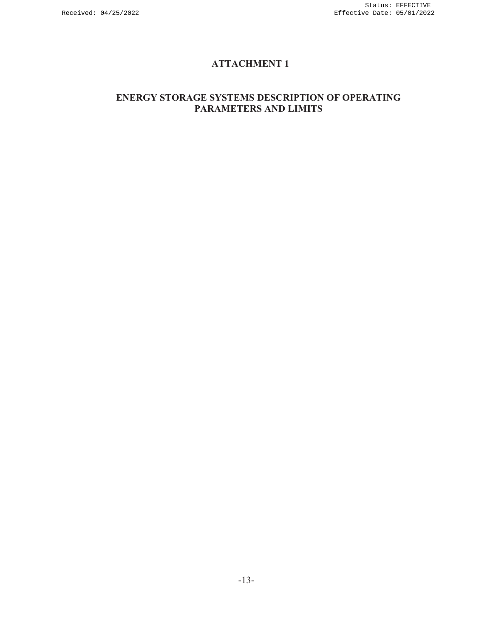# **ATTACHMENT 1**

### **ENERGY STORAGE SYSTEMS DESCRIPTION OF OPERATING PARAMETERS AND LIMITS**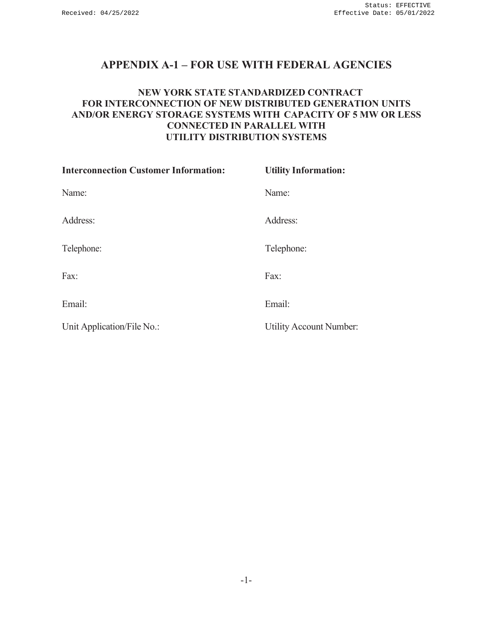# **APPENDIX A-1 – FOR USE WITH FEDERAL AGENCIES**

### **NEW YORK STATE STANDARDIZED CONTRACT FOR INTERCONNECTION OF NEW DISTRIBUTED GENERATION UNITS AND/OR ENERGY STORAGE SYSTEMS WITH CAPACITY OF 5 MW OR LESS CONNECTED IN PARALLEL WITH UTILITY DISTRIBUTION SYSTEMS**

| <b>Interconnection Customer Information:</b> | <b>Utility Information:</b>    |
|----------------------------------------------|--------------------------------|
| Name:                                        | Name:                          |
| Address:                                     | Address:                       |
| Telephone:                                   | Telephone:                     |
| Fax:                                         | Fax:                           |
| Email:                                       | Email:                         |
| Unit Application/File No.:                   | <b>Utility Account Number:</b> |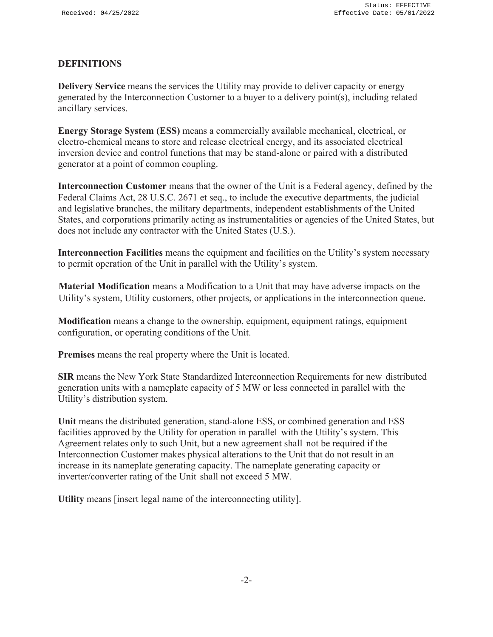### **DEFINITIONS**

**Delivery Service** means the services the Utility may provide to deliver capacity or energy generated by the Interconnection Customer to a buyer to a delivery point(s), including related ancillary services.

**Energy Storage System (ESS)** means a commercially available mechanical, electrical, or electro-chemical means to store and release electrical energy, and its associated electrical inversion device and control functions that may be stand-alone or paired with a distributed generator at a point of common coupling.

**Interconnection Customer** means that the owner of the Unit is a Federal agency, defined by the Federal Claims Act, 28 U.S.C. 2671 et seq., to include the executive departments, the judicial and legislative branches, the military departments, independent establishments of the United States, and corporations primarily acting as instrumentalities or agencies of the United States, but does not include any contractor with the United States (U.S.).

**Interconnection Facilities** means the equipment and facilities on the Utility's system necessary to permit operation of the Unit in parallel with the Utility's system.

**Material Modification** means a Modification to a Unit that may have adverse impacts on the Utility's system, Utility customers, other projects, or applications in the interconnection queue.

**Modification** means a change to the ownership, equipment, equipment ratings, equipment configuration, or operating conditions of the Unit.

**Premises** means the real property where the Unit is located.

**SIR** means the New York State Standardized Interconnection Requirements for new distributed generation units with a nameplate capacity of 5 MW or less connected in parallel with the Utility's distribution system.

**Unit** means the distributed generation, stand-alone ESS, or combined generation and ESS facilities approved by the Utility for operation in parallel with the Utility's system. This Agreement relates only to such Unit, but a new agreement shall not be required if the Interconnection Customer makes physical alterations to the Unit that do not result in an increase in its nameplate generating capacity. The nameplate generating capacity or inverter/converter rating of the Unit shall not exceed 5 MW.

**Utility** means [insert legal name of the interconnecting utility].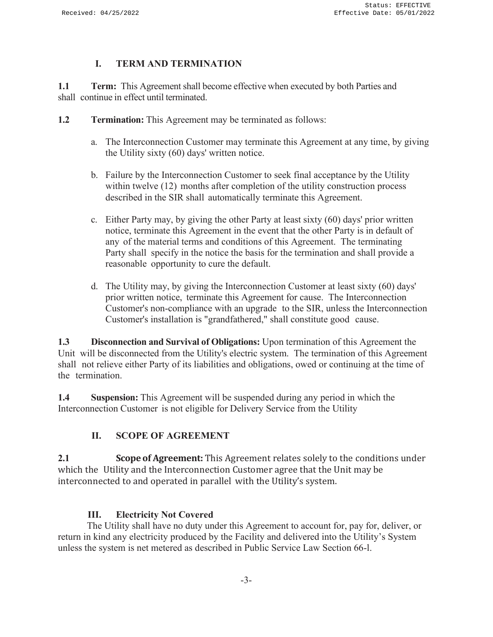### **I. TERM AND TERMINATION**

**1.1 Term:** This Agreement shall become effective when executed by both Parties and shall continue in effect until terminated.

- **1.2 Termination:** This Agreement may be terminated as follows:
	- a. The Interconnection Customer may terminate this Agreement at any time, by giving the Utility sixty (60) days' written notice.
	- b. Failure by the Interconnection Customer to seek final acceptance by the Utility within twelve (12) months after completion of the utility construction process described in the SIR shall automatically terminate this Agreement.
	- c. Either Party may, by giving the other Party at least sixty (60) days' prior written notice, terminate this Agreement in the event that the other Party is in default of any of the material terms and conditions of this Agreement. The terminating Party shall specify in the notice the basis for the termination and shall provide a reasonable opportunity to cure the default.
	- d. The Utility may, by giving the Interconnection Customer at least sixty (60) days' prior written notice, terminate this Agreement for cause. The Interconnection Customer's non-compliance with an upgrade to the SIR, unless the Interconnection Customer's installation is "grandfathered," shall constitute good cause.

**1.3 Disconnection and Survival of Obligations:** Upon termination of this Agreement the Unit will be disconnected from the Utility's electric system. The termination of this Agreement shall not relieve either Party of its liabilities and obligations, owed or continuing at the time of the termination.

**1.4 Suspension:** This Agreement will be suspended during any period in which the Interconnection Customer is not eligible for Delivery Service from the Utility

## **II. SCOPE OF AGREEMENT**

**2.1 Scope of Agreement:** This Agreement relates solely to the conditions under which the Utility and the Interconnection Customer agree that the Unit may be interconnected to and operated in parallel with the Utility's system.

### **III. Electricity Not Covered**

The Utility shall have no duty under this Agreement to account for, pay for, deliver, or return in kind any electricity produced by the Facility and delivered into the Utility's System unless the system is net metered as described in Public Service Law Section 66-l.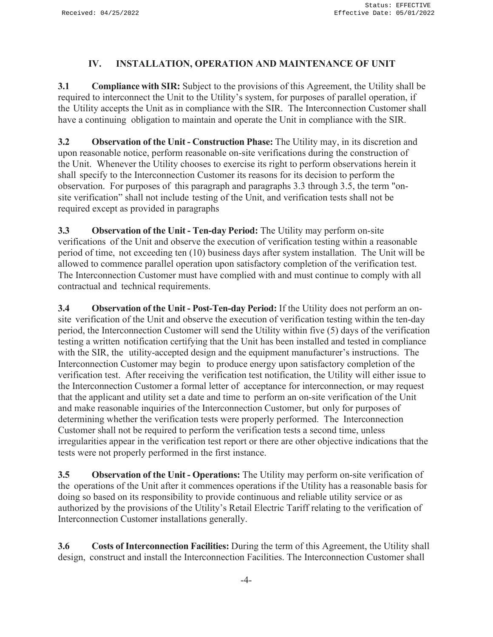### **IV. INSTALLATION, OPERATION AND MAINTENANCE OF UNIT**

**3.1 Compliance with SIR:** Subject to the provisions of this Agreement, the Utility shall be required to interconnect the Unit to the Utility's system, for purposes of parallel operation, if the Utility accepts the Unit as in compliance with the SIR. The Interconnection Customer shall have a continuing obligation to maintain and operate the Unit in compliance with the SIR.

**3.2 Observation of the Unit - Construction Phase:** The Utility may, in its discretion and upon reasonable notice, perform reasonable on-site verifications during the construction of the Unit. Whenever the Utility chooses to exercise its right to perform observations herein it shall specify to the Interconnection Customer its reasons for its decision to perform the observation. For purposes of this paragraph and paragraphs 3.3 through 3.5, the term "onsite verification" shall not include testing of the Unit, and verification tests shall not be required except as provided in paragraphs

**3.3 Observation of the Unit - Ten-day Period:** The Utility may perform on-site verifications of the Unit and observe the execution of verification testing within a reasonable period of time, not exceeding ten (10) business days after system installation. The Unit will be allowed to commence parallel operation upon satisfactory completion of the verification test. The Interconnection Customer must have complied with and must continue to comply with all contractual and technical requirements.

**3.4 Observation of the Unit - Post-Ten-day Period:** If the Utility does not perform an onsite verification of the Unit and observe the execution of verification testing within the ten-day period, the Interconnection Customer will send the Utility within five (5) days of the verification testing a written notification certifying that the Unit has been installed and tested in compliance with the SIR, the utility-accepted design and the equipment manufacturer's instructions. The Interconnection Customer may begin to produce energy upon satisfactory completion of the verification test. After receiving the verification test notification, the Utility will either issue to the Interconnection Customer a formal letter of acceptance for interconnection, or may request that the applicant and utility set a date and time to perform an on-site verification of the Unit and make reasonable inquiries of the Interconnection Customer, but only for purposes of determining whether the verification tests were properly performed. The Interconnection Customer shall not be required to perform the verification tests a second time, unless irregularities appear in the verification test report or there are other objective indications that the tests were not properly performed in the first instance.

**3.5 Observation of the Unit - Operations:** The Utility may perform on-site verification of the operations of the Unit after it commences operations if the Utility has a reasonable basis for doing so based on its responsibility to provide continuous and reliable utility service or as authorized by the provisions of the Utility's Retail Electric Tariff relating to the verification of Interconnection Customer installations generally.

**3.6 Costs of Interconnection Facilities:** During the term of this Agreement, the Utility shall design, construct and install the Interconnection Facilities. The Interconnection Customer shall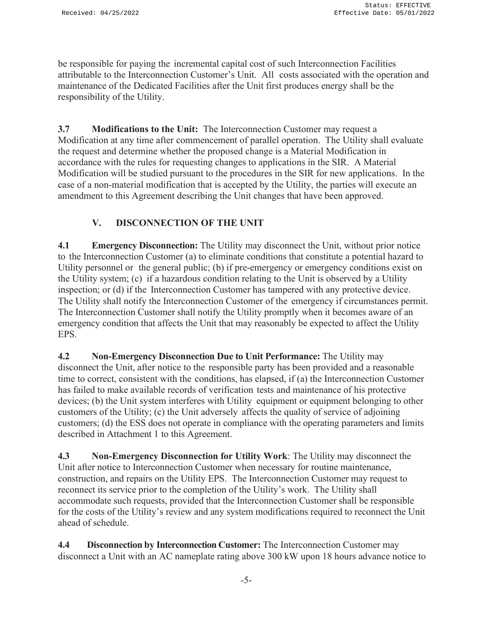be responsible for paying the incremental capital cost of such Interconnection Facilities attributable to the Interconnection Customer's Unit. All costs associated with the operation and maintenance of the Dedicated Facilities after the Unit first produces energy shall be the responsibility of the Utility.

**3.7 Modifications to the Unit:** The Interconnection Customer may request a Modification at any time after commencement of parallel operation. The Utility shall evaluate the request and determine whether the proposed change is a Material Modification in accordance with the rules for requesting changes to applications in the SIR. A Material Modification will be studied pursuant to the procedures in the SIR for new applications. In the case of a non-material modification that is accepted by the Utility, the parties will execute an amendment to this Agreement describing the Unit changes that have been approved.

# **V. DISCONNECTION OF THE UNIT**

**4.1 Emergency Disconnection:** The Utility may disconnect the Unit, without prior notice to the Interconnection Customer (a) to eliminate conditions that constitute a potential hazard to Utility personnel or the general public; (b) if pre-emergency or emergency conditions exist on the Utility system; (c) if a hazardous condition relating to the Unit is observed by a Utility inspection; or (d) if the Interconnection Customer has tampered with any protective device. The Utility shall notify the Interconnection Customer of the emergency if circumstances permit. The Interconnection Customer shall notify the Utility promptly when it becomes aware of an emergency condition that affects the Unit that may reasonably be expected to affect the Utility EPS.

**4.2 Non-Emergency Disconnection Due to Unit Performance:** The Utility may disconnect the Unit, after notice to the responsible party has been provided and a reasonable time to correct, consistent with the conditions, has elapsed, if (a) the Interconnection Customer has failed to make available records of verification tests and maintenance of his protective devices; (b) the Unit system interferes with Utility equipment or equipment belonging to other customers of the Utility; (c) the Unit adversely affects the quality of service of adjoining customers; (d) the ESS does not operate in compliance with the operating parameters and limits described in Attachment 1 to this Agreement.

**4.3 Non-Emergency Disconnection for Utility Work**: The Utility may disconnect the Unit after notice to Interconnection Customer when necessary for routine maintenance, construction, and repairs on the Utility EPS. The Interconnection Customer may request to reconnect its service prior to the completion of the Utility's work. The Utility shall accommodate such requests, provided that the Interconnection Customer shall be responsible for the costs of the Utility's review and any system modifications required to reconnect the Unit ahead of schedule.

**4.4 Disconnection by Interconnection Customer:** The Interconnection Customer may disconnect a Unit with an AC nameplate rating above 300 kW upon 18 hours advance notice to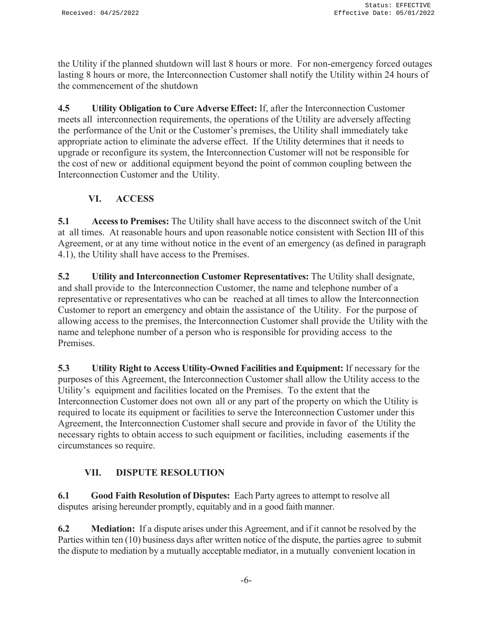the Utility if the planned shutdown will last 8 hours or more. For non-emergency forced outages lasting 8 hours or more, the Interconnection Customer shall notify the Utility within 24 hours of the commencement of the shutdown

**4.5 Utility Obligation to Cure Adverse Effect:** If, after the Interconnection Customer meets all interconnection requirements, the operations of the Utility are adversely affecting the performance of the Unit or the Customer's premises, the Utility shall immediately take appropriate action to eliminate the adverse effect. If the Utility determines that it needs to upgrade or reconfigure its system, the Interconnection Customer will not be responsible for the cost of new or additional equipment beyond the point of common coupling between the Interconnection Customer and the Utility.

# **VI. ACCESS**

**5.1 Access to Premises:** The Utility shall have access to the disconnect switch of the Unit at all times. At reasonable hours and upon reasonable notice consistent with Section III of this Agreement, or at any time without notice in the event of an emergency (as defined in paragraph 4.1), the Utility shall have access to the Premises.

**5.2 Utility and Interconnection Customer Representatives:** The Utility shall designate, and shall provide to the Interconnection Customer, the name and telephone number of a representative or representatives who can be reached at all times to allow the Interconnection Customer to report an emergency and obtain the assistance of the Utility. For the purpose of allowing access to the premises, the Interconnection Customer shall provide the Utility with the name and telephone number of a person who is responsible for providing access to the Premises.

**5.3 Utility Right to Access Utility-Owned Facilities and Equipment:** If necessary for the purposes of this Agreement, the Interconnection Customer shall allow the Utility access to the Utility's equipment and facilities located on the Premises. To the extent that the Interconnection Customer does not own all or any part of the property on which the Utility is required to locate its equipment or facilities to serve the Interconnection Customer under this Agreement, the Interconnection Customer shall secure and provide in favor of the Utility the necessary rights to obtain access to such equipment or facilities, including easements if the circumstances so require.

## **VII. DISPUTE RESOLUTION**

**6.1 Good Faith Resolution of Disputes:** Each Party agrees to attempt to resolve all disputes arising hereunder promptly, equitably and in a good faith manner.

**6.2 Mediation:** If a dispute arises under this Agreement, and if it cannot be resolved by the Parties within ten (10) business days after written notice of the dispute, the parties agree to submit the dispute to mediation by a mutually acceptable mediator, in a mutually convenient location in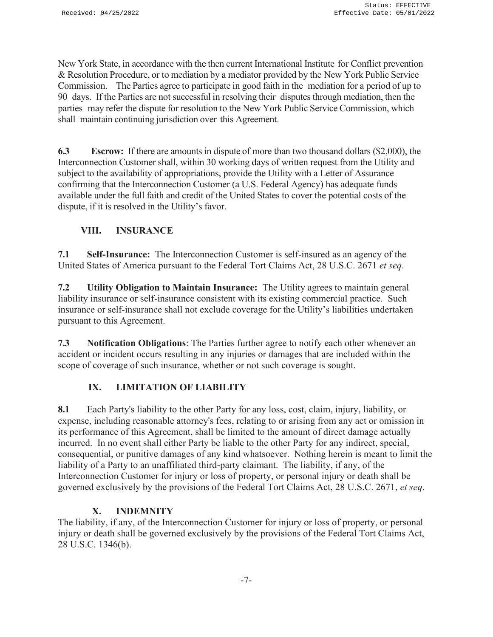New York State, in accordance with the then current International Institute for Conflict prevention & Resolution Procedure, or to mediation by a mediator provided by the New York Public Service Commission. The Parties agree to participate in good faith in the mediation for a period of up to 90 days. If the Parties are not successful in resolving their disputes through mediation, then the parties may refer the dispute for resolution to the New York Public Service Commission, which shall maintain continuing jurisdiction over this Agreement.

**6.3 Escrow:** If there are amounts in dispute of more than two thousand dollars (\$2,000), the Interconnection Customer shall, within 30 working days of written request from the Utility and subject to the availability of appropriations, provide the Utility with a Letter of Assurance confirming that the Interconnection Customer (a U.S. Federal Agency) has adequate funds available under the full faith and credit of the United States to cover the potential costs of the dispute, if it is resolved in the Utility's favor.

## **VIII. INSURANCE**

**7.1 Self-Insurance:** The Interconnection Customer is self-insured as an agency of the United States of America pursuant to the Federal Tort Claims Act, 28 U.S.C. 2671 *et seq*.

**7.2 Utility Obligation to Maintain Insurance:** The Utility agrees to maintain general liability insurance or self-insurance consistent with its existing commercial practice. Such insurance or self-insurance shall not exclude coverage for the Utility's liabilities undertaken pursuant to this Agreement.

**7.3 Notification Obligations**: The Parties further agree to notify each other whenever an accident or incident occurs resulting in any injuries or damages that are included within the scope of coverage of such insurance, whether or not such coverage is sought.

## **IX. LIMITATION OF LIABILITY**

**8.1** Each Party's liability to the other Party for any loss, cost, claim, injury, liability, or expense, including reasonable attorney's fees, relating to or arising from any act or omission in its performance of this Agreement, shall be limited to the amount of direct damage actually incurred. In no event shall either Party be liable to the other Party for any indirect, special, consequential, or punitive damages of any kind whatsoever. Nothing herein is meant to limit the liability of a Party to an unaffiliated third-party claimant. The liability, if any, of the Interconnection Customer for injury or loss of property, or personal injury or death shall be governed exclusively by the provisions of the Federal Tort Claims Act, 28 U.S.C. 2671, *et seq*.

### **X. INDEMNITY**

The liability, if any, of the Interconnection Customer for injury or loss of property, or personal injury or death shall be governed exclusively by the provisions of the Federal Tort Claims Act, 28 U.S.C. 1346(b).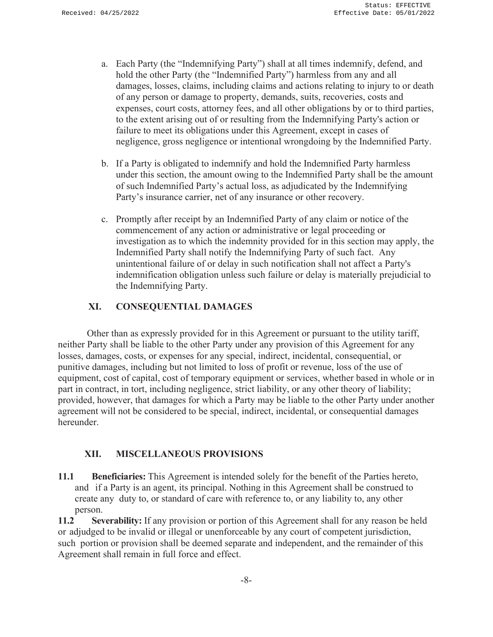- a. Each Party (the "Indemnifying Party") shall at all times indemnify, defend, and hold the other Party (the "Indemnified Party") harmless from any and all damages, losses, claims, including claims and actions relating to injury to or death of any person or damage to property, demands, suits, recoveries, costs and expenses, court costs, attorney fees, and all other obligations by or to third parties, to the extent arising out of or resulting from the Indemnifying Party's action or failure to meet its obligations under this Agreement, except in cases of negligence, gross negligence or intentional wrongdoing by the Indemnified Party.
- b. If a Party is obligated to indemnify and hold the Indemnified Party harmless under this section, the amount owing to the Indemnified Party shall be the amount of such Indemnified Party's actual loss, as adjudicated by the Indemnifying Party's insurance carrier, net of any insurance or other recovery.
- c. Promptly after receipt by an Indemnified Party of any claim or notice of the commencement of any action or administrative or legal proceeding or investigation as to which the indemnity provided for in this section may apply, the Indemnified Party shall notify the Indemnifying Party of such fact. Any unintentional failure of or delay in such notification shall not affect a Party's indemnification obligation unless such failure or delay is materially prejudicial to the Indemnifying Party.

### **XI. CONSEQUENTIAL DAMAGES**

Other than as expressly provided for in this Agreement or pursuant to the utility tariff, neither Party shall be liable to the other Party under any provision of this Agreement for any losses, damages, costs, or expenses for any special, indirect, incidental, consequential, or punitive damages, including but not limited to loss of profit or revenue, loss of the use of equipment, cost of capital, cost of temporary equipment or services, whether based in whole or in part in contract, in tort, including negligence, strict liability, or any other theory of liability; provided, however, that damages for which a Party may be liable to the other Party under another agreement will not be considered to be special, indirect, incidental, or consequential damages hereunder.

### **XII. MISCELLANEOUS PROVISIONS**

**11.1 Beneficiaries:** This Agreement is intended solely for the benefit of the Parties hereto, and if a Party is an agent, its principal. Nothing in this Agreement shall be construed to create any duty to, or standard of care with reference to, or any liability to, any other person.

**11.2 Severability:** If any provision or portion of this Agreement shall for any reason be held or adjudged to be invalid or illegal or unenforceable by any court of competent jurisdiction, such portion or provision shall be deemed separate and independent, and the remainder of this Agreement shall remain in full force and effect.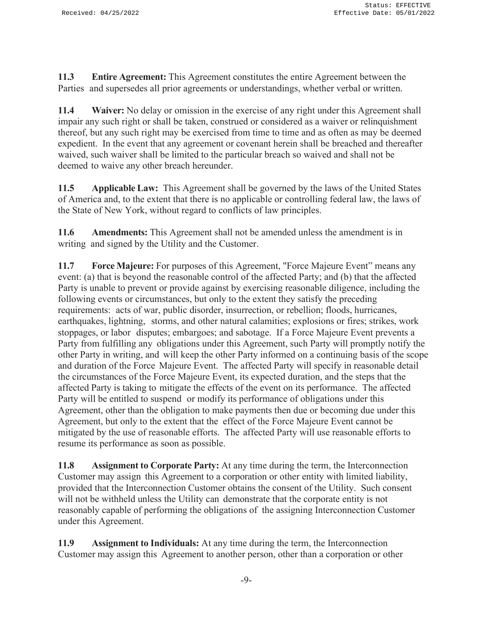**11.3 Entire Agreement:** This Agreement constitutes the entire Agreement between the Parties and supersedes all prior agreements or understandings, whether verbal or written.

**11.4 Waiver:** No delay or omission in the exercise of any right under this Agreement shall impair any such right or shall be taken, construed or considered as a waiver or relinquishment thereof, but any such right may be exercised from time to time and as often as may be deemed expedient. In the event that any agreement or covenant herein shall be breached and thereafter waived, such waiver shall be limited to the particular breach so waived and shall not be deemed to waive any other breach hereunder.

**11.5 Applicable Law:** This Agreement shall be governed by the laws of the United States of America and, to the extent that there is no applicable or controlling federal law, the laws of the State of New York, without regard to conflicts of law principles.

**11.6 Amendments:** This Agreement shall not be amended unless the amendment is in writing and signed by the Utility and the Customer.

**11.7 Force Majeure:** For purposes of this Agreement, "Force Majeure Event" means any event: (a) that is beyond the reasonable control of the affected Party; and (b) that the affected Party is unable to prevent or provide against by exercising reasonable diligence, including the following events or circumstances, but only to the extent they satisfy the preceding requirements: acts of war, public disorder, insurrection, or rebellion; floods, hurricanes, earthquakes, lightning, storms, and other natural calamities; explosions or fires; strikes, work stoppages, or labor disputes; embargoes; and sabotage. If a Force Majeure Event prevents a Party from fulfilling any obligations under this Agreement, such Party will promptly notify the other Party in writing, and will keep the other Party informed on a continuing basis of the scope and duration of the Force Majeure Event. The affected Party will specify in reasonable detail the circumstances of the Force Majeure Event, its expected duration, and the steps that the affected Party is taking to mitigate the effects of the event on its performance. The affected Party will be entitled to suspend or modify its performance of obligations under this Agreement, other than the obligation to make payments then due or becoming due under this Agreement, but only to the extent that the effect of the Force Majeure Event cannot be mitigated by the use of reasonable efforts. The affected Party will use reasonable efforts to resume its performance as soon as possible.

**11.8 Assignment to Corporate Party:** At any time during the term, the Interconnection Customer may assign this Agreement to a corporation or other entity with limited liability, provided that the Interconnection Customer obtains the consent of the Utility. Such consent will not be withheld unless the Utility can demonstrate that the corporate entity is not reasonably capable of performing the obligations of the assigning Interconnection Customer under this Agreement.

**11.9 Assignment to Individuals:** At any time during the term, the Interconnection Customer may assign this Agreement to another person, other than a corporation or other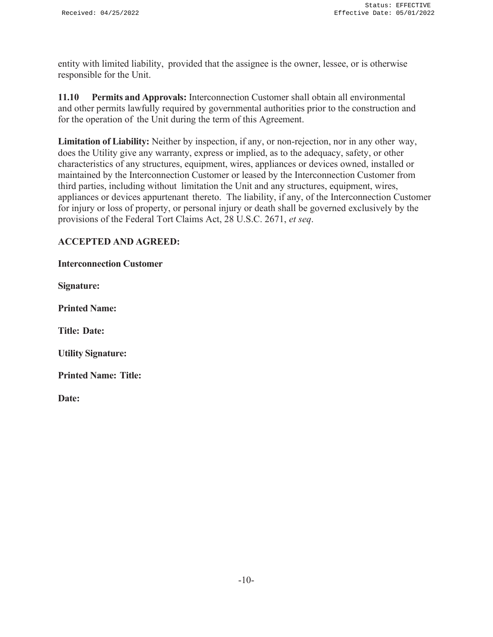entity with limited liability, provided that the assignee is the owner, lessee, or is otherwise responsible for the Unit.

**11.10 Permits and Approvals:** Interconnection Customer shall obtain all environmental and other permits lawfully required by governmental authorities prior to the construction and for the operation of the Unit during the term of this Agreement.

**Limitation of Liability:** Neither by inspection, if any, or non-rejection, nor in any other way, does the Utility give any warranty, express or implied, as to the adequacy, safety, or other characteristics of any structures, equipment, wires, appliances or devices owned, installed or maintained by the Interconnection Customer or leased by the Interconnection Customer from third parties, including without limitation the Unit and any structures, equipment, wires, appliances or devices appurtenant thereto. The liability, if any, of the Interconnection Customer for injury or loss of property, or personal injury or death shall be governed exclusively by the provisions of the Federal Tort Claims Act, 28 U.S.C. 2671, *et seq*.

### **ACCEPTED AND AGREED:**

| <b>Interconnection Customer</b> |  |
|---------------------------------|--|
|---------------------------------|--|

**Signature:** 

**Printed Name:**

**Title: Date:**

**Utility Signature:** 

**Printed Name: Title:**

**Date:**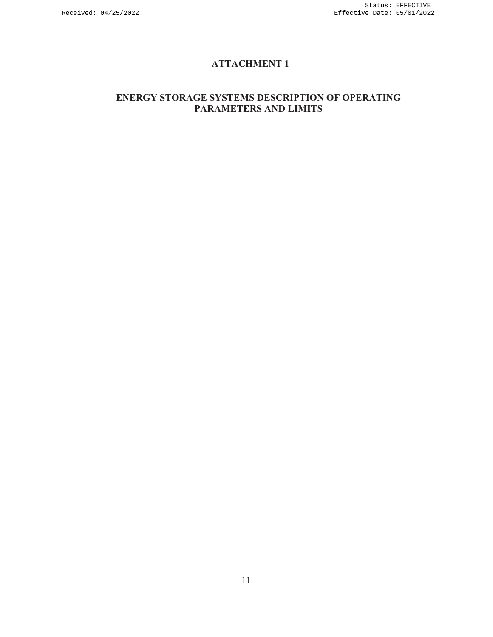# **ATTACHMENT 1**

### **ENERGY STORAGE SYSTEMS DESCRIPTION OF OPERATING PARAMETERS AND LIMITS**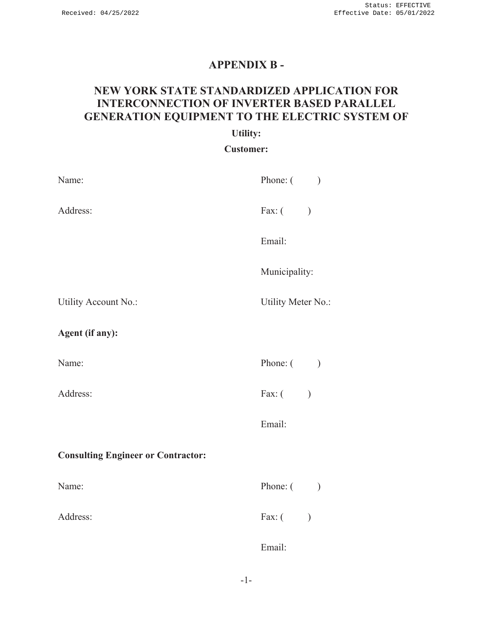# **APPENDIX B -**

# **NEW YORK STATE STANDARDIZED APPLICATION FOR INTERCONNECTION OF INVERTER BASED PARALLEL GENERATION EQUIPMENT TO THE ELECTRIC SYSTEM OF**

#### **Utility:**

#### **Customer:**

| Name:                                     | Phone: ( )         |  |
|-------------------------------------------|--------------------|--|
| Address:                                  | Fax: $($           |  |
|                                           | Email:             |  |
|                                           | Municipality:      |  |
| Utility Account No.:                      | Utility Meter No.: |  |
| Agent (if any):                           |                    |  |
| Name:                                     | Phone: $($         |  |
| Address:                                  | Fax: $($ )         |  |
|                                           | Email:             |  |
| <b>Consulting Engineer or Contractor:</b> |                    |  |
| Name:                                     | Phone: ( )         |  |
| Address:                                  | Fax: $($           |  |
|                                           | Email:             |  |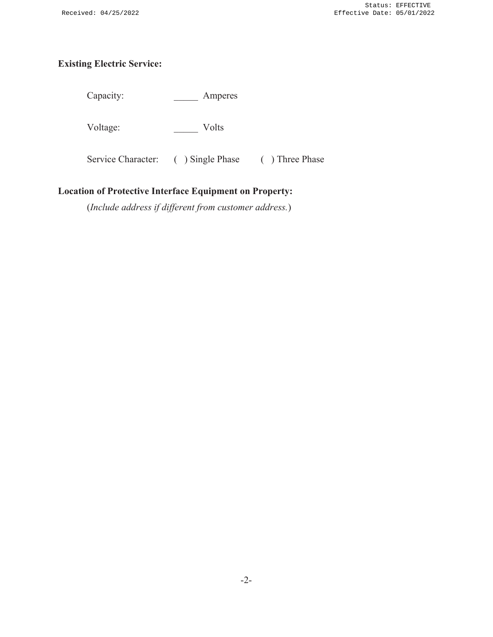# **Existing Electric Service:**

Capacity: \_\_\_\_\_\_\_\_ Amperes

Voltage: Volts

Service Character: ( ) Single Phase ( ) Three Phase

### **Location of Protective Interface Equipment on Property:**

(*Include address if different from customer address.*)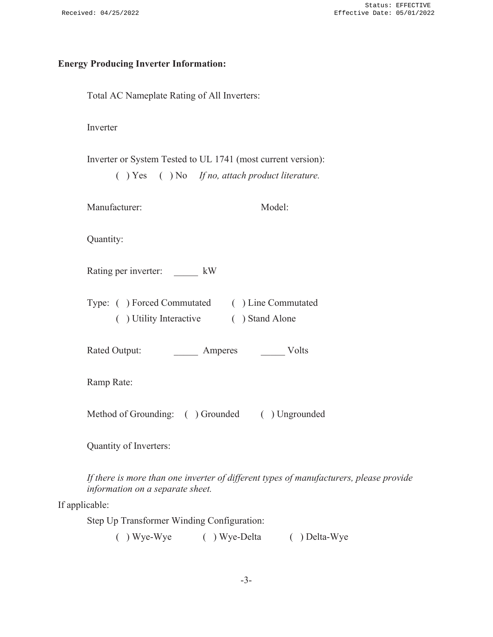#### **Energy Producing Inverter Information:**

Total AC Nameplate Rating of All Inverters:

Inverter

Inverter or System Tested to UL 1741 (most current version):

( ) Yes ( ) No *If no, attach product literature.* 

Model:

Quantity:

Rating per inverter:  $kW$ 

| Type: () Forced Commutated | ( ) Line Commutated |
|----------------------------|---------------------|
| () Utility Interactive     | ( ) Stand Alone     |

Rated Output: Amperes Volts

Ramp Rate:

Method of Grounding: ( ) Grounded ( ) Ungrounded

Quantity of Inverters:

*If there is more than one inverter of different types of manufacturers, please provide information on a separate sheet.* 

If applicable:

Step Up Transformer Winding Configuration:

( ) Wye-Wye ( ) Wye-Delta ( ) Delta-Wye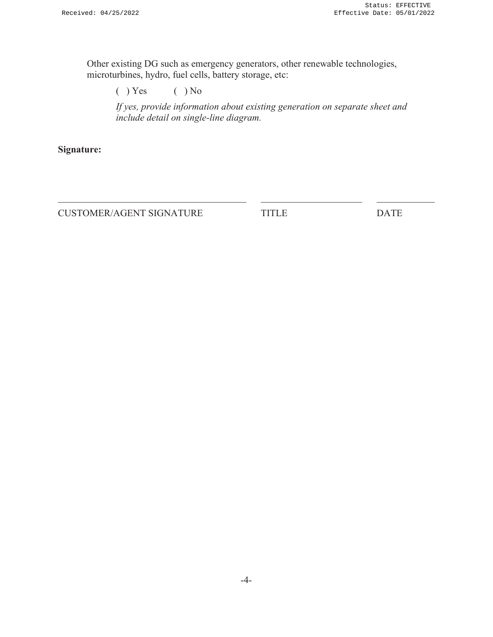Other existing DG such as emergency generators, other renewable technologies, microturbines, hydro, fuel cells, battery storage, etc:

( ) Yes ( ) No

*If yes, provide information about existing generation on separate sheet and include detail on single-line diagram.* 

**Signature:** 

CUSTOMER/AGENT SIGNATURE TITLE DATE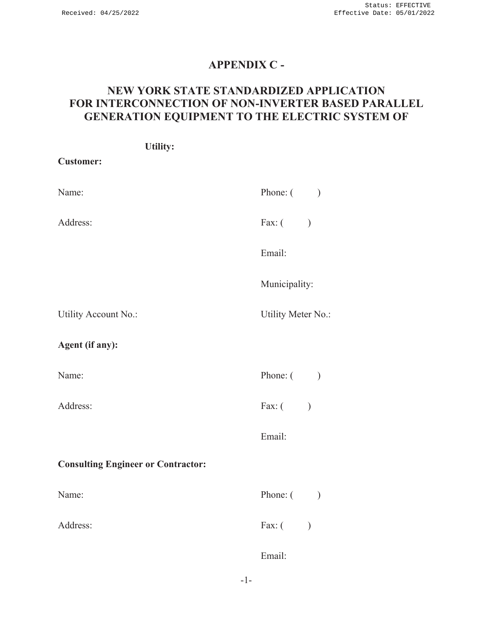# **APPENDIX C -**

# **NEW YORK STATE STANDARDIZED APPLICATION FOR INTERCONNECTION OF NON-INVERTER BASED PARALLEL GENERATION EQUIPMENT TO THE ELECTRIC SYSTEM OF**

| <b>Utility:</b>                           |                           |
|-------------------------------------------|---------------------------|
| <b>Customer:</b>                          |                           |
| Name:                                     | Phone: $($ )              |
| Address:                                  | Fax: $($                  |
|                                           | Email:                    |
|                                           | Municipality:             |
| Utility Account No.:                      | Utility Meter No.:        |
| Agent (if any):                           |                           |
| Name:                                     | Phone: $($                |
| Address:                                  | Fax: $($                  |
|                                           | Email:                    |
| <b>Consulting Engineer or Contractor:</b> |                           |
| Name:                                     | Phone: $($ )              |
| Address:                                  | Fax: $($<br>$\mathcal{E}$ |
|                                           | Email:                    |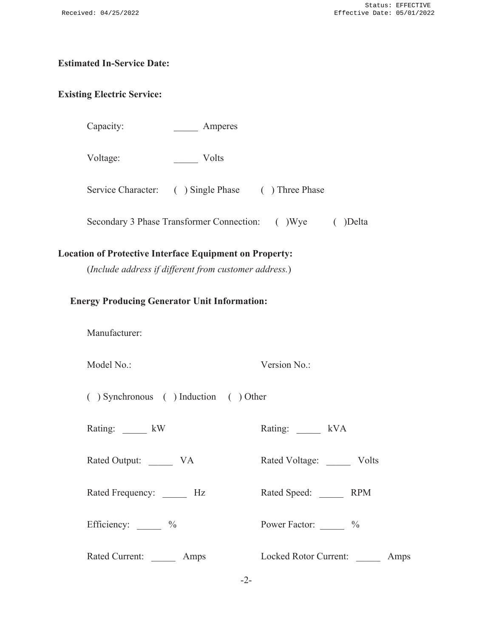#### **Estimated In-Service Date:**

#### **Existing Electric Service:**

Capacity: Amperes

Voltage: \_\_\_\_\_ Volts

Service Character: ( ) Single Phase ( ) Three Phase

Secondary 3 Phase Transformer Connection: ( )Wye ( )Delta

#### **Location of Protective Interface Equipment on Property:**

(*Include address if different from customer address.*)

#### **Energy Producing Generator Unit Information:**

Manufacturer:

Model No.: Version No.:

( ) Synchronous ( ) Induction ( ) Other

Rating:  $kW$  Rating:  $kVA$ 

Rated Output: \_\_\_\_\_ VA Rated Voltage: \_\_\_\_ Volts

Rated Frequency: <br> Hz Rated Speed: RPM

Efficiency:  $\frac{\%}{\%}$  Power Factor:  $\frac{\%}{\%}$ 

Rated Current: \_\_\_\_\_\_ Amps Locked Rotor Current: \_\_\_\_\_ Amps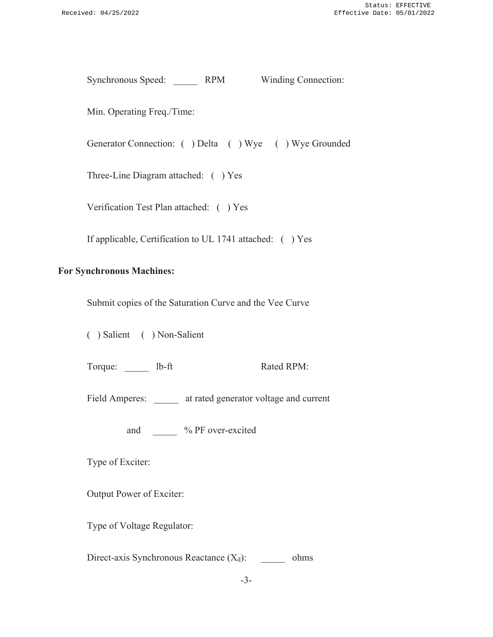Synchronous Speed: RPM Winding Connection:

Min. Operating Freq./Time:

Generator Connection: ( ) Delta ( ) Wye ( ) Wye Grounded

Three-Line Diagram attached: ( ) Yes

Verification Test Plan attached: ( ) Yes

If applicable, Certification to UL 1741 attached: ( ) Yes

#### **For Synchronous Machines:**

Submit copies of the Saturation Curve and the Vee Curve

( ) Salient ( ) Non-Salient

Torque: lb-ft Rated RPM:

Field Amperes: at rated generator voltage and current

and  $\%$  PF over-excited

Type of Exciter:

Output Power of Exciter:

Type of Voltage Regulator:

Direct-axis Synchronous Reactance  $(X_d)$ : ohms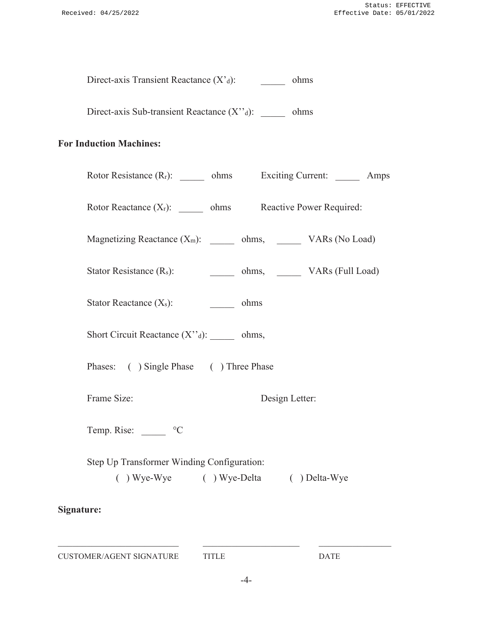Direct-axis Transient Reactance (X'<sub>d</sub>): \_\_\_\_\_\_\_ ohms

Direct-axis Sub-transient Reactance (X"d): \_\_\_\_\_\_ ohms

### **For Induction Machines:**

| Rotor Resistance $(R_r)$ : $\_\_\_\_\_$ ohms Exciting Current: $\_\_\_\_\_\_\_\_\$ |                        | Amps |
|------------------------------------------------------------------------------------|------------------------|------|
| Rotor Reactance $(X_r)$ : $\underline{\hspace{1cm}}$ ohms Reactive Power Required: |                        |      |
| Magnetizing Reactance $(X_m)$ : _______ ohms, ________ VARs (No Load)              |                        |      |
| Stator Resistance $(R_s)$ :                                                        | ohms, VARs (Full Load) |      |
| Stator Reactance $(X_s)$ : $\qquad \qquad \qquad$ ohms                             |                        |      |
| Short Circuit Reactance $(X''_d)$ : _______ ohms,                                  |                        |      |
| Phases: ( ) Single Phase ( ) Three Phase                                           |                        |      |
| Frame Size:                                                                        | Design Letter:         |      |
| Temp. Rise: _______ °C                                                             |                        |      |
| Step Up Transformer Winding Configuration:<br>() Wye-Wye () Wye-Delta () Delta-Wye |                        |      |
| Signature:                                                                         |                        |      |

CUSTOMER/AGENT SIGNATURE TITLE DATE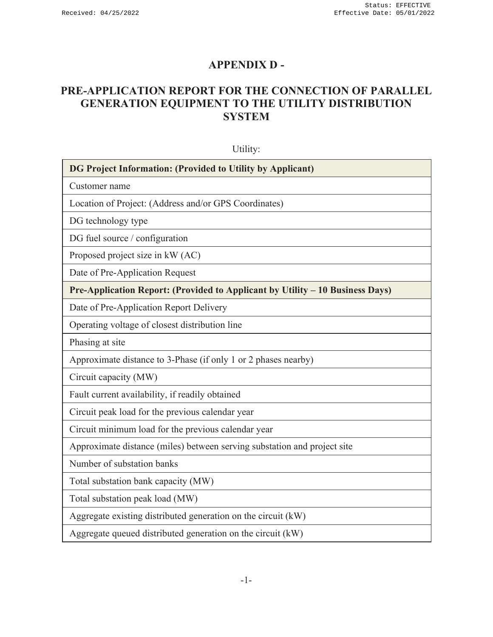# **APPENDIX D -**

# **PRE-APPLICATION REPORT FOR THE CONNECTION OF PARALLEL GENERATION EQUIPMENT TO THE UTILITY DISTRIBUTION SYSTEM**

| Utility:                                                                      |  |  |
|-------------------------------------------------------------------------------|--|--|
| DG Project Information: (Provided to Utility by Applicant)                    |  |  |
| Customer name                                                                 |  |  |
| Location of Project: (Address and/or GPS Coordinates)                         |  |  |
| DG technology type                                                            |  |  |
| DG fuel source / configuration                                                |  |  |
| Proposed project size in kW (AC)                                              |  |  |
| Date of Pre-Application Request                                               |  |  |
| Pre-Application Report: (Provided to Applicant by Utility – 10 Business Days) |  |  |
| Date of Pre-Application Report Delivery                                       |  |  |
| Operating voltage of closest distribution line                                |  |  |
| Phasing at site                                                               |  |  |
| Approximate distance to 3-Phase (if only 1 or 2 phases nearby)                |  |  |
| Circuit capacity (MW)                                                         |  |  |
| Fault current availability, if readily obtained                               |  |  |
| Circuit peak load for the previous calendar year                              |  |  |
| Circuit minimum load for the previous calendar year                           |  |  |
| Approximate distance (miles) between serving substation and project site      |  |  |
| Number of substation banks                                                    |  |  |
| Total substation bank capacity (MW)                                           |  |  |
| Total substation peak load (MW)                                               |  |  |
| Aggregate existing distributed generation on the circuit (kW)                 |  |  |
| Aggregate queued distributed generation on the circuit (kW)                   |  |  |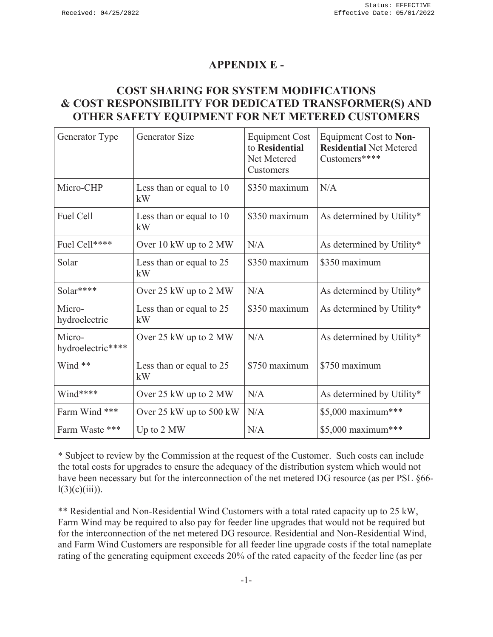## **APPENDIX E -**

# **COST SHARING FOR SYSTEM MODIFICATIONS & COST RESPONSIBILITY FOR DEDICATED TRANSFORMER(S) AND OTHER SAFETY EQUIPMENT FOR NET METERED CUSTOMERS**

| Generator Type              | <b>Generator Size</b>                       | <b>Equipment Cost</b><br>to Residential<br>Net Metered<br>Customers | Equipment Cost to Non-<br><b>Residential Net Metered</b><br>Customers**** |
|-----------------------------|---------------------------------------------|---------------------------------------------------------------------|---------------------------------------------------------------------------|
| Micro-CHP                   | Less than or equal to 10<br>kW              | \$350 maximum                                                       | N/A                                                                       |
| Fuel Cell                   | Less than or equal to 10<br>kW              | \$350 maximum                                                       | As determined by Utility*                                                 |
| Fuel Cell****               | Over $10 \text{ kW}$ up to $2 \text{ MW}$   | N/A                                                                 | As determined by Utility*                                                 |
| Solar                       | Less than or equal to 25<br>kW              | \$350 maximum                                                       | \$350 maximum                                                             |
| Solar****                   | Over 25 kW up to 2 MW                       | N/A                                                                 | As determined by Utility*                                                 |
| Micro-<br>hydroelectric     | Less than or equal to 25<br>kW              | \$350 maximum                                                       | As determined by Utility*                                                 |
| Micro-<br>hydroelectric**** | Over 25 kW up to 2 MW                       | N/A                                                                 | As determined by Utility*                                                 |
| Wind **                     | Less than or equal to 25<br>kW              | \$750 maximum                                                       | \$750 maximum                                                             |
| Wind****                    | Over 25 kW up to 2 MW                       | N/A                                                                 | As determined by Utility*                                                 |
| Farm Wind ***               | Over $25 \text{ kW}$ up to $500 \text{ kW}$ | N/A                                                                 | \$5,000 maximum***                                                        |
| Farm Waste ***              | Up to 2 MW                                  | N/A                                                                 | \$5,000 maximum***                                                        |

\* Subject to review by the Commission at the request of the Customer. Such costs can include the total costs for upgrades to ensure the adequacy of the distribution system which would not have been necessary but for the interconnection of the net metered DG resource (as per PSL §66 $l(3)(c)(iii)$ ).

\*\* Residential and Non-Residential Wind Customers with a total rated capacity up to 25 kW, Farm Wind may be required to also pay for feeder line upgrades that would not be required but for the interconnection of the net metered DG resource. Residential and Non-Residential Wind, and Farm Wind Customers are responsible for all feeder line upgrade costs if the total nameplate rating of the generating equipment exceeds 20% of the rated capacity of the feeder line (as per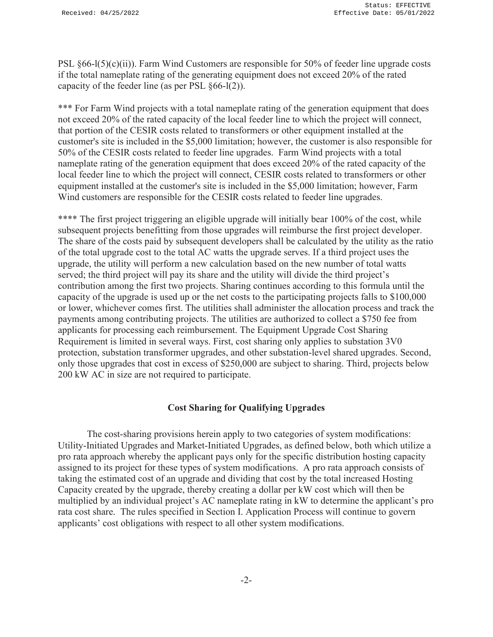PSL  $§66-1(5)(c)(ii)$ ). Farm Wind Customers are responsible for 50% of feeder line upgrade costs if the total nameplate rating of the generating equipment does not exceed 20% of the rated capacity of the feeder line (as per PSL §66-l(2)).

\*\*\* For Farm Wind projects with a total nameplate rating of the generation equipment that does not exceed 20% of the rated capacity of the local feeder line to which the project will connect, that portion of the CESIR costs related to transformers or other equipment installed at the customer's site is included in the \$5,000 limitation; however, the customer is also responsible for 50% of the CESIR costs related to feeder line upgrades. Farm Wind projects with a total nameplate rating of the generation equipment that does exceed 20% of the rated capacity of the local feeder line to which the project will connect, CESIR costs related to transformers or other equipment installed at the customer's site is included in the \$5,000 limitation; however, Farm Wind customers are responsible for the CESIR costs related to feeder line upgrades.

\*\*\*\* The first project triggering an eligible upgrade will initially bear 100% of the cost, while subsequent projects benefitting from those upgrades will reimburse the first project developer. The share of the costs paid by subsequent developers shall be calculated by the utility as the ratio of the total upgrade cost to the total AC watts the upgrade serves. If a third project uses the upgrade, the utility will perform a new calculation based on the new number of total watts served; the third project will pay its share and the utility will divide the third project's contribution among the first two projects. Sharing continues according to this formula until the capacity of the upgrade is used up or the net costs to the participating projects falls to \$100,000 or lower, whichever comes first. The utilities shall administer the allocation process and track the payments among contributing projects. The utilities are authorized to collect a \$750 fee from applicants for processing each reimbursement. The Equipment Upgrade Cost Sharing Requirement is limited in several ways. First, cost sharing only applies to substation 3V0 protection, substation transformer upgrades, and other substation-level shared upgrades. Second, only those upgrades that cost in excess of \$250,000 are subject to sharing. Third, projects below 200 kW AC in size are not required to participate.

#### **Cost Sharing for Qualifying Upgrades**

The cost-sharing provisions herein apply to two categories of system modifications: Utility-Initiated Upgrades and Market-Initiated Upgrades, as defined below, both which utilize a pro rata approach whereby the applicant pays only for the specific distribution hosting capacity assigned to its project for these types of system modifications. A pro rata approach consists of taking the estimated cost of an upgrade and dividing that cost by the total increased Hosting Capacity created by the upgrade, thereby creating a dollar per kW cost which will then be multiplied by an individual project's AC nameplate rating in kW to determine the applicant's pro rata cost share. The rules specified in Section I. Application Process will continue to govern applicants' cost obligations with respect to all other system modifications.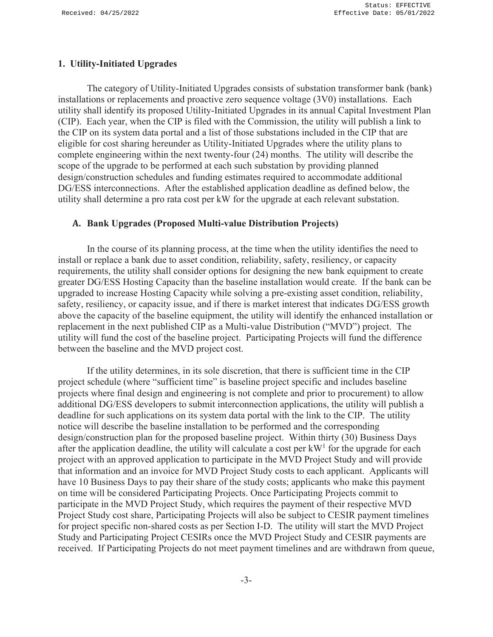#### **1. Utility-Initiated Upgrades**

The category of Utility-Initiated Upgrades consists of substation transformer bank (bank) installations or replacements and proactive zero sequence voltage (3V0) installations. Each utility shall identify its proposed Utility-Initiated Upgrades in its annual Capital Investment Plan (CIP). Each year, when the CIP is filed with the Commission, the utility will publish a link to the CIP on its system data portal and a list of those substations included in the CIP that are eligible for cost sharing hereunder as Utility-Initiated Upgrades where the utility plans to complete engineering within the next twenty-four (24) months. The utility will describe the scope of the upgrade to be performed at each such substation by providing planned design/construction schedules and funding estimates required to accommodate additional DG/ESS interconnections. After the established application deadline as defined below, the utility shall determine a pro rata cost per kW for the upgrade at each relevant substation.

#### **A. Bank Upgrades (Proposed Multi-value Distribution Projects)**

In the course of its planning process, at the time when the utility identifies the need to install or replace a bank due to asset condition, reliability, safety, resiliency, or capacity requirements, the utility shall consider options for designing the new bank equipment to create greater DG/ESS Hosting Capacity than the baseline installation would create. If the bank can be upgraded to increase Hosting Capacity while solving a pre-existing asset condition, reliability, safety, resiliency, or capacity issue, and if there is market interest that indicates DG/ESS growth above the capacity of the baseline equipment, the utility will identify the enhanced installation or replacement in the next published CIP as a Multi-value Distribution ("MVD") project. The utility will fund the cost of the baseline project. Participating Projects will fund the difference between the baseline and the MVD project cost.

If the utility determines, in its sole discretion, that there is sufficient time in the CIP project schedule (where "sufficient time" is baseline project specific and includes baseline projects where final design and engineering is not complete and prior to procurement) to allow additional DG/ESS developers to submit interconnection applications, the utility will publish a deadline for such applications on its system data portal with the link to the CIP. The utility notice will describe the baseline installation to be performed and the corresponding design/construction plan for the proposed baseline project. Within thirty (30) Business Days after the application deadline, the utility will calculate a cost per  $kW<sup>1</sup>$  for the upgrade for each project with an approved application to participate in the MVD Project Study and will provide that information and an invoice for MVD Project Study costs to each applicant. Applicants will have 10 Business Days to pay their share of the study costs; applicants who make this payment on time will be considered Participating Projects. Once Participating Projects commit to participate in the MVD Project Study, which requires the payment of their respective MVD Project Study cost share, Participating Projects will also be subject to CESIR payment timelines for project specific non-shared costs as per Section I-D. The utility will start the MVD Project Study and Participating Project CESIRs once the MVD Project Study and CESIR payments are received. If Participating Projects do not meet payment timelines and are withdrawn from queue,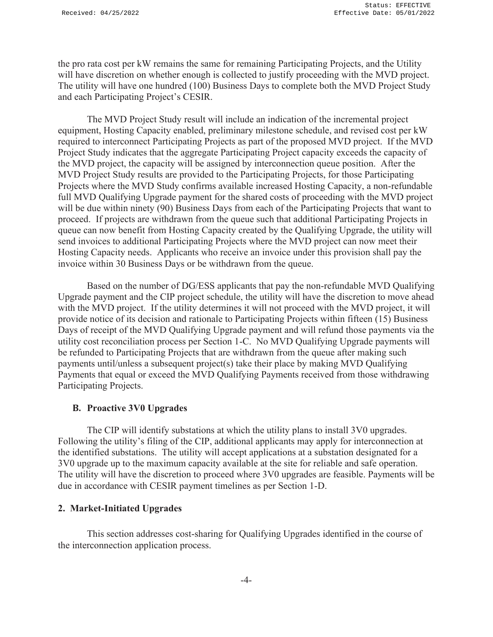the pro rata cost per kW remains the same for remaining Participating Projects, and the Utility will have discretion on whether enough is collected to justify proceeding with the MVD project. The utility will have one hundred (100) Business Days to complete both the MVD Project Study and each Participating Project's CESIR.

The MVD Project Study result will include an indication of the incremental project equipment, Hosting Capacity enabled, preliminary milestone schedule, and revised cost per kW required to interconnect Participating Projects as part of the proposed MVD project. If the MVD Project Study indicates that the aggregate Participating Project capacity exceeds the capacity of the MVD project, the capacity will be assigned by interconnection queue position. After the MVD Project Study results are provided to the Participating Projects, for those Participating Projects where the MVD Study confirms available increased Hosting Capacity, a non-refundable full MVD Qualifying Upgrade payment for the shared costs of proceeding with the MVD project will be due within ninety (90) Business Days from each of the Participating Projects that want to proceed. If projects are withdrawn from the queue such that additional Participating Projects in queue can now benefit from Hosting Capacity created by the Qualifying Upgrade, the utility will send invoices to additional Participating Projects where the MVD project can now meet their Hosting Capacity needs. Applicants who receive an invoice under this provision shall pay the invoice within 30 Business Days or be withdrawn from the queue.

Based on the number of DG/ESS applicants that pay the non-refundable MVD Qualifying Upgrade payment and the CIP project schedule, the utility will have the discretion to move ahead with the MVD project. If the utility determines it will not proceed with the MVD project, it will provide notice of its decision and rationale to Participating Projects within fifteen (15) Business Days of receipt of the MVD Qualifying Upgrade payment and will refund those payments via the utility cost reconciliation process per Section 1-C. No MVD Qualifying Upgrade payments will be refunded to Participating Projects that are withdrawn from the queue after making such payments until/unless a subsequent project(s) take their place by making MVD Qualifying Payments that equal or exceed the MVD Qualifying Payments received from those withdrawing Participating Projects.

#### **B. Proactive 3V0 Upgrades**

The CIP will identify substations at which the utility plans to install 3V0 upgrades. Following the utility's filing of the CIP, additional applicants may apply for interconnection at the identified substations. The utility will accept applications at a substation designated for a 3V0 upgrade up to the maximum capacity available at the site for reliable and safe operation. The utility will have the discretion to proceed where 3V0 upgrades are feasible. Payments will be due in accordance with CESIR payment timelines as per Section 1-D.

### **2. Market-Initiated Upgrades**

This section addresses cost-sharing for Qualifying Upgrades identified in the course of the interconnection application process.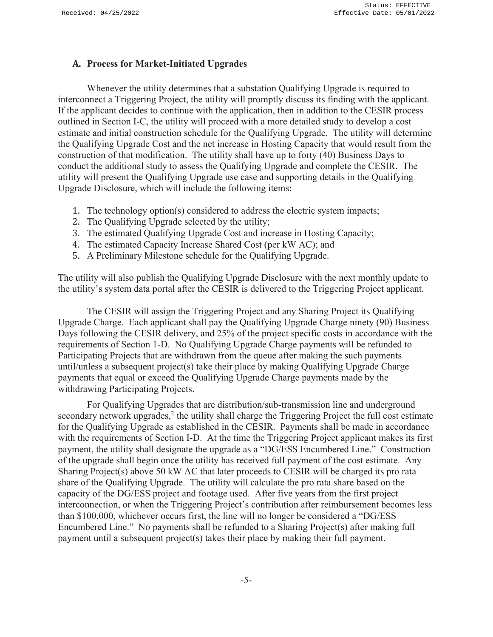#### **A. Process for Market-Initiated Upgrades**

Whenever the utility determines that a substation Qualifying Upgrade is required to interconnect a Triggering Project, the utility will promptly discuss its finding with the applicant. If the applicant decides to continue with the application, then in addition to the CESIR process outlined in Section I-C, the utility will proceed with a more detailed study to develop a cost estimate and initial construction schedule for the Qualifying Upgrade. The utility will determine the Qualifying Upgrade Cost and the net increase in Hosting Capacity that would result from the construction of that modification. The utility shall have up to forty (40) Business Days to conduct the additional study to assess the Qualifying Upgrade and complete the CESIR. The utility will present the Qualifying Upgrade use case and supporting details in the Qualifying Upgrade Disclosure, which will include the following items:

- 1. The technology option(s) considered to address the electric system impacts;
- 2. The Qualifying Upgrade selected by the utility;
- 3. The estimated Qualifying Upgrade Cost and increase in Hosting Capacity;
- 4. The estimated Capacity Increase Shared Cost (per kW AC); and
- 5. A Preliminary Milestone schedule for the Qualifying Upgrade.

The utility will also publish the Qualifying Upgrade Disclosure with the next monthly update to the utility's system data portal after the CESIR is delivered to the Triggering Project applicant.

The CESIR will assign the Triggering Project and any Sharing Project its Qualifying Upgrade Charge. Each applicant shall pay the Qualifying Upgrade Charge ninety (90) Business Days following the CESIR delivery, and 25% of the project specific costs in accordance with the requirements of Section 1-D. No Qualifying Upgrade Charge payments will be refunded to Participating Projects that are withdrawn from the queue after making the such payments until/unless a subsequent project(s) take their place by making Qualifying Upgrade Charge payments that equal or exceed the Qualifying Upgrade Charge payments made by the withdrawing Participating Projects.

For Qualifying Upgrades that are distribution/sub-transmission line and underground secondary network upgrades,<sup>2</sup> the utility shall charge the Triggering Project the full cost estimate for the Qualifying Upgrade as established in the CESIR. Payments shall be made in accordance with the requirements of Section I-D. At the time the Triggering Project applicant makes its first payment, the utility shall designate the upgrade as a "DG/ESS Encumbered Line." Construction of the upgrade shall begin once the utility has received full payment of the cost estimate. Any Sharing Project(s) above 50 kW AC that later proceeds to CESIR will be charged its pro rata share of the Qualifying Upgrade. The utility will calculate the pro rata share based on the capacity of the DG/ESS project and footage used. After five years from the first project interconnection, or when the Triggering Project's contribution after reimbursement becomes less than \$100,000, whichever occurs first, the line will no longer be considered a "DG/ESS Encumbered Line." No payments shall be refunded to a Sharing Project(s) after making full payment until a subsequent project(s) takes their place by making their full payment.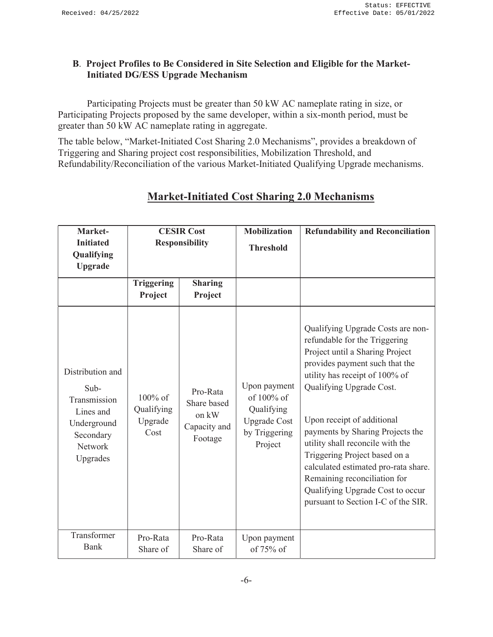### **B**. **Project Profiles to Be Considered in Site Selection and Eligible for the Market-Initiated DG/ESS Upgrade Mechanism**

Participating Projects must be greater than 50 kW AC nameplate rating in size, or Participating Projects proposed by the same developer, within a six-month period, must be greater than 50 kW AC nameplate rating in aggregate.

The table below, "Market-Initiated Cost Sharing 2.0 Mechanisms", provides a breakdown of Triggering and Sharing project cost responsibilities, Mobilization Threshold, and Refundability/Reconciliation of the various Market-Initiated Qualifying Upgrade mechanisms.

| Market-<br><b>Initiated</b><br>Qualifying<br><b>Upgrade</b>                                              |                                             | <b>CESIR Cost</b><br><b>Responsibility</b>                  | <b>Mobilization</b><br><b>Threshold</b>                                                     | <b>Refundability and Reconciliation</b>                                                                                                                                                                                                                                                                                                                                                                                                                                                         |
|----------------------------------------------------------------------------------------------------------|---------------------------------------------|-------------------------------------------------------------|---------------------------------------------------------------------------------------------|-------------------------------------------------------------------------------------------------------------------------------------------------------------------------------------------------------------------------------------------------------------------------------------------------------------------------------------------------------------------------------------------------------------------------------------------------------------------------------------------------|
|                                                                                                          | Triggering<br>Project                       | <b>Sharing</b><br>Project                                   |                                                                                             |                                                                                                                                                                                                                                                                                                                                                                                                                                                                                                 |
| Distribution and<br>Sub-<br>Transmission<br>Lines and<br>Underground<br>Secondary<br>Network<br>Upgrades | $100\%$ of<br>Qualifying<br>Upgrade<br>Cost | Pro-Rata<br>Share based<br>on kW<br>Capacity and<br>Footage | Upon payment<br>of 100% of<br>Qualifying<br><b>Upgrade Cost</b><br>by Triggering<br>Project | Qualifying Upgrade Costs are non-<br>refundable for the Triggering<br>Project until a Sharing Project<br>provides payment such that the<br>utility has receipt of 100% of<br>Qualifying Upgrade Cost.<br>Upon receipt of additional<br>payments by Sharing Projects the<br>utility shall reconcile with the<br>Triggering Project based on a<br>calculated estimated pro-rata share.<br>Remaining reconciliation for<br>Qualifying Upgrade Cost to occur<br>pursuant to Section I-C of the SIR. |
| Transformer<br>Bank                                                                                      | Pro-Rata<br>Share of                        | Pro-Rata<br>Share of                                        | Upon payment<br>of $75%$ of                                                                 |                                                                                                                                                                                                                                                                                                                                                                                                                                                                                                 |

# **Market-Initiated Cost Sharing 2.0 Mechanisms**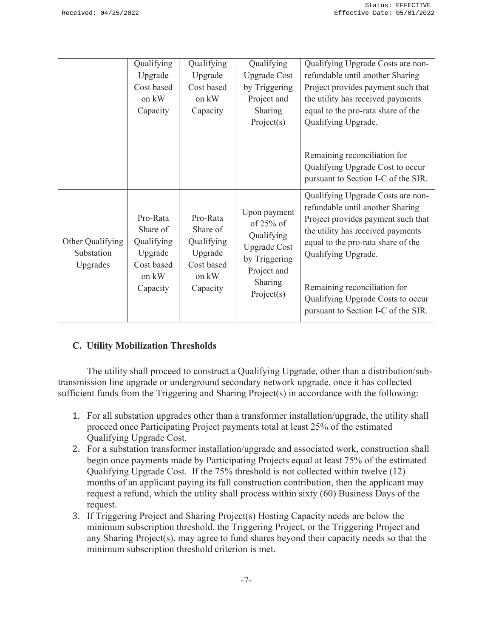|                                            | Qualifying<br>Upgrade<br>Cost based<br>on kW<br>Capacity                         | Qualifying<br>Upgrade<br>Cost based<br>on kW<br>Capacity                         | Qualifying<br><b>Upgrade Cost</b><br>by Triggering<br>Project and<br>Sharing<br>Project(s)                                 | Qualifying Upgrade Costs are non-<br>refundable until another Sharing<br>Project provides payment such that<br>the utility has received payments<br>equal to the pro-rata share of the<br>Qualifying Upgrade.                                                                      |
|--------------------------------------------|----------------------------------------------------------------------------------|----------------------------------------------------------------------------------|----------------------------------------------------------------------------------------------------------------------------|------------------------------------------------------------------------------------------------------------------------------------------------------------------------------------------------------------------------------------------------------------------------------------|
|                                            |                                                                                  |                                                                                  |                                                                                                                            | Remaining reconciliation for<br>Qualifying Upgrade Cost to occur<br>pursuant to Section I-C of the SIR.                                                                                                                                                                            |
| Other Qualifying<br>Substation<br>Upgrades | Pro-Rata<br>Share of<br>Qualifying<br>Upgrade<br>Cost based<br>on kW<br>Capacity | Pro-Rata<br>Share of<br>Qualifying<br>Upgrade<br>Cost based<br>on kW<br>Capacity | Upon payment<br>of $25\%$ of<br>Qualifying<br><b>Upgrade Cost</b><br>by Triggering<br>Project and<br>Sharing<br>Project(s) | Qualifying Upgrade Costs are non-<br>refundable until another Sharing<br>Project provides payment such that<br>the utility has received payments<br>equal to the pro-rata share of the<br>Qualifying Upgrade.<br>Remaining reconciliation for<br>Qualifying Upgrade Costs to occur |
|                                            |                                                                                  |                                                                                  |                                                                                                                            | pursuant to Section I-C of the SIR.                                                                                                                                                                                                                                                |

### **C. Utility Mobilization Thresholds**

The utility shall proceed to construct a Qualifying Upgrade, other than a distribution/subtransmission line upgrade or underground secondary network upgrade, once it has collected sufficient funds from the Triggering and Sharing Project(s) in accordance with the following:

- 1. For all substation upgrades other than a transformer installation/upgrade, the utility shall proceed once Participating Project payments total at least 25% of the estimated Qualifying Upgrade Cost.
- 2. For a substation transformer installation/upgrade and associated work, construction shall begin once payments made by Participating Projects equal at least 75% of the estimated Qualifying Upgrade Cost. If the 75% threshold is not collected within twelve (12) months of an applicant paying its full construction contribution, then the applicant may request a refund, which the utility shall process within sixty (60) Business Days of the request.
- 3. If Triggering Project and Sharing Project(s) Hosting Capacity needs are below the minimum subscription threshold, the Triggering Project, or the Triggering Project and any Sharing Project(s), may agree to fund shares beyond their capacity needs so that the minimum subscription threshold criterion is met.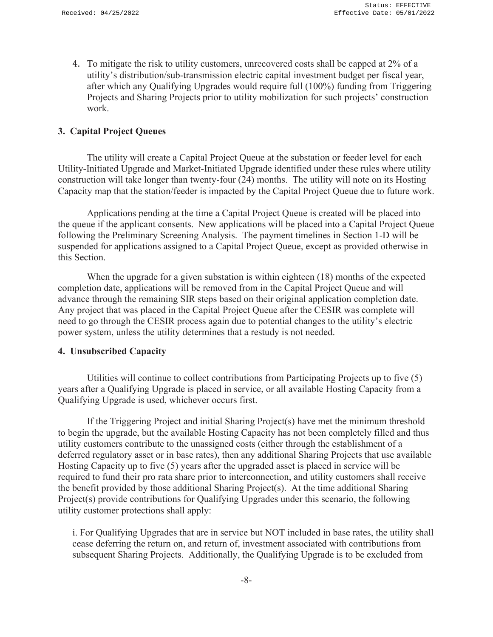4. To mitigate the risk to utility customers, unrecovered costs shall be capped at 2% of a utility's distribution/sub-transmission electric capital investment budget per fiscal year, after which any Qualifying Upgrades would require full (100%) funding from Triggering Projects and Sharing Projects prior to utility mobilization for such projects' construction work.

#### **3. Capital Project Queues**

The utility will create a Capital Project Queue at the substation or feeder level for each Utility-Initiated Upgrade and Market-Initiated Upgrade identified under these rules where utility construction will take longer than twenty-four (24) months. The utility will note on its Hosting Capacity map that the station/feeder is impacted by the Capital Project Queue due to future work.

Applications pending at the time a Capital Project Queue is created will be placed into the queue if the applicant consents. New applications will be placed into a Capital Project Queue following the Preliminary Screening Analysis. The payment timelines in Section 1-D will be suspended for applications assigned to a Capital Project Queue, except as provided otherwise in this Section.

When the upgrade for a given substation is within eighteen (18) months of the expected completion date, applications will be removed from in the Capital Project Queue and will advance through the remaining SIR steps based on their original application completion date. Any project that was placed in the Capital Project Queue after the CESIR was complete will need to go through the CESIR process again due to potential changes to the utility's electric power system, unless the utility determines that a restudy is not needed.

#### **4. Unsubscribed Capacity**

Utilities will continue to collect contributions from Participating Projects up to five (5) years after a Qualifying Upgrade is placed in service, or all available Hosting Capacity from a Qualifying Upgrade is used, whichever occurs first.

If the Triggering Project and initial Sharing Project(s) have met the minimum threshold to begin the upgrade, but the available Hosting Capacity has not been completely filled and thus utility customers contribute to the unassigned costs (either through the establishment of a deferred regulatory asset or in base rates), then any additional Sharing Projects that use available Hosting Capacity up to five (5) years after the upgraded asset is placed in service will be required to fund their pro rata share prior to interconnection, and utility customers shall receive the benefit provided by those additional Sharing Project(s). At the time additional Sharing Project(s) provide contributions for Qualifying Upgrades under this scenario, the following utility customer protections shall apply:

i. For Qualifying Upgrades that are in service but NOT included in base rates, the utility shall cease deferring the return on, and return of, investment associated with contributions from subsequent Sharing Projects. Additionally, the Qualifying Upgrade is to be excluded from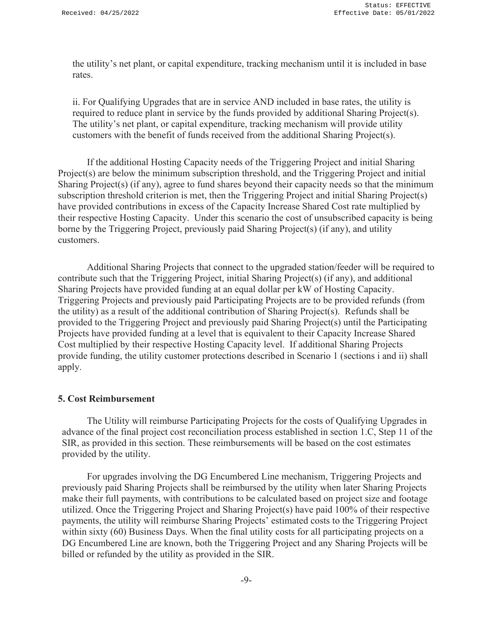the utility's net plant, or capital expenditure, tracking mechanism until it is included in base rates.

ii. For Qualifying Upgrades that are in service AND included in base rates, the utility is required to reduce plant in service by the funds provided by additional Sharing Project(s). The utility's net plant, or capital expenditure, tracking mechanism will provide utility customers with the benefit of funds received from the additional Sharing Project(s).

 If the additional Hosting Capacity needs of the Triggering Project and initial Sharing Project(s) are below the minimum subscription threshold, and the Triggering Project and initial Sharing Project(s) (if any), agree to fund shares beyond their capacity needs so that the minimum subscription threshold criterion is met, then the Triggering Project and initial Sharing Project(s) have provided contributions in excess of the Capacity Increase Shared Cost rate multiplied by their respective Hosting Capacity. Under this scenario the cost of unsubscribed capacity is being borne by the Triggering Project, previously paid Sharing Project(s) (if any), and utility customers.

Additional Sharing Projects that connect to the upgraded station/feeder will be required to contribute such that the Triggering Project, initial Sharing Project(s) (if any), and additional Sharing Projects have provided funding at an equal dollar per kW of Hosting Capacity. Triggering Projects and previously paid Participating Projects are to be provided refunds (from the utility) as a result of the additional contribution of Sharing Project(s). Refunds shall be provided to the Triggering Project and previously paid Sharing Project(s) until the Participating Projects have provided funding at a level that is equivalent to their Capacity Increase Shared Cost multiplied by their respective Hosting Capacity level. If additional Sharing Projects provide funding, the utility customer protections described in Scenario 1 (sections i and ii) shall apply.

#### **5. Cost Reimbursement**

The Utility will reimburse Participating Projects for the costs of Qualifying Upgrades in advance of the final project cost reconciliation process established in section 1.C, Step 11 of the SIR, as provided in this section. These reimbursements will be based on the cost estimates provided by the utility.

For upgrades involving the DG Encumbered Line mechanism, Triggering Projects and previously paid Sharing Projects shall be reimbursed by the utility when later Sharing Projects make their full payments, with contributions to be calculated based on project size and footage utilized. Once the Triggering Project and Sharing Project(s) have paid 100% of their respective payments, the utility will reimburse Sharing Projects' estimated costs to the Triggering Project within sixty (60) Business Days. When the final utility costs for all participating projects on a DG Encumbered Line are known, both the Triggering Project and any Sharing Projects will be billed or refunded by the utility as provided in the SIR.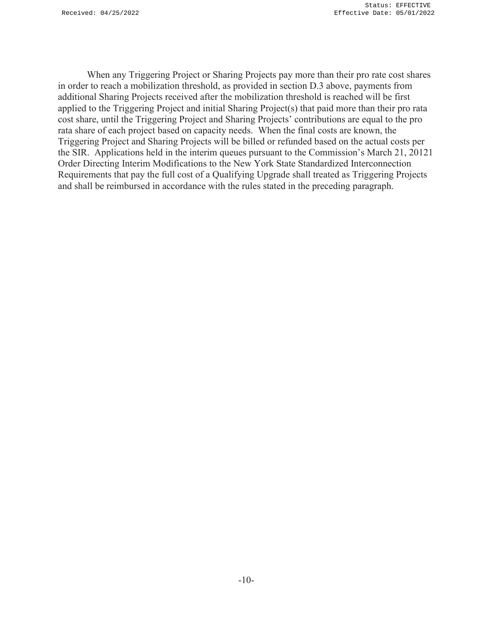When any Triggering Project or Sharing Projects pay more than their pro rate cost shares in order to reach a mobilization threshold, as provided in section D.3 above, payments from additional Sharing Projects received after the mobilization threshold is reached will be first applied to the Triggering Project and initial Sharing Project(s) that paid more than their pro rata cost share, until the Triggering Project and Sharing Projects' contributions are equal to the pro rata share of each project based on capacity needs. When the final costs are known, the Triggering Project and Sharing Projects will be billed or refunded based on the actual costs per the SIR. Applications held in the interim queues pursuant to the Commission's March 21, 20121 Order Directing Interim Modifications to the New York State Standardized Interconnection Requirements that pay the full cost of a Qualifying Upgrade shall treated as Triggering Projects and shall be reimbursed in accordance with the rules stated in the preceding paragraph.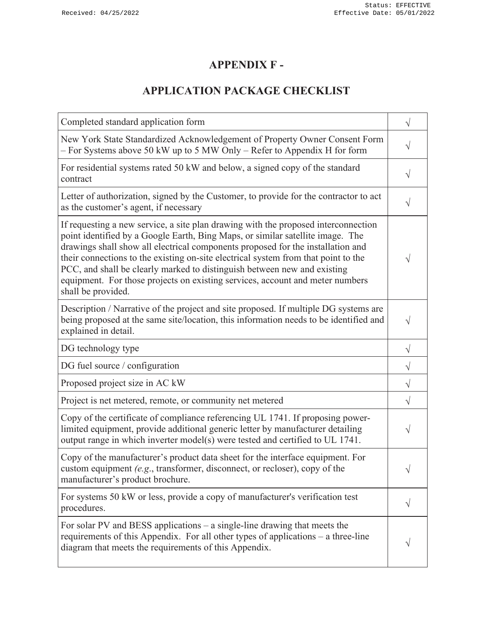# **APPENDIX F -**

# **APPLICATION PACKAGE CHECKLIST**

| Completed standard application form                                                                                                                                                                                                                                                                                                                                                                                                                                                                                              |           |
|----------------------------------------------------------------------------------------------------------------------------------------------------------------------------------------------------------------------------------------------------------------------------------------------------------------------------------------------------------------------------------------------------------------------------------------------------------------------------------------------------------------------------------|-----------|
| New York State Standardized Acknowledgement of Property Owner Consent Form<br>- For Systems above 50 kW up to 5 MW Only - Refer to Appendix H for form                                                                                                                                                                                                                                                                                                                                                                           | $\sqrt{}$ |
| For residential systems rated 50 kW and below, a signed copy of the standard<br>contract                                                                                                                                                                                                                                                                                                                                                                                                                                         | $\sqrt{}$ |
| Letter of authorization, signed by the Customer, to provide for the contractor to act<br>as the customer's agent, if necessary                                                                                                                                                                                                                                                                                                                                                                                                   | $\sqrt{}$ |
| If requesting a new service, a site plan drawing with the proposed interconnection<br>point identified by a Google Earth, Bing Maps, or similar satellite image. The<br>drawings shall show all electrical components proposed for the installation and<br>their connections to the existing on-site electrical system from that point to the<br>PCC, and shall be clearly marked to distinguish between new and existing<br>equipment. For those projects on existing services, account and meter numbers<br>shall be provided. | V         |
| Description / Narrative of the project and site proposed. If multiple DG systems are<br>being proposed at the same site/location, this information needs to be identified and<br>explained in detail.                                                                                                                                                                                                                                                                                                                            | $\sqrt{}$ |
| DG technology type                                                                                                                                                                                                                                                                                                                                                                                                                                                                                                               | $\sqrt{}$ |
| DG fuel source / configuration                                                                                                                                                                                                                                                                                                                                                                                                                                                                                                   | $\sqrt{}$ |
| Proposed project size in AC kW                                                                                                                                                                                                                                                                                                                                                                                                                                                                                                   | $\sqrt{}$ |
| Project is net metered, remote, or community net metered                                                                                                                                                                                                                                                                                                                                                                                                                                                                         | $\sqrt{}$ |
| Copy of the certificate of compliance referencing UL 1741. If proposing power-<br>limited equipment, provide additional generic letter by manufacturer detailing<br>output range in which inverter model(s) were tested and certified to UL 1741.                                                                                                                                                                                                                                                                                | V         |
| Copy of the manufacturer's product data sheet for the interface equipment. For<br>custom equipment (e.g., transformer, disconnect, or recloser), copy of the<br>manufacturer's product brochure.                                                                                                                                                                                                                                                                                                                                 |           |
| For systems 50 kW or less, provide a copy of manufacturer's verification test<br>procedures.                                                                                                                                                                                                                                                                                                                                                                                                                                     |           |
| For solar PV and BESS applications $-$ a single-line drawing that meets the<br>requirements of this Appendix. For all other types of applications – a three-line<br>diagram that meets the requirements of this Appendix.                                                                                                                                                                                                                                                                                                        |           |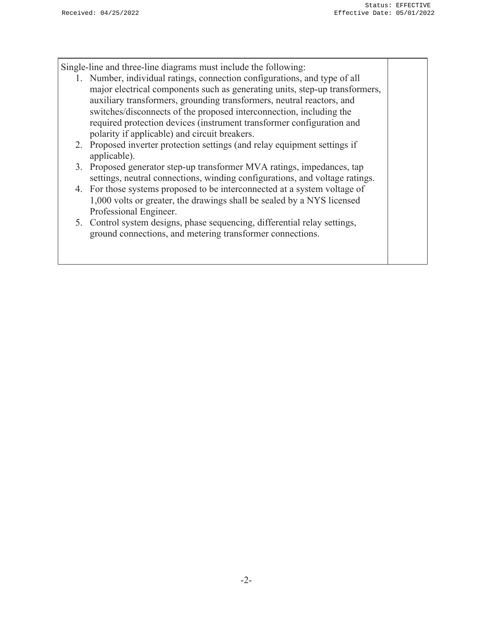Single-line and three-line diagrams must include the following:

- 1. Number, individual ratings, connection configurations, and type of all major electrical components such as generating units, step-up transformers, auxiliary transformers, grounding transformers, neutral reactors, and switches/disconnects of the proposed interconnection, including the required protection devices (instrument transformer configuration and polarity if applicable) and circuit breakers.
- 2. Proposed inverter protection settings (and relay equipment settings if applicable).
- 3. Proposed generator step-up transformer MVA ratings, impedances, tap settings, neutral connections, winding configurations, and voltage ratings.
- 4. For those systems proposed to be interconnected at a system voltage of 1,000 volts or greater, the drawings shall be sealed by a NYS licensed Professional Engineer.
- 5. Control system designs, phase sequencing, differential relay settings, ground connections, and metering transformer connections.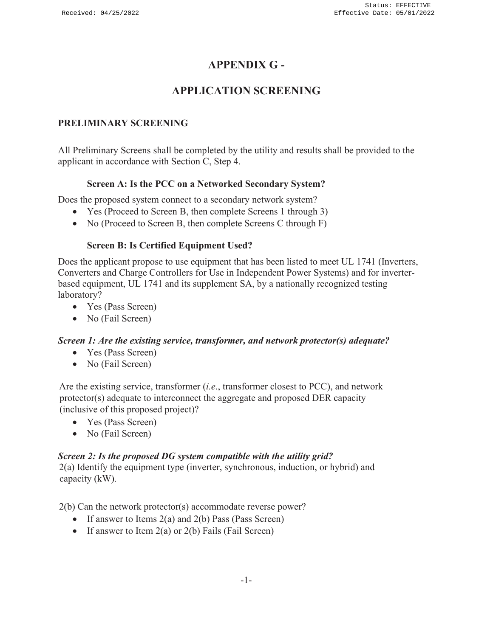## **APPENDIX G -**

# **APPLICATION SCREENING**

## **PRELIMINARY SCREENING**

All Preliminary Screens shall be completed by the utility and results shall be provided to the applicant in accordance with Section C, Step 4.

### **Screen A: Is the PCC on a Networked Secondary System?**

Does the proposed system connect to a secondary network system?

- Yes (Proceed to Screen B, then complete Screens 1 through 3)
- $\bullet$  No (Proceed to Screen B, then complete Screens C through F)

### **Screen B: Is Certified Equipment Used?**

Does the applicant propose to use equipment that has been listed to meet UL 1741 (Inverters, Converters and Charge Controllers for Use in Independent Power Systems) and for inverterbased equipment, UL 1741 and its supplement SA, by a nationally recognized testing laboratory?

- $\bullet$  Yes (Pass Screen)
- $\bullet$  No (Fail Screen)

### *Screen 1: Are the existing service, transformer, and network protector(s) adequate?*

- $\bullet$  Yes (Pass Screen)
- $\bullet$  No (Fail Screen)

Are the existing service, transformer (*i.e*., transformer closest to PCC), and network protector(s) adequate to interconnect the aggregate and proposed DER capacity (inclusive of this proposed project)?

- Yes (Pass Screen)
- No (Fail Screen)

### *Screen 2: Is the proposed DG system compatible with the utility grid?*

2(a) Identify the equipment type (inverter, synchronous, induction, or hybrid) and capacity (kW).

2(b) Can the network protector(s) accommodate reverse power?

- If answer to Items  $2(a)$  and  $2(b)$  Pass (Pass Screen)
- If answer to Item  $2(a)$  or  $2(b)$  Fails (Fail Screen)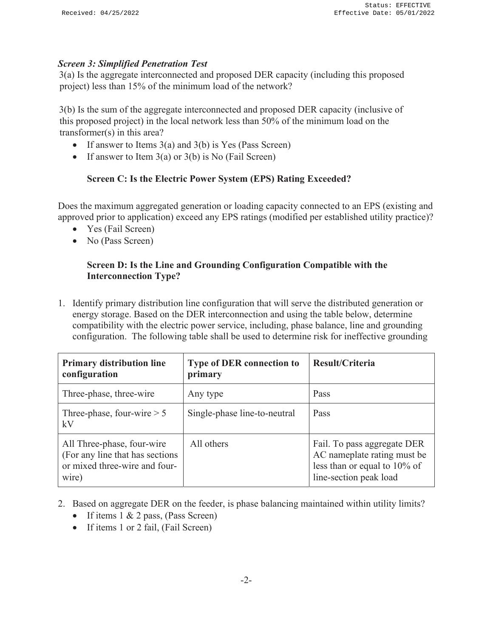#### *Screen 3: Simplified Penetration Test*

3(a) Is the aggregate interconnected and proposed DER capacity (including this proposed project) less than 15% of the minimum load of the network?

3(b) Is the sum of the aggregate interconnected and proposed DER capacity (inclusive of this proposed project) in the local network less than 50% of the minimum load on the transformer(s) in this area?

- If answer to Items  $3(a)$  and  $3(b)$  is Yes (Pass Screen)
- If answer to Item  $3(a)$  or  $3(b)$  is No (Fail Screen)

#### **Screen C: Is the Electric Power System (EPS) Rating Exceeded?**

Does the maximum aggregated generation or loading capacity connected to an EPS (existing and approved prior to application) exceed any EPS ratings (modified per established utility practice)?

- Yes (Fail Screen)
- $\bullet$  No (Pass Screen)

#### **Screen D: Is the Line and Grounding Configuration Compatible with the Interconnection Type?**

1. Identify primary distribution line configuration that will serve the distributed generation or energy storage. Based on the DER interconnection and using the table below, determine compatibility with the electric power service, including, phase balance, line and grounding configuration. The following table shall be used to determine risk for ineffective grounding

| <b>Primary distribution line</b><br>configuration                                                        | <b>Type of DER connection to</b><br>primary | Result/Criteria                                                                                                         |
|----------------------------------------------------------------------------------------------------------|---------------------------------------------|-------------------------------------------------------------------------------------------------------------------------|
| Three-phase, three-wire                                                                                  | Any type                                    | Pass                                                                                                                    |
| Three-phase, four-wire $> 5$<br>kV                                                                       | Single-phase line-to-neutral                | Pass                                                                                                                    |
| All Three-phase, four-wire<br>(For any line that has sections)<br>or mixed three-wire and four-<br>wire) | All others                                  | Fail. To pass aggregate DER<br>AC nameplate rating must be<br>less than or equal to $10\%$ of<br>line-section peak load |

- 2. Based on aggregate DER on the feeder, is phase balancing maintained within utility limits?
	- If items  $1 \& 2$  pass, (Pass Screen)
	- $\bullet$  If items 1 or 2 fail, (Fail Screen)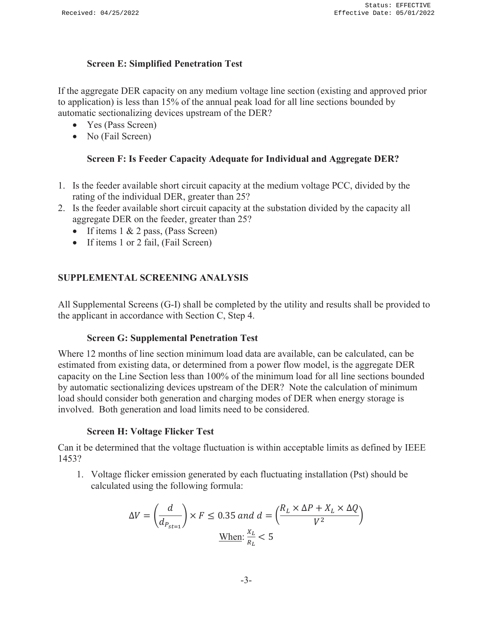#### **Screen E: Simplified Penetration Test**

If the aggregate DER capacity on any medium voltage line section (existing and approved prior to application) is less than 15% of the annual peak load for all line sections bounded by automatic sectionalizing devices upstream of the DER?

- $\bullet$  Yes (Pass Screen)
- $\bullet$  No (Fail Screen)

#### **Screen F: Is Feeder Capacity Adequate for Individual and Aggregate DER?**

- 1. Is the feeder available short circuit capacity at the medium voltage PCC, divided by the rating of the individual DER, greater than 25?
- 2. Is the feeder available short circuit capacity at the substation divided by the capacity all aggregate DER on the feeder, greater than 25?
	- If items  $1 \& 2$  pass, (Pass Screen)
	- If items 1 or 2 fail, (Fail Screen)

### **SUPPLEMENTAL SCREENING ANALYSIS**

All Supplemental Screens (G-I) shall be completed by the utility and results shall be provided to the applicant in accordance with Section C, Step 4.

#### **Screen G: Supplemental Penetration Test**

Where 12 months of line section minimum load data are available, can be calculated, can be estimated from existing data, or determined from a power flow model, is the aggregate DER capacity on the Line Section less than 100% of the minimum load for all line sections bounded by automatic sectionalizing devices upstream of the DER? Note the calculation of minimum load should consider both generation and charging modes of DER when energy storage is involved. Both generation and load limits need to be considered.

#### **Screen H: Voltage Flicker Test**

Can it be determined that the voltage fluctuation is within acceptable limits as defined by IEEE 1453?

1. Voltage flicker emission generated by each fluctuating installation (Pst) should be calculated using the following formula:

$$
\Delta V = \left(\frac{d}{d_{P_{st=1}}}\right) \times F \le 0.35 \text{ and } d = \left(\frac{R_L \times \Delta P + X_L \times \Delta Q}{V^2}\right)
$$
  
When:  $\frac{X_L}{R_L} < 5$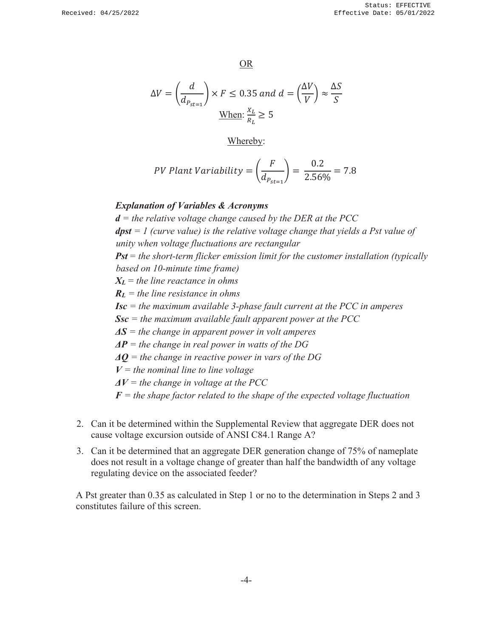OR

$$
\Delta V = \left(\frac{d}{d_{P_{st=1}}}\right) \times F \le 0.35 \text{ and } d = \left(\frac{\Delta V}{V}\right) \approx \frac{\Delta S}{S}
$$
  
When:  $\frac{X_L}{R_L} \ge 5$ 

Whereby:

*PV Plant Variability* = 
$$
\left(\frac{F}{d_{P_{st=1}}}\right)
$$
 =  $\frac{0.2}{2.56\%}$  = 7.8

#### *Explanation of Variables & Acronyms*

*d = the relative voltage change caused by the DER at the PCC dpst = 1 (curve value) is the relative voltage change that yields a Pst value of unity when voltage fluctuations are rectangular Pst = the short-term flicker emission limit for the customer installation (typically based on 10-minute time frame) XL = the line reactance in ohms RL = the line resistance in ohms Isc = the maximum available 3-phase fault current at the PCC in amperes Ssc = the maximum available fault apparent power at the PCC ΔS = the change in apparent power in volt amperes ΔP = the change in real power in watts of the DG ΔQ = the change in reactive power in vars of the DG*  $V =$  the nominal line to line voltage *ΔV = the change in voltage at the PCC*  $F =$  the shape factor related to the shape of the expected voltage fluctuation

- 2. Can it be determined within the Supplemental Review that aggregate DER does not cause voltage excursion outside of ANSI C84.1 Range A?
- 3. Can it be determined that an aggregate DER generation change of 75% of nameplate does not result in a voltage change of greater than half the bandwidth of any voltage regulating device on the associated feeder?

A Pst greater than 0.35 as calculated in Step 1 or no to the determination in Steps 2 and 3 constitutes failure of this screen.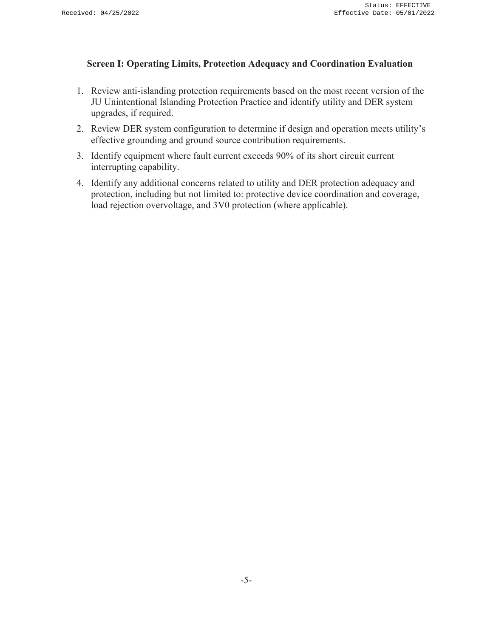#### **Screen I: Operating Limits, Protection Adequacy and Coordination Evaluation**

- 1. Review anti-islanding protection requirements based on the most recent version of the JU Unintentional Islanding Protection Practice and identify utility and DER system upgrades, if required.
- 2. Review DER system configuration to determine if design and operation meets utility's effective grounding and ground source contribution requirements.
- 3. Identify equipment where fault current exceeds 90% of its short circuit current interrupting capability.
- 4. Identify any additional concerns related to utility and DER protection adequacy and protection, including but not limited to: protective device coordination and coverage, load rejection overvoltage, and 3V0 protection (where applicable).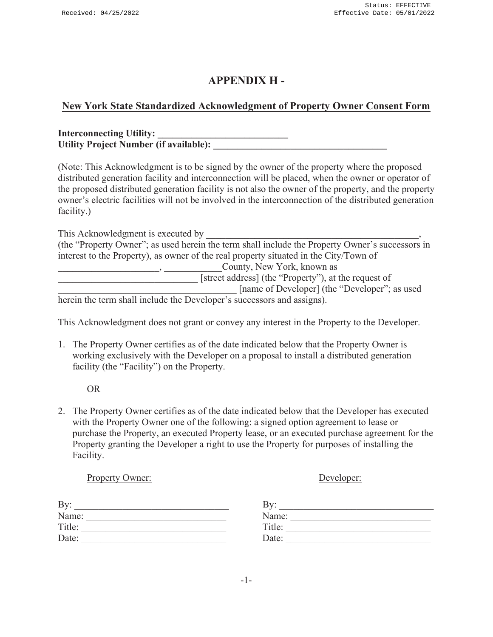## **APPENDIX H -**

## **New York State Standardized Acknowledgment of Property Owner Consent Form**

| <b>Interconnecting Utility:</b>               |  |
|-----------------------------------------------|--|
| <b>Utility Project Number (if available):</b> |  |

(Note: This Acknowledgment is to be signed by the owner of the property where the proposed distributed generation facility and interconnection will be placed, when the owner or operator of the proposed distributed generation facility is not also the owner of the property, and the property owner's electric facilities will not be involved in the interconnection of the distributed generation facility.)

| This Acknowledgment is executed by                                                              |
|-------------------------------------------------------------------------------------------------|
| (the "Property Owner"; as used herein the term shall include the Property Owner's successors in |
| interest to the Property), as owner of the real property situated in the City/Town of           |
| County, New York, known as                                                                      |
| [street address] (the "Property"), at the request of                                            |
| [name of Developer] (the "Developer"; as used                                                   |

herein the term shall include the Developer's successors and assigns).

This Acknowledgment does not grant or convey any interest in the Property to the Developer.

1. The Property Owner certifies as of the date indicated below that the Property Owner is working exclusively with the Developer on a proposal to install a distributed generation facility (the "Facility") on the Property.

OR

2. The Property Owner certifies as of the date indicated below that the Developer has executed with the Property Owner one of the following: a signed option agreement to lease or purchase the Property, an executed Property lease, or an executed purchase agreement for the Property granting the Developer a right to use the Property for purposes of installing the Facility.

| <b>Property Owner:</b> | Developer: |
|------------------------|------------|
| By:                    | Bv:        |
| Name:                  | Name:      |
| Title:                 | Title:     |
| Date:                  | Date:      |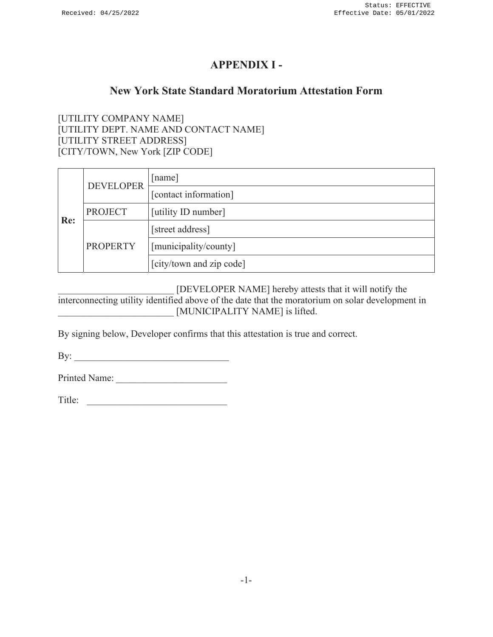## **APPENDIX I -**

## **New York State Standard Moratorium Attestation Form**

[UTILITY COMPANY NAME] [UTILITY DEPT. NAME AND CONTACT NAME] [UTILITY STREET ADDRESS] [CITY/TOWN, New York [ZIP CODE]

|     | <b>DEVELOPER</b> | [name]                   |
|-----|------------------|--------------------------|
|     |                  | [contact information]    |
|     | <b>PROJECT</b>   | [utility ID number]      |
| Re: |                  | [street address]         |
|     | <b>PROPERTY</b>  | [municipality/county]    |
|     |                  | [city/town and zip code] |

[DEVELOPER NAME] hereby attests that it will notify the interconnecting utility identified above of the date that the moratorium on solar development in [MUNICIPALITY NAME] is lifted.

By signing below, Developer confirms that this attestation is true and correct.

By: \_\_\_\_\_\_\_\_\_\_\_\_\_\_\_\_\_\_\_\_\_\_\_\_\_\_\_\_\_\_\_\_

Printed Name:

Title: \_\_\_\_\_\_\_\_\_\_\_\_\_\_\_\_\_\_\_\_\_\_\_\_\_\_\_\_\_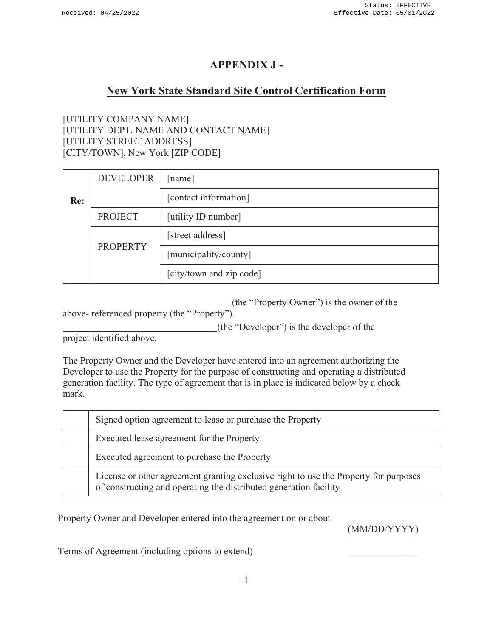## **APPENDIX J -**

## **New York State Standard Site Control Certification Form**

[UTILITY COMPANY NAME] [UTILITY DEPT. NAME AND CONTACT NAME] [UTILITY STREET ADDRESS] [CITY/TOWN], New York [ZIP CODE]

|                                                                       | <b>DEVELOPER</b>                                             | [name]                   |
|-----------------------------------------------------------------------|--------------------------------------------------------------|--------------------------|
| [contact information]<br>Re:<br><b>PROJECT</b><br>[utility ID number] |                                                              |                          |
|                                                                       |                                                              |                          |
|                                                                       | [street address]<br><b>PROPERTY</b><br>[municipality/county] |                          |
|                                                                       |                                                              |                          |
|                                                                       |                                                              | [city/town and zip code] |

(the "Property Owner") is the owner of the

above- referenced property (the "Property").

(the "Developer") is the developer of the

project identified above.

The Property Owner and the Developer have entered into an agreement authorizing the Developer to use the Property for the purpose of constructing and operating a distributed generation facility. The type of agreement that is in place is indicated below by a check mark.

| Signed option agreement to lease or purchase the Property                                                                                                 |
|-----------------------------------------------------------------------------------------------------------------------------------------------------------|
| Executed lease agreement for the Property                                                                                                                 |
| Executed agreement to purchase the Property                                                                                                               |
| License or other agreement granting exclusive right to use the Property for purposes<br>of constructing and operating the distributed generation facility |

Property Owner and Developer entered into the agreement on or about

(MM/DD/YYYY)

Terms of Agreement (including options to extend) \_\_\_\_\_\_\_\_\_\_\_\_\_\_\_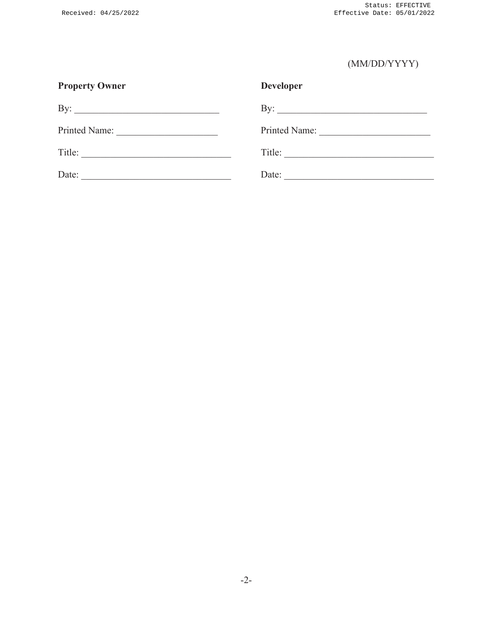# (MM/DD/YYYY)

| <b>Property Owner</b> | <b>Developer</b>                                                                     |
|-----------------------|--------------------------------------------------------------------------------------|
|                       | By: $\qquad \qquad$                                                                  |
| Printed Name:         | Printed Name:                                                                        |
| Title:                | Title:<br>the control of the control of the control of the control of the control of |
| Date:                 | Date:                                                                                |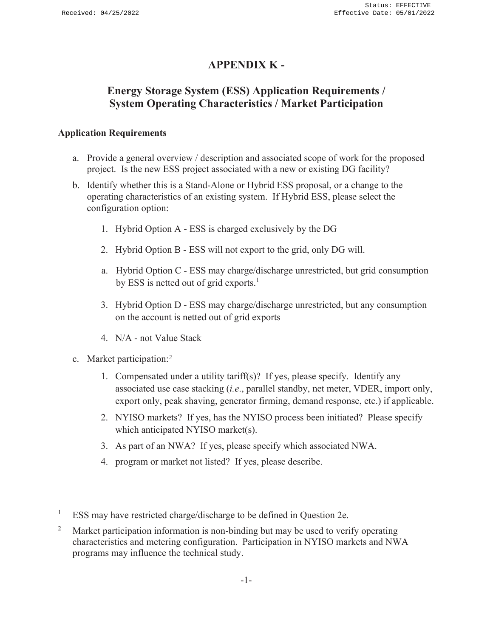## **APPENDIX K -**

# **Energy Storage System (ESS) Application Requirements / System Operating Characteristics / Market Participation**

## **Application Requirements**

- a. Provide a general overview / description and associated scope of work for the proposed project. Is the new ESS project associated with a new or existing DG facility?
- b. Identify whether this is a Stand-Alone or Hybrid ESS proposal, or a change to the operating characteristics of an existing system. If Hybrid ESS, please select the configuration option:
	- 1. Hybrid Option A ESS is charged exclusively by the DG
	- 2. Hybrid Option B ESS will not export to the grid, only DG will.
	- a. Hybrid Option C ESS may charge/discharge unrestricted, but grid consumption by ESS is netted out of grid exports.<sup>1</sup>
	- 3. Hybrid Option D ESS may charge/discharge unrestricted, but any consumption on the account is netted out of grid exports
	- 4. N/A not Value Stack
- c. Market participation:<sup>2</sup>
	- 1. Compensated under a utility tariff(s)? If yes, please specify. Identify any associated use case stacking (*i.e*., parallel standby, net meter, VDER, import only, export only, peak shaving, generator firming, demand response, etc.) if applicable.
	- 2. NYISO markets? If yes, has the NYISO process been initiated? Please specify which anticipated NYISO market(s).
	- 3. As part of an NWA? If yes, please specify which associated NWA.
	- 4. program or market not listed? If yes, please describe.

<sup>1</sup> ESS may have restricted charge/discharge to be defined in Question 2e.

<sup>2</sup> Market participation information is non-binding but may be used to verify operating characteristics and metering configuration. Participation in NYISO markets and NWA programs may influence the technical study.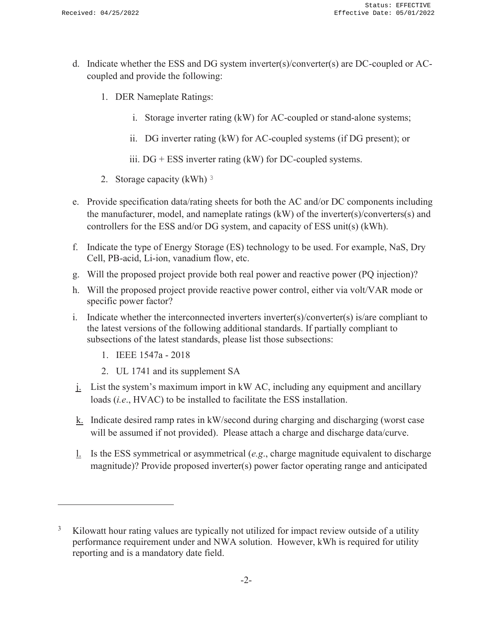- d. Indicate whether the ESS and DG system inverter(s)/converter(s) are DC-coupled or ACcoupled and provide the following:
	- 1. DER Nameplate Ratings:
		- i. Storage inverter rating (kW) for AC-coupled or stand-alone systems;
		- ii. DG inverter rating (kW) for AC-coupled systems (if DG present); or
		- iii.  $DG + ESS$  inverter rating (kW) for DC-coupled systems.
	- 2. Storage capacity (kWh) <sup>3</sup>
- e. Provide specification data/rating sheets for both the AC and/or DC components including the manufacturer, model, and nameplate ratings (kW) of the inverter(s)/converters(s) and controllers for the ESS and/or DG system, and capacity of ESS unit(s) (kWh).
- f. Indicate the type of Energy Storage (ES) technology to be used. For example, NaS, Dry Cell, PB-acid, Li-ion, vanadium flow, etc.
- g. Will the proposed project provide both real power and reactive power (PQ injection)?
- h. Will the proposed project provide reactive power control, either via volt/VAR mode or specific power factor?
- i. Indicate whether the interconnected inverters inverter(s)/converter(s) is/are compliant to the latest versions of the following additional standards. If partially compliant to subsections of the latest standards, please list those subsections:
	- 1. IEEE 1547a 2018
	- 2. UL 1741 and its supplement SA
- j. List the system's maximum import in kW AC, including any equipment and ancillary loads (*i.e*., HVAC) to be installed to facilitate the ESS installation.
- $k$ . Indicate desired ramp rates in kW/second during charging and discharging (worst case will be assumed if not provided). Please attach a charge and discharge data/curve.
- l. Is the ESS symmetrical or asymmetrical (*e.g*., charge magnitude equivalent to discharge magnitude)? Provide proposed inverter(s) power factor operating range and anticipated

<sup>3</sup> Kilowatt hour rating values are typically not utilized for impact review outside of a utility performance requirement under and NWA solution. However, kWh is required for utility reporting and is a mandatory date field.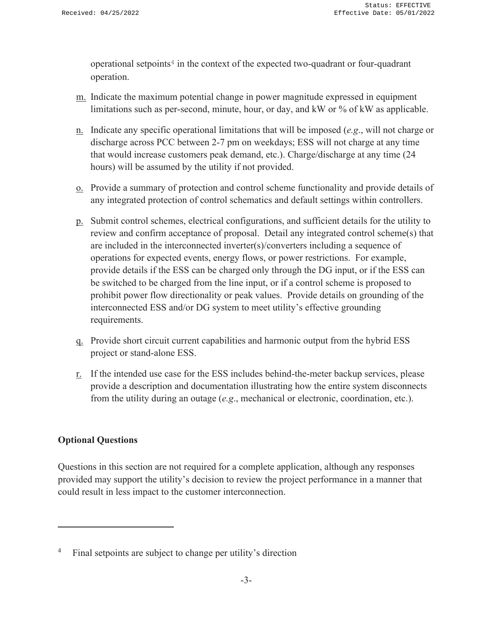operational setpoints<sup>4</sup> in the context of the expected two-quadrant or four-quadrant operation.

- m. Indicate the maximum potential change in power magnitude expressed in equipment limitations such as per-second, minute, hour, or day, and kW or % of kW as applicable.
- n. Indicate any specific operational limitations that will be imposed (*e.g*., will not charge or discharge across PCC between 2-7 pm on weekdays; ESS will not charge at any time that would increase customers peak demand, etc.). Charge/discharge at any time (24 hours) will be assumed by the utility if not provided.
- o. Provide a summary of protection and control scheme functionality and provide details of any integrated protection of control schematics and default settings within controllers.
- p. Submit control schemes, electrical configurations, and sufficient details for the utility to review and confirm acceptance of proposal. Detail any integrated control scheme(s) that are included in the interconnected inverter(s)/converters including a sequence of operations for expected events, energy flows, or power restrictions. For example, provide details if the ESS can be charged only through the DG input, or if the ESS can be switched to be charged from the line input, or if a control scheme is proposed to prohibit power flow directionality or peak values. Provide details on grounding of the interconnected ESS and/or DG system to meet utility's effective grounding requirements.
- q. Provide short circuit current capabilities and harmonic output from the hybrid ESS project or stand-alone ESS.
- $r<sub>r</sub>$ . If the intended use case for the ESS includes behind-the-meter backup services, please provide a description and documentation illustrating how the entire system disconnects from the utility during an outage (*e.g*., mechanical or electronic, coordination, etc.).

## **Optional Questions**

Questions in this section are not required for a complete application, although any responses provided may support the utility's decision to review the project performance in a manner that could result in less impact to the customer interconnection.

<sup>4</sup> Final setpoints are subject to change per utility's direction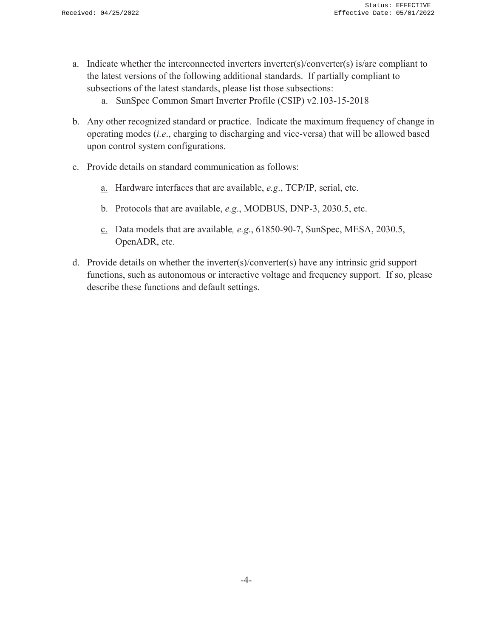- a. Indicate whether the interconnected inverters inverter(s)/converter(s) is/are compliant to the latest versions of the following additional standards. If partially compliant to subsections of the latest standards, please list those subsections:
	- a. SunSpec Common Smart Inverter Profile (CSIP) v2.103-15-2018
- b. Any other recognized standard or practice. Indicate the maximum frequency of change in operating modes (*i.e*., charging to discharging and vice-versa) that will be allowed based upon control system configurations.
- c. Provide details on standard communication as follows:
	- a. Hardware interfaces that are available, *e.g*., TCP/IP, serial, etc.
	- b. Protocols that are available, *e.g*., MODBUS, DNP-3, 2030.5, etc.
	- c. Data models that are available*, e.g*., 61850-90-7, SunSpec, MESA, 2030.5, OpenADR, etc.
- d. Provide details on whether the inverter(s)/converter(s) have any intrinsic grid support functions, such as autonomous or interactive voltage and frequency support. If so, please describe these functions and default settings.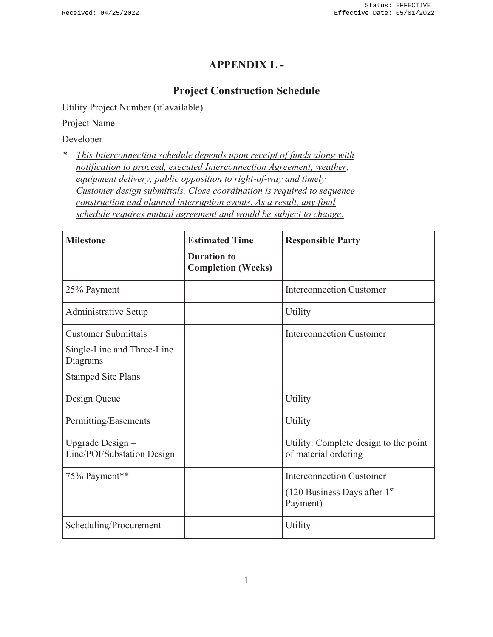## **APPENDIX L -**

# **Project Construction Schedule**

Utility Project Number (if available)

Project Name

Developer

*\* This Interconnection schedule depends upon receipt of funds along with notification to proceed, executed Interconnection Agreement, weather, equipment delivery, public opposition to right-of-way and timely Customer design submittals. Close coordination is required to sequence construction and planned interruption events. As a result, any final schedule requires mutual agreement and would be subject to change.*

| <b>Milestone</b>                               | <b>Estimated Time</b>                           | <b>Responsible Party</b>                                      |
|------------------------------------------------|-------------------------------------------------|---------------------------------------------------------------|
|                                                | <b>Duration to</b><br><b>Completion (Weeks)</b> |                                                               |
| 25% Payment                                    |                                                 | <b>Interconnection Customer</b>                               |
| Administrative Setup                           |                                                 | Utility                                                       |
| <b>Customer Submittals</b>                     |                                                 | <b>Interconnection Customer</b>                               |
| Single-Line and Three-Line<br>Diagrams         |                                                 |                                                               |
| <b>Stamped Site Plans</b>                      |                                                 |                                                               |
| Design Queue                                   |                                                 | Utility                                                       |
| Permitting/Easements                           |                                                 | Utility                                                       |
| Upgrade Design -<br>Line/POI/Substation Design |                                                 | Utility: Complete design to the point<br>of material ordering |
| 75% Payment**                                  |                                                 | <b>Interconnection Customer</b>                               |
|                                                |                                                 | $(120$ Business Days after $1st$<br>Payment)                  |
| Scheduling/Procurement                         |                                                 | Utility                                                       |